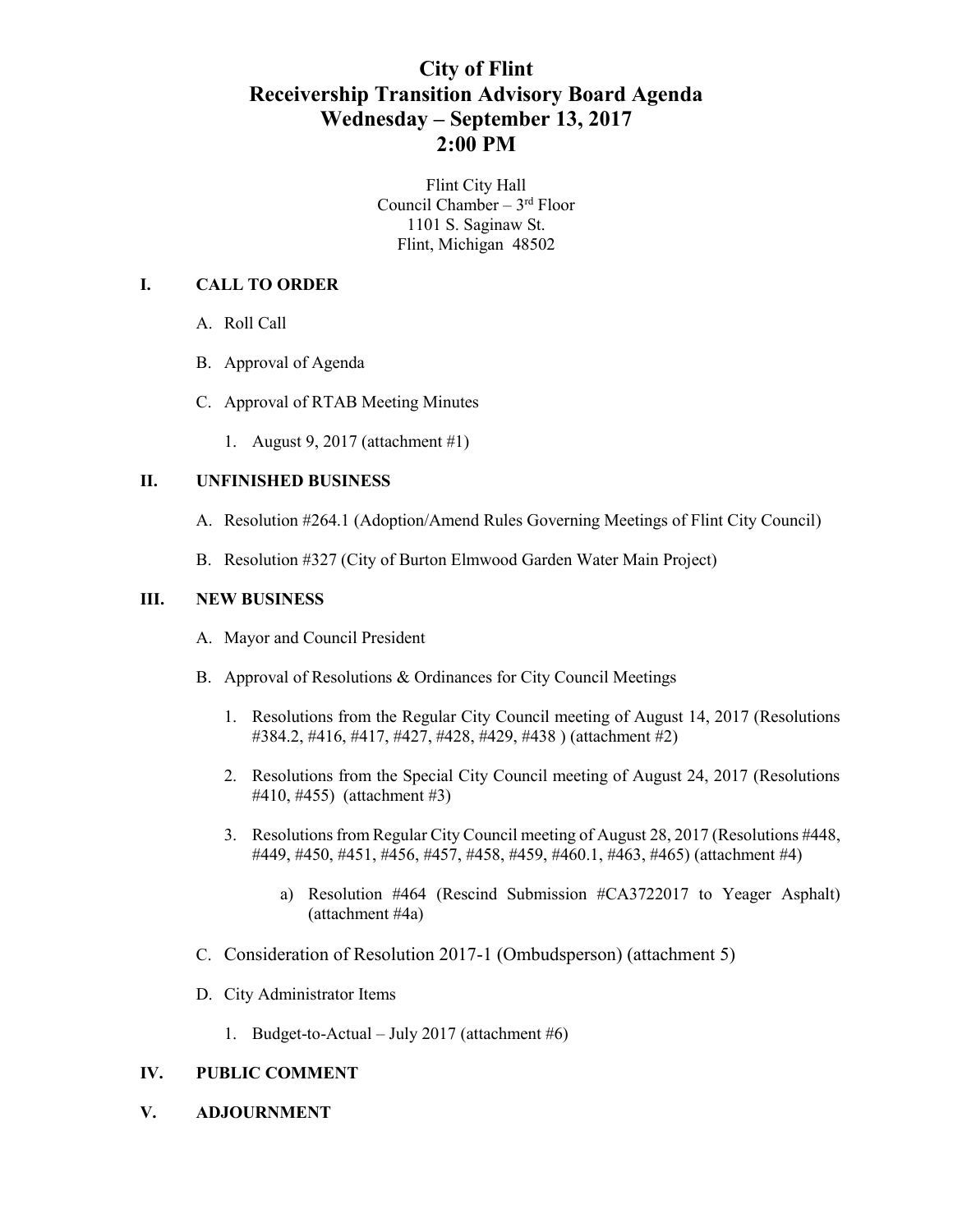## **City of Flint Receivership Transition Advisory Board Agenda Wednesday – September 13, 2017 2:00 PM**

Flint City Hall Council Chamber – 3rd Floor 1101 S. Saginaw St. Flint, Michigan 48502

### **I. CALL TO ORDER**

- A. Roll Call
- B. Approval of Agenda
- C. Approval of RTAB Meeting Minutes
	- 1. August 9, 2017 (attachment #1)

### **II. UNFINISHED BUSINESS**

- A. Resolution #264.1 (Adoption/Amend Rules Governing Meetings of Flint City Council)
- B. Resolution #327 (City of Burton Elmwood Garden Water Main Project)

### **III. NEW BUSINESS**

- A. Mayor and Council President
- B. Approval of Resolutions & Ordinances for City Council Meetings
	- 1. Resolutions from the Regular City Council meeting of August 14, 2017 (Resolutions #384.2, #416, #417, #427, #428, #429, #438 ) (attachment #2)
	- 2. Resolutions from the Special City Council meeting of August 24, 2017 (Resolutions #410, #455) (attachment #3)
	- 3. Resolutions from Regular City Council meeting of August 28, 2017 (Resolutions #448, #449, #450, #451, #456, #457, #458, #459, #460.1, #463, #465) (attachment #4)
		- a) Resolution #464 (Rescind Submission #CA3722017 to Yeager Asphalt) (attachment #4a)
- C. Consideration of Resolution 2017-1 (Ombudsperson) (attachment 5)
- D. City Administrator Items
	- 1. Budget-to-Actual July 2017 (attachment  $#6$ )

### **IV. PUBLIC COMMENT**

**V. ADJOURNMENT**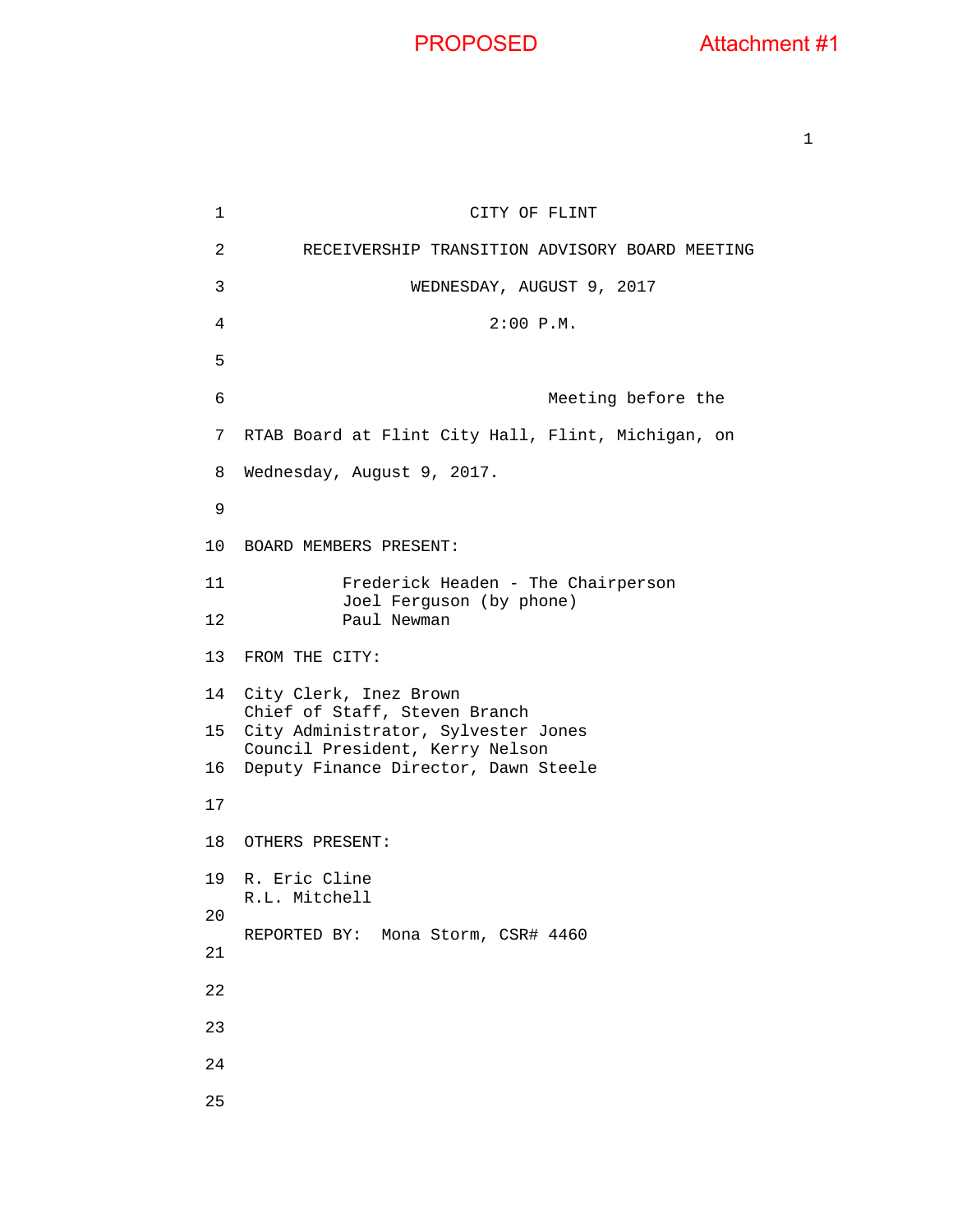1 CITY OF FLINT 2 RECEIVERSHIP TRANSITION ADVISORY BOARD MEETING 3 WEDNESDAY, AUGUST 9, 2017 4 2:00 P.M. 5 6 Meeting before the 7 RTAB Board at Flint City Hall, Flint, Michigan, on 8 Wednesday, August 9, 2017. 9 10 BOARD MEMBERS PRESENT: 11 Frederick Headen - The Chairperson Joel Ferguson (by phone) 12 Paul Newman 13 FROM THE CITY: 14 City Clerk, Inez Brown Chief of Staff, Steven Branch 15 City Administrator, Sylvester Jones Council President, Kerry Nelson 16 Deputy Finance Director, Dawn Steele 17 18 OTHERS PRESENT: 19 R. Eric Cline R.L. Mitchell 20 REPORTED BY: Mona Storm, CSR# 4460 21 22 23 24 25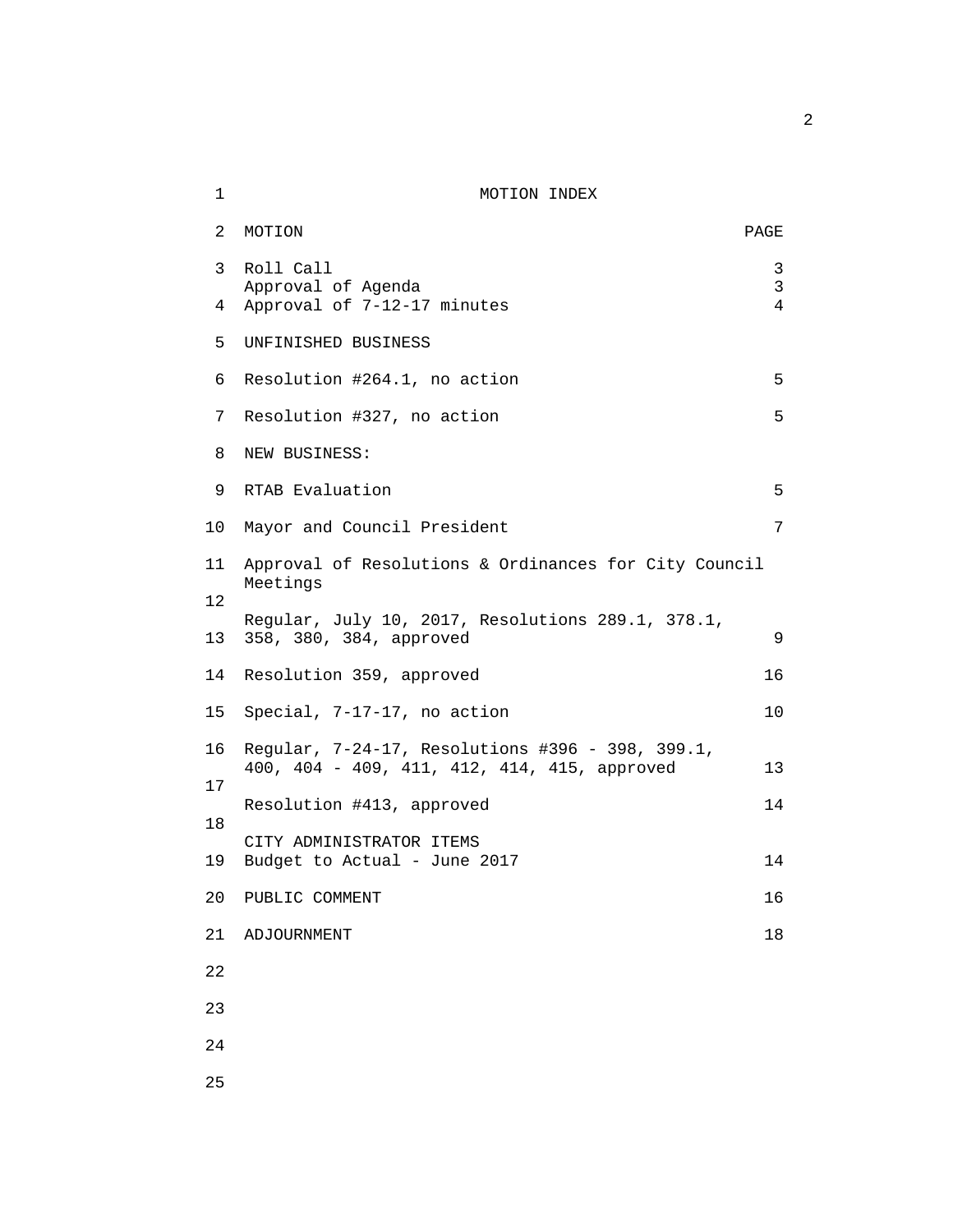### 1 MOTION INDEX

| 2        | MOTION                                                                                           | PAGE           |
|----------|--------------------------------------------------------------------------------------------------|----------------|
| 3        | Roll Call<br>Approval of Agenda                                                                  | 3<br>3         |
| 4        | Approval of 7-12-17 minutes                                                                      | $\overline{4}$ |
| 5        | UNFINISHED BUSINESS                                                                              |                |
| 6        | Resolution #264.1, no action                                                                     | 5              |
| 7        | Resolution #327, no action                                                                       | 5              |
| 8        | NEW BUSINESS:                                                                                    |                |
| 9        | RTAB Evaluation                                                                                  | 5              |
| 10       | Mayor and Council President                                                                      | 7              |
| 11       | Approval of Resolutions & Ordinances for City Council<br>Meetings                                |                |
| 12<br>13 | Regular, July 10, 2017, Resolutions 289.1, 378.1,<br>358, 380, 384, approved                     | 9              |
| 14       | Resolution 359, approved                                                                         | 16             |
| 15       | Special, 7-17-17, no action                                                                      | 10             |
| 16       | Regular, 7-24-17, Resolutions #396 - 398, 399.1,<br>400, 404 - 409, 411, 412, 414, 415, approved | 13             |
| 17       | Resolution #413, approved                                                                        | 14             |
| 18       | CITY ADMINISTRATOR ITEMS                                                                         |                |
| 19       | Budget to Actual - June 2017                                                                     | 14             |
| 20       | PUBLIC COMMENT                                                                                   | 16             |
| 21       | ADJOURNMENT                                                                                      | 18             |
| 22       |                                                                                                  |                |
| 23       |                                                                                                  |                |
| 24       |                                                                                                  |                |
| 25       |                                                                                                  |                |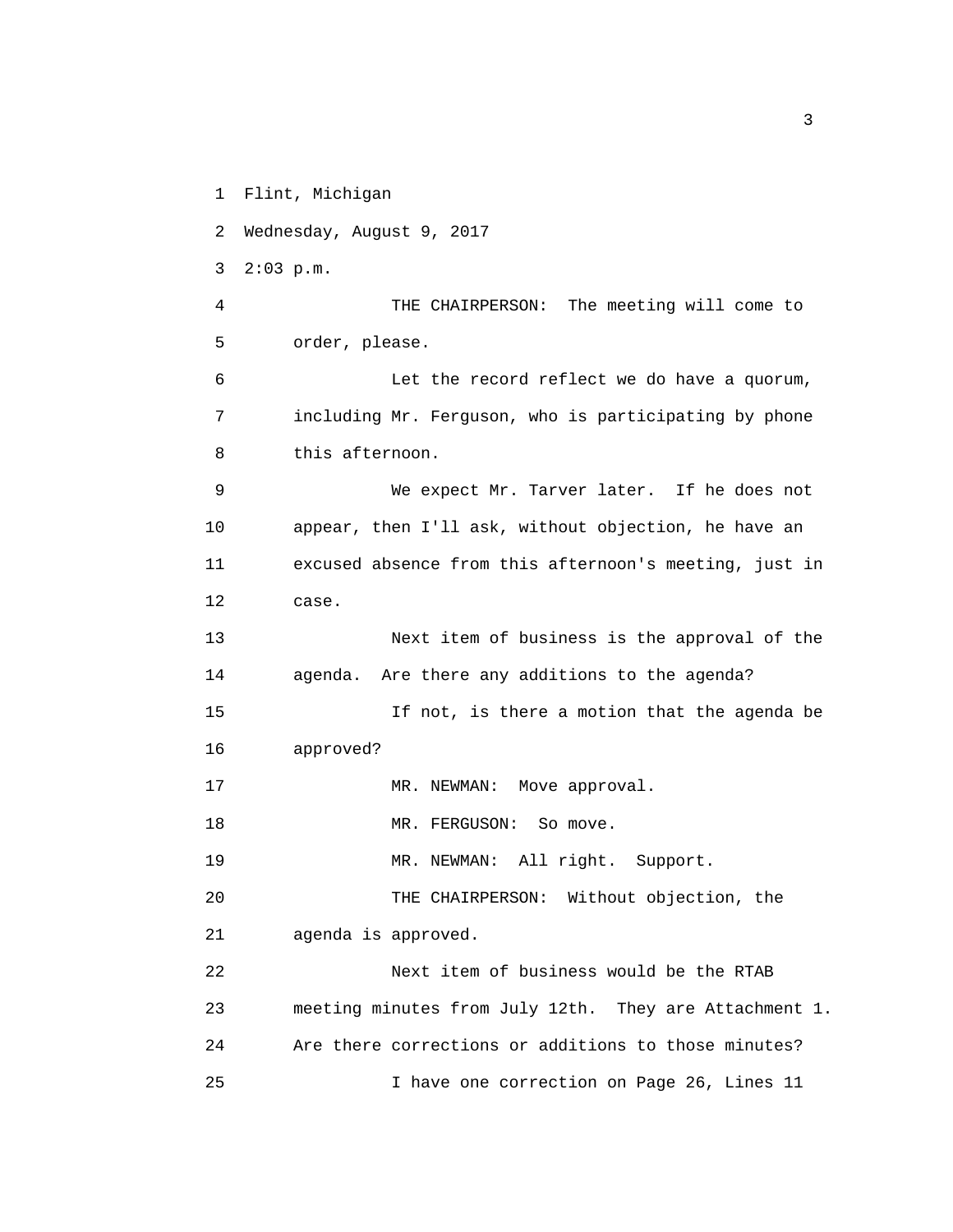- 1 Flint, Michigan
- 2 Wednesday, August 9, 2017
- 3 2:03 p.m.
- 4 THE CHAIRPERSON: The meeting will come to 5 order, please.
- 6 Let the record reflect we do have a quorum, 7 including Mr. Ferguson, who is participating by phone 8 this afternoon.
- 9 We expect Mr. Tarver later. If he does not 10 appear, then I'll ask, without objection, he have an 11 excused absence from this afternoon's meeting, just in 12 case.
- 13 Next item of business is the approval of the 14 agenda. Are there any additions to the agenda?
- 15 If not, is there a motion that the agenda be 16 approved?
- 17 MR. NEWMAN: Move approval.
- 18 MR. FERGUSON: So move.
- 19 MR. NEWMAN: All right. Support.
- 20 THE CHAIRPERSON: Without objection, the
- 21 agenda is approved.
- 22 Next item of business would be the RTAB 23 meeting minutes from July 12th. They are Attachment 1. 24 Are there corrections or additions to those minutes? 25 I have one correction on Page 26, Lines 11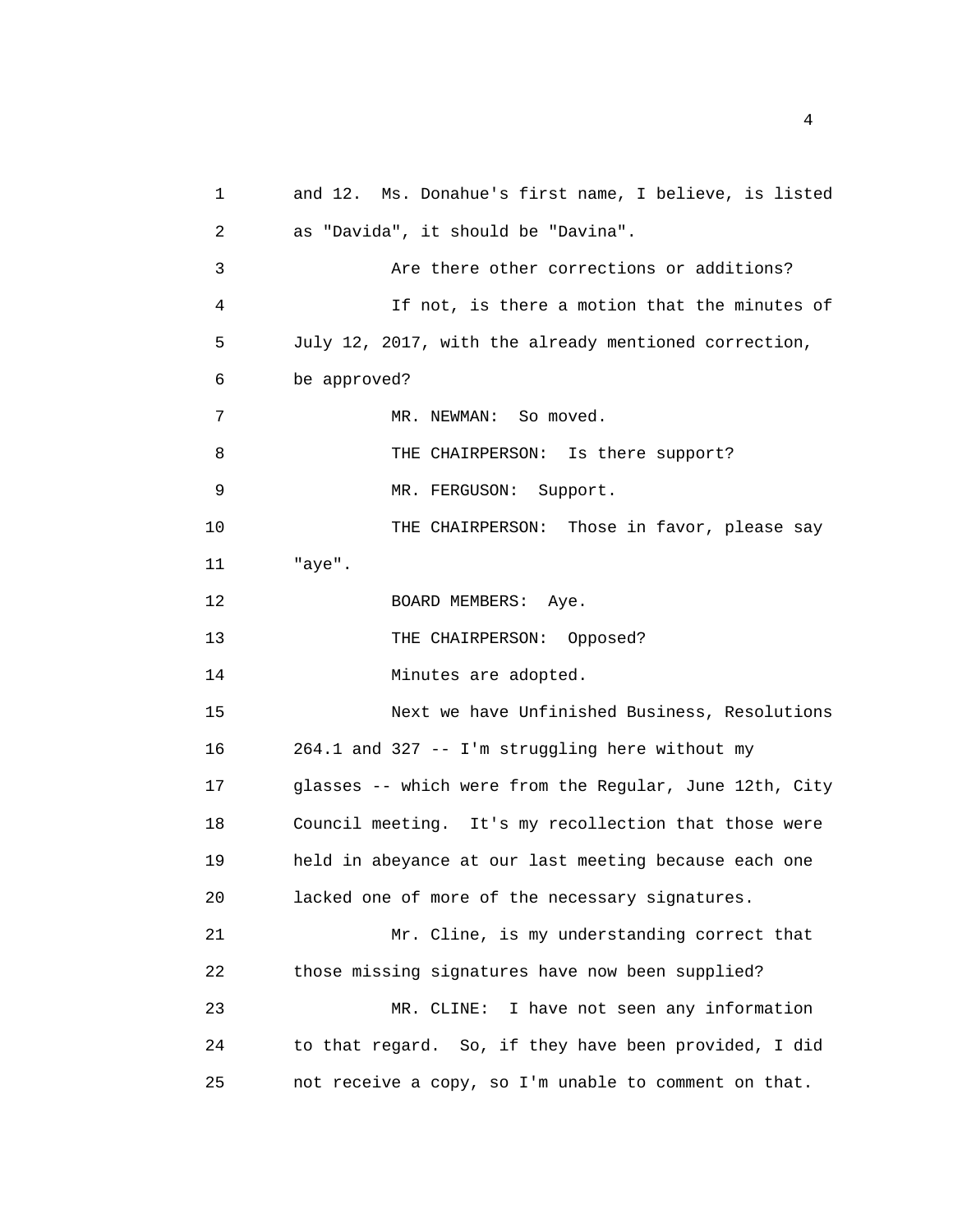1 and 12. Ms. Donahue's first name, I believe, is listed 2 as "Davida", it should be "Davina". 3 Are there other corrections or additions? 4 If not, is there a motion that the minutes of 5 July 12, 2017, with the already mentioned correction, 6 be approved? 7 8 9 10 11 "aye". 12 13 14 15 MR. NEWMAN: So moved. THE CHAIRPERSON: Is there support? MR. FERGUSON: Support. THE CHAIRPERSON: Those in favor, please say BOARD MEMBERS: Aye. THE CHAIRPERSON: Opposed? Minutes are adopted. Next we have Unfinished Business, Resolutions 16 264.1 and 327 -- I'm struggling here without my 17 glasses -- which were from the Regular, June 12th, City 18 Council meeting. It's my recollection that those were 19 held in abeyance at our last meeting because each one 20 lacked one of more of the necessary signatures. 21 Mr. Cline, is my understanding correct that 22 those missing signatures have now been supplied? 23 MR. CLINE: I have not seen any information 24 to that regard. So, if they have been provided, I did 25 not receive a copy, so I'm unable to comment on that.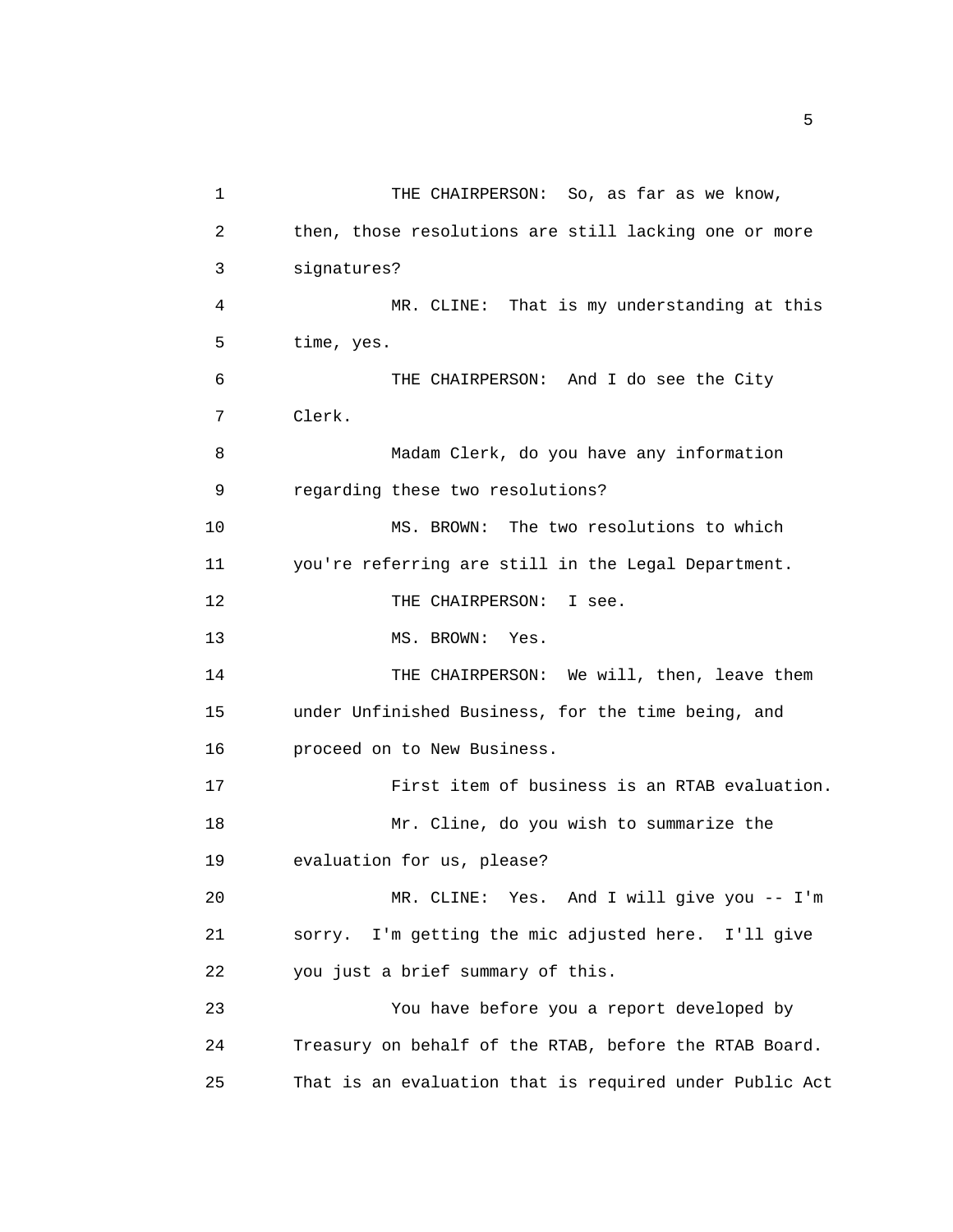| 1  | THE CHAIRPERSON: So, as far as we know,                 |
|----|---------------------------------------------------------|
| 2  | then, those resolutions are still lacking one or more   |
| 3  | signatures?                                             |
| 4  | MR. CLINE: That is my understanding at this             |
| 5  | time, yes.                                              |
| 6  | THE CHAIRPERSON: And I do see the City                  |
| 7  | Clerk.                                                  |
| 8  | Madam Clerk, do you have any information                |
| 9  | regarding these two resolutions?                        |
| 10 | The two resolutions to which<br>MS. BROWN:              |
| 11 | you're referring are still in the Legal Department.     |
| 12 | THE CHAIRPERSON:<br>I see.                              |
| 13 | MS. BROWN: Yes.                                         |
| 14 | THE CHAIRPERSON: We will, then, leave them              |
| 15 | under Unfinished Business, for the time being, and      |
| 16 | proceed on to New Business.                             |
| 17 | First item of business is an RTAB evaluation.           |
| 18 | Mr. Cline, do you wish to summarize the                 |
| 19 | evaluation for us, please?                              |
| 20 | MR. CLINE: Yes. And I will give you -- I'm              |
| 21 | I'm getting the mic adjusted here. I'll give<br>SOYYY.  |
| 22 | you just a brief summary of this.                       |
| 23 | You have before you a report developed by               |
| 24 | Treasury on behalf of the RTAB, before the RTAB Board.  |
| 25 | That is an evaluation that is required under Public Act |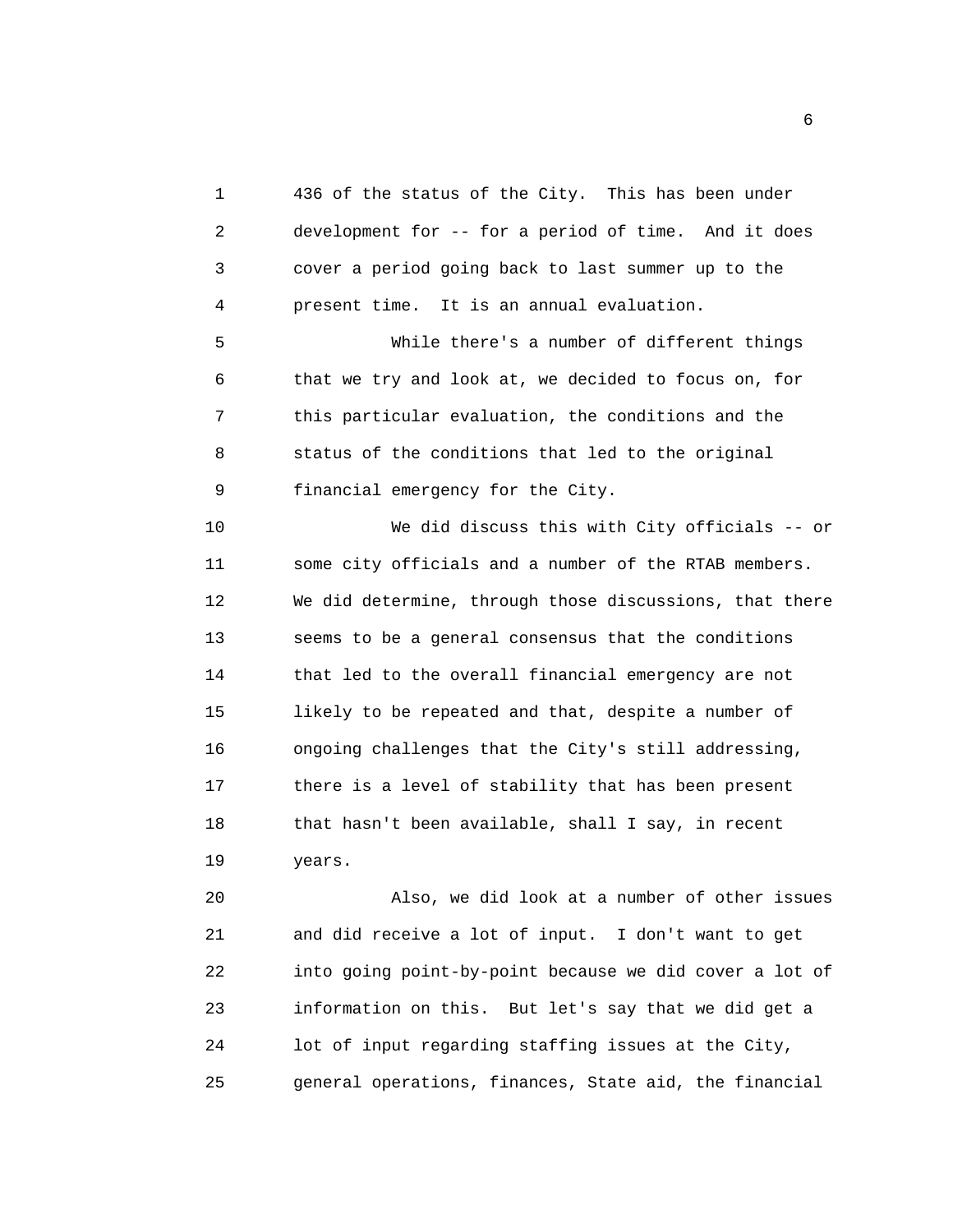1 436 of the status of the City. This has been under 2 development for -- for a period of time. And it does 3 cover a period going back to last summer up to the 4 present time. It is an annual evaluation. 5 While there's a number of different things 6 that we try and look at, we decided to focus on, for 7 this particular evaluation, the conditions and the 8 status of the conditions that led to the original 9 financial emergency for the City. 10 We did discuss this with City officials -- or 11 some city officials and a number of the RTAB members. 12 We did determine, through those discussions, that there 13 seems to be a general consensus that the conditions 14 that led to the overall financial emergency are not 15 likely to be repeated and that, despite a number of 16 ongoing challenges that the City's still addressing, 17 there is a level of stability that has been present 18 that hasn't been available, shall I say, in recent 19 years.

20 Also, we did look at a number of other issues 21 and did receive a lot of input. I don't want to get 22 into going point-by-point because we did cover a lot of 23 information on this. But let's say that we did get a 24 lot of input regarding staffing issues at the City, 25 general operations, finances, State aid, the financial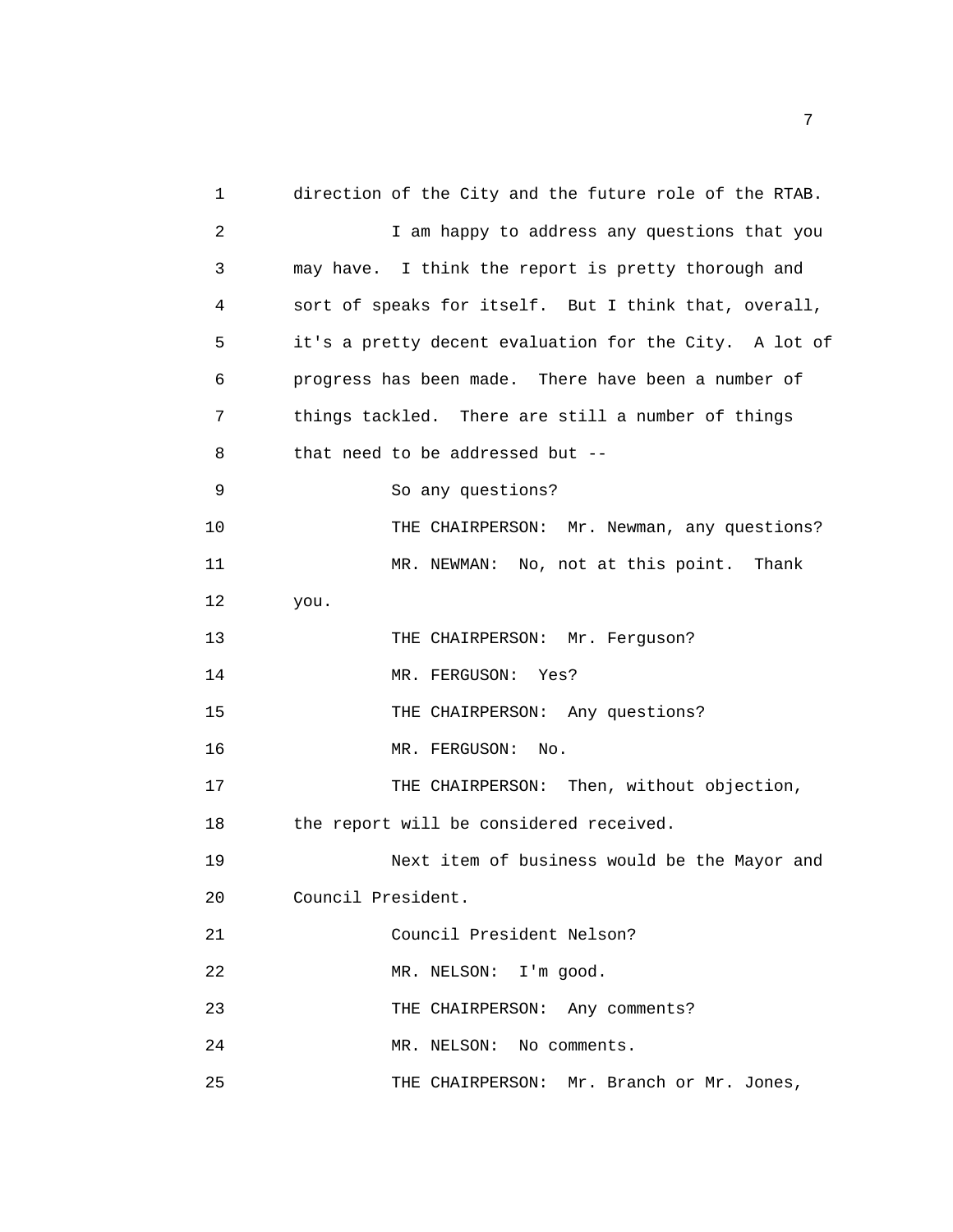1 direction of the City and the future role of the RTAB. 2 I am happy to address any questions that you 3 may have. I think the report is pretty thorough and 4 sort of speaks for itself. But I think that, overall, 5 it's a pretty decent evaluation for the City. A lot of 6 progress has been made. There have been a number of 7 things tackled. There are still a number of things 8 that need to be addressed but -- 9 So any questions? 10 THE CHAIRPERSON: Mr. Newman, any questions? 11 MR. NEWMAN: No, not at this point. Thank 12 you. 13 THE CHAIRPERSON: Mr. Ferguson? 14 MR. FERGUSON: Yes? 15 THE CHAIRPERSON: Any questions? 16 MR. FERGUSON: No. 17 THE CHAIRPERSON: Then, without objection, 18 the report will be considered received. 19 Next item of business would be the Mayor and 20 Council President. 21 Council President Nelson? 22 MR. NELSON: I'm good. 23 THE CHAIRPERSON: Any comments? 24 MR. NELSON: No comments. 25 THE CHAIRPERSON: Mr. Branch or Mr. Jones,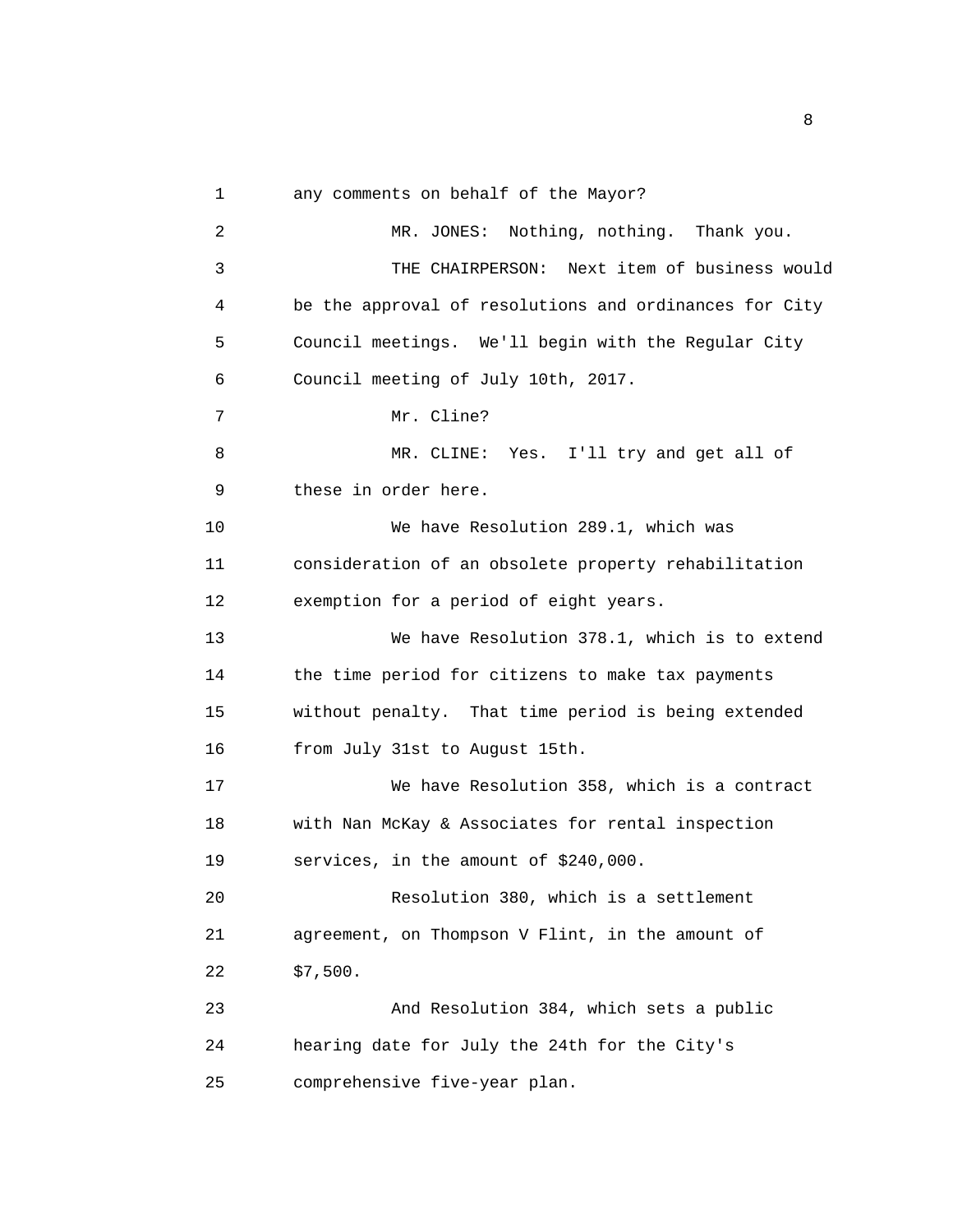1 any comments on behalf of the Mayor?

2 MR. JONES: Nothing, nothing. Thank you. 3 THE CHAIRPERSON: Next item of business would 4 be the approval of resolutions and ordinances for City 5 Council meetings. We'll begin with the Regular City 6 Council meeting of July 10th, 2017. 7 Mr. Cline? 8 MR. CLINE: Yes. I'll try and get all of 9 these in order here. 10 We have Resolution 289.1, which was 11 consideration of an obsolete property rehabilitation 12 exemption for a period of eight years. 13 We have Resolution 378.1, which is to extend 14 the time period for citizens to make tax payments 15 without penalty. That time period is being extended 16 from July 31st to August 15th. 17 We have Resolution 358, which is a contract 18 with Nan McKay & Associates for rental inspection 19 services, in the amount of \$240,000. 20 Resolution 380, which is a settlement 21 agreement, on Thompson V Flint, in the amount of 22 \$7,500. 23 And Resolution 384, which sets a public 24 hearing date for July the 24th for the City's 25 comprehensive five-year plan.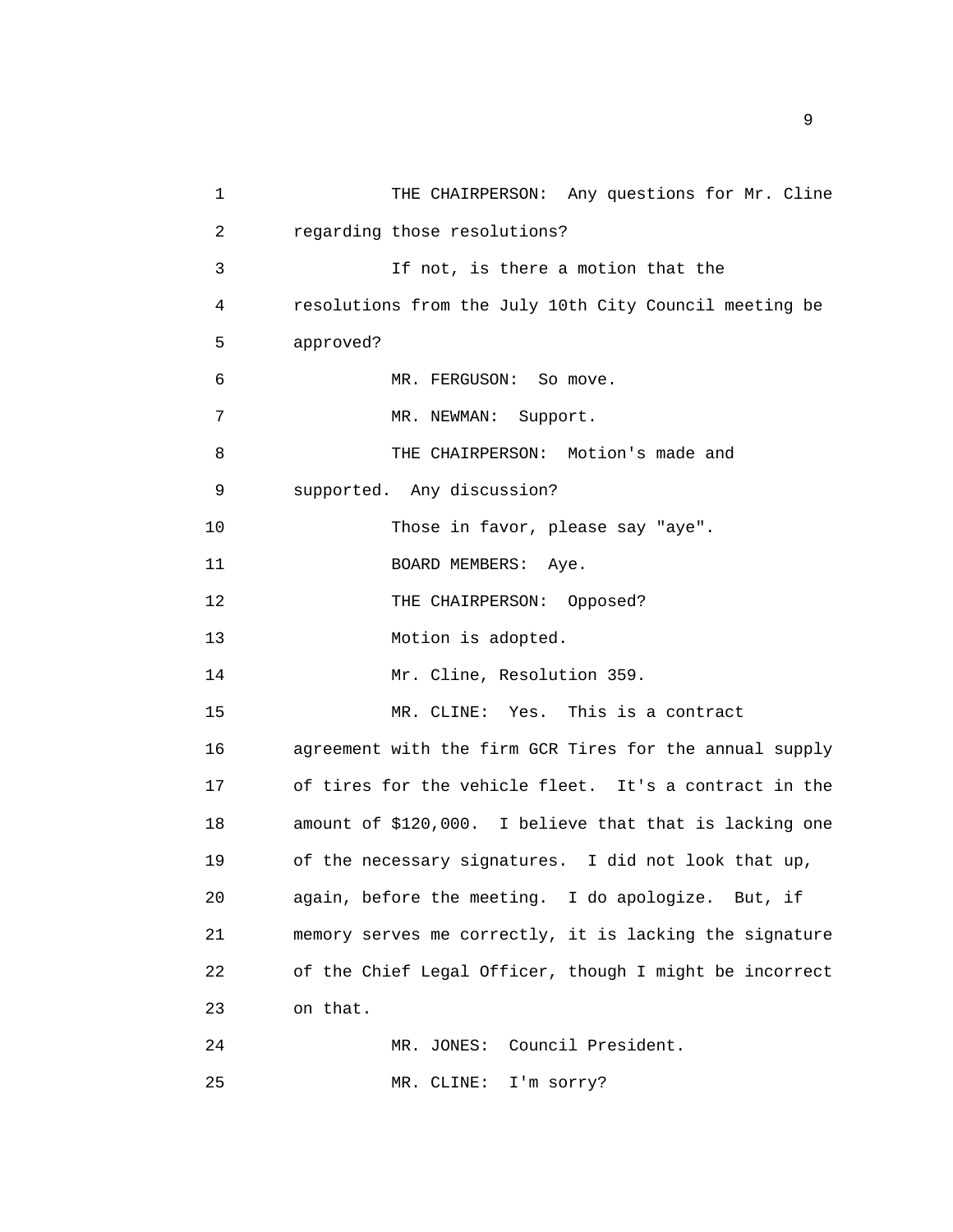| 1  | THE CHAIRPERSON: Any questions for Mr. Cline            |
|----|---------------------------------------------------------|
| 2  | regarding those resolutions?                            |
| 3  | If not, is there a motion that the                      |
| 4  | resolutions from the July 10th City Council meeting be  |
| 5  | approved?                                               |
| 6  | MR. FERGUSON: So move.                                  |
| 7  | MR. NEWMAN: Support.                                    |
| 8  | THE CHAIRPERSON: Motion's made and                      |
| 9  | supported. Any discussion?                              |
| 10 | Those in favor, please say "aye".                       |
| 11 | BOARD MEMBERS: Aye.                                     |
| 12 | THE CHAIRPERSON: Opposed?                               |
| 13 | Motion is adopted.                                      |
| 14 | Mr. Cline, Resolution 359.                              |
| 15 | MR. CLINE: Yes. This is a contract                      |
| 16 | agreement with the firm GCR Tires for the annual supply |
| 17 | of tires for the vehicle fleet. It's a contract in the  |
| 18 | amount of \$120,000. I believe that that is lacking one |
| 19 | of the necessary signatures. I did not look that up,    |
| 20 | again, before the meeting. I do apologize. But, if      |
| 21 | memory serves me correctly, it is lacking the signature |
| 22 | of the Chief Legal Officer, though I might be incorrect |
| 23 | on that.                                                |
| 24 | Council President.<br>MR. JONES:                        |
| 25 | MR. CLINE: I'm sorry?                                   |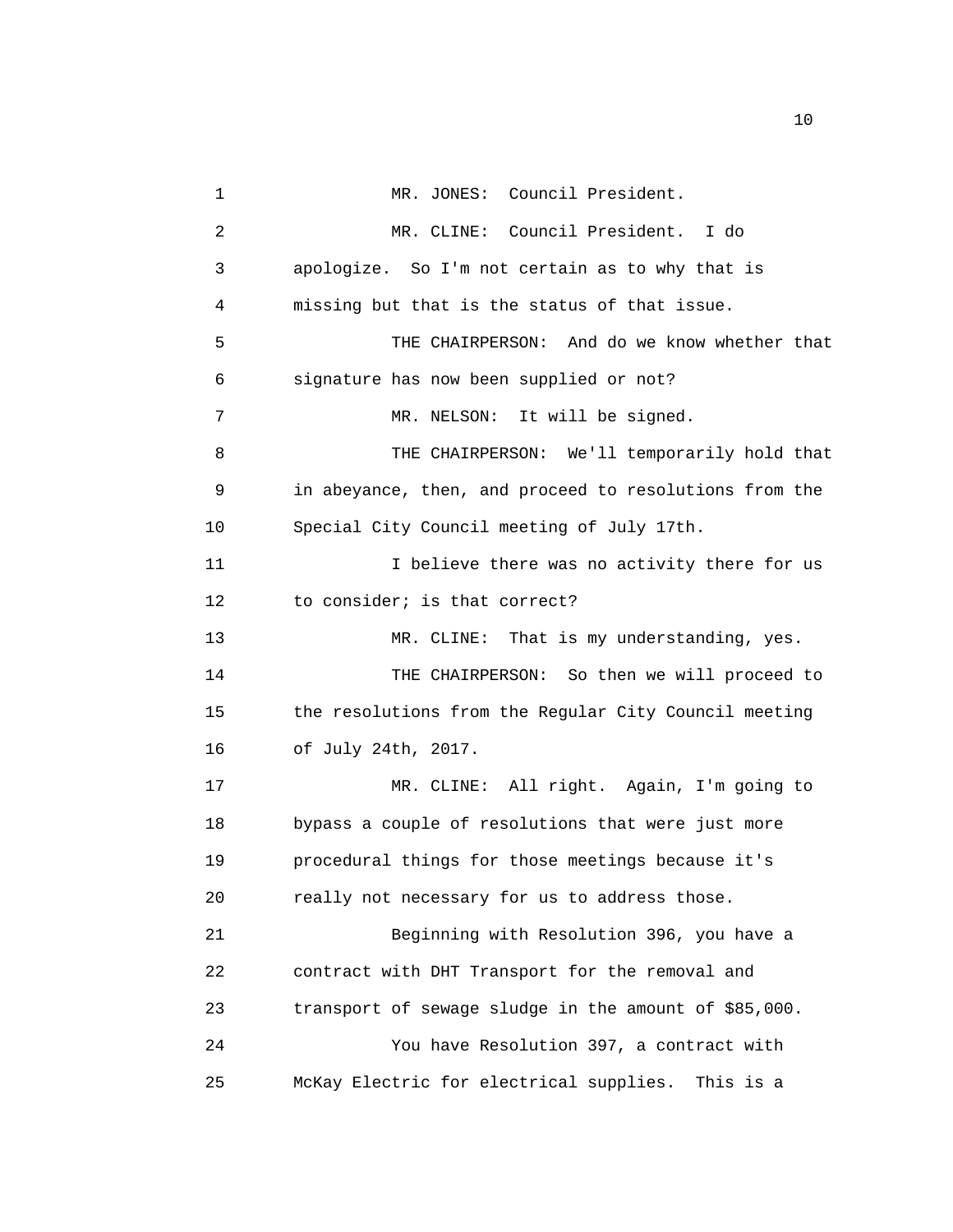1 MR. JONES: Council President. 2 MR. CLINE: Council President. I do 3 apologize. So I'm not certain as to why that is 4 missing but that is the status of that issue. 5 THE CHAIRPERSON: And do we know whether that 6 signature has now been supplied or not? 7 MR. NELSON: It will be signed. 8 THE CHAIRPERSON: We'll temporarily hold that 9 in abeyance, then, and proceed to resolutions from the 10 Special City Council meeting of July 17th. 11 11 I believe there was no activity there for us 12 to consider; is that correct? 13 MR. CLINE: That is my understanding, yes. 14 THE CHAIRPERSON: So then we will proceed to 15 the resolutions from the Regular City Council meeting 16 of July 24th, 2017. 17 MR. CLINE: All right. Again, I'm going to 18 bypass a couple of resolutions that were just more 19 procedural things for those meetings because it's 20 really not necessary for us to address those. 21 Beginning with Resolution 396, you have a 22 contract with DHT Transport for the removal and 23 transport of sewage sludge in the amount of \$85,000. 24 You have Resolution 397, a contract with 25 McKay Electric for electrical supplies. This is a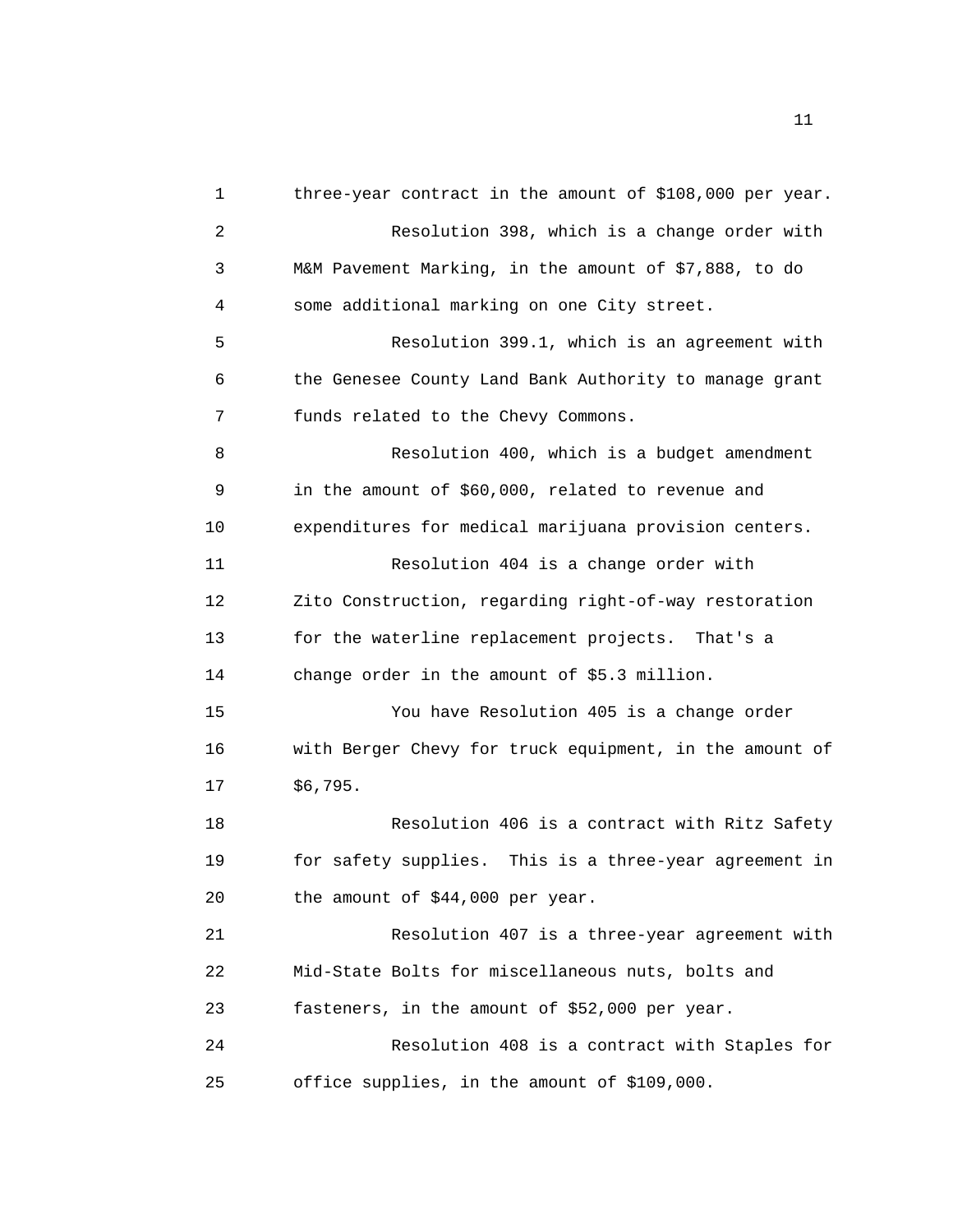1 three-year contract in the amount of \$108,000 per year. 2 Resolution 398, which is a change order with 3 M&M Pavement Marking, in the amount of \$7,888, to do 4 some additional marking on one City street. 5 Resolution 399.1, which is an agreement with 6 the Genesee County Land Bank Authority to manage grant 7 funds related to the Chevy Commons. 8 Resolution 400, which is a budget amendment 9 in the amount of \$60,000, related to revenue and 10 expenditures for medical marijuana provision centers. 11 Resolution 404 is a change order with 12 Zito Construction, regarding right-of-way restoration 13 for the waterline replacement projects. That's a 14 change order in the amount of \$5.3 million. 15 You have Resolution 405 is a change order 16 with Berger Chevy for truck equipment, in the amount of 17 \$6,795. 18 Resolution 406 is a contract with Ritz Safety 19 for safety supplies. This is a three-year agreement in 20 the amount of \$44,000 per year. 21 Resolution 407 is a three-year agreement with 22 Mid-State Bolts for miscellaneous nuts, bolts and 23 fasteners, in the amount of \$52,000 per year. 24 Resolution 408 is a contract with Staples for 25 office supplies, in the amount of \$109,000.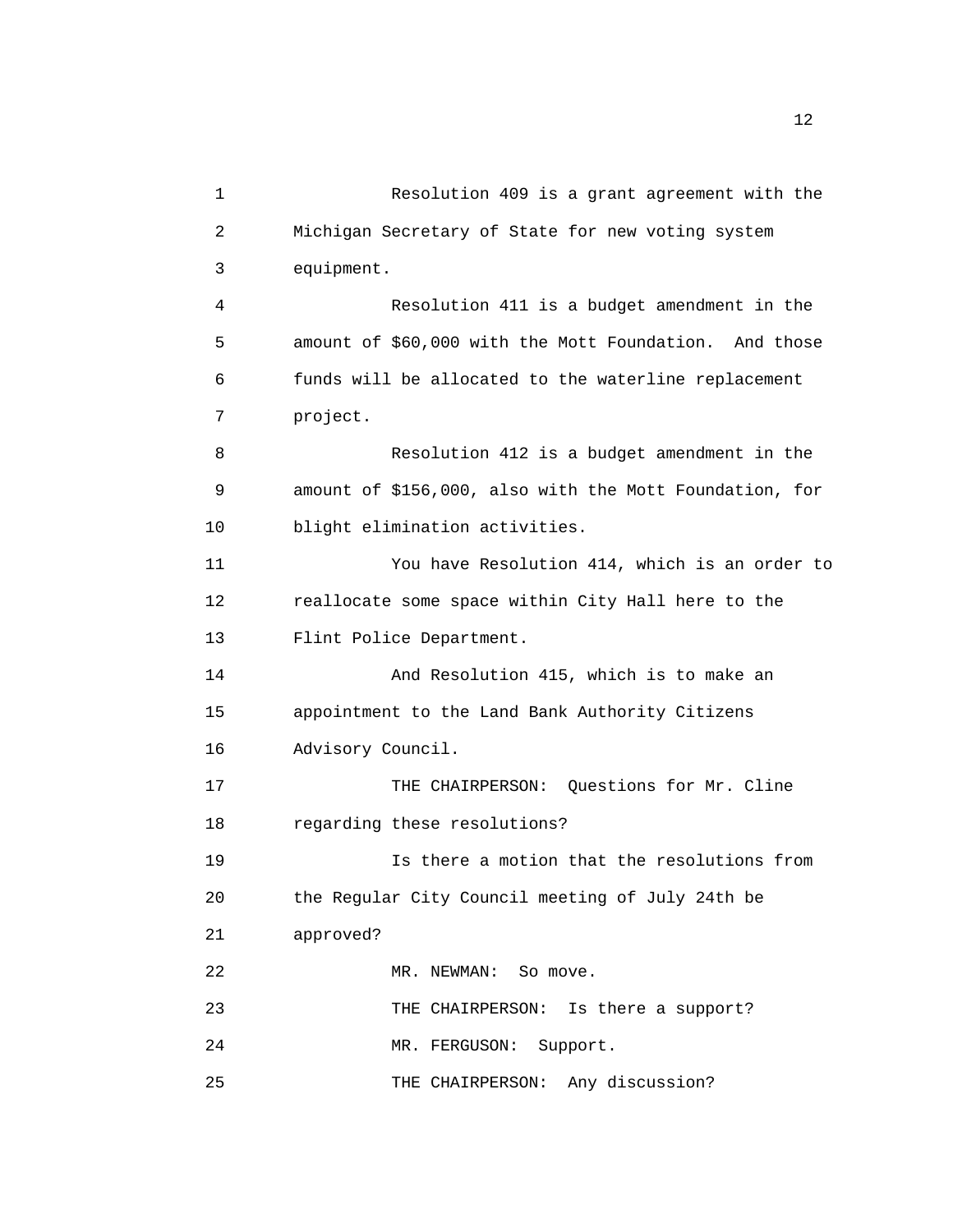| 1  | Resolution 409 is a grant agreement with the            |
|----|---------------------------------------------------------|
| 2  | Michigan Secretary of State for new voting system       |
| 3  | equipment.                                              |
| 4  | Resolution 411 is a budget amendment in the             |
| 5  | amount of \$60,000 with the Mott Foundation. And those  |
| 6  | funds will be allocated to the waterline replacement    |
| 7  | project.                                                |
| 8  | Resolution 412 is a budget amendment in the             |
| 9  | amount of \$156,000, also with the Mott Foundation, for |
| 10 | blight elimination activities.                          |
| 11 | You have Resolution 414, which is an order to           |
| 12 | reallocate some space within City Hall here to the      |
| 13 | Flint Police Department.                                |
| 14 | And Resolution 415, which is to make an                 |
| 15 | appointment to the Land Bank Authority Citizens         |
| 16 | Advisory Council.                                       |
| 17 | THE CHAIRPERSON: Questions for Mr. Cline                |
| 18 | regarding these resolutions?                            |
| 19 | Is there a motion that the resolutions from             |
| 20 | the Regular City Council meeting of July 24th be        |
| 21 | approved?                                               |
| 22 | MR. NEWMAN: So move.                                    |
| 23 | THE CHAIRPERSON: Is there a support?                    |
| 24 | MR. FERGUSON: Support.                                  |
| 25 | THE CHAIRPERSON: Any discussion?                        |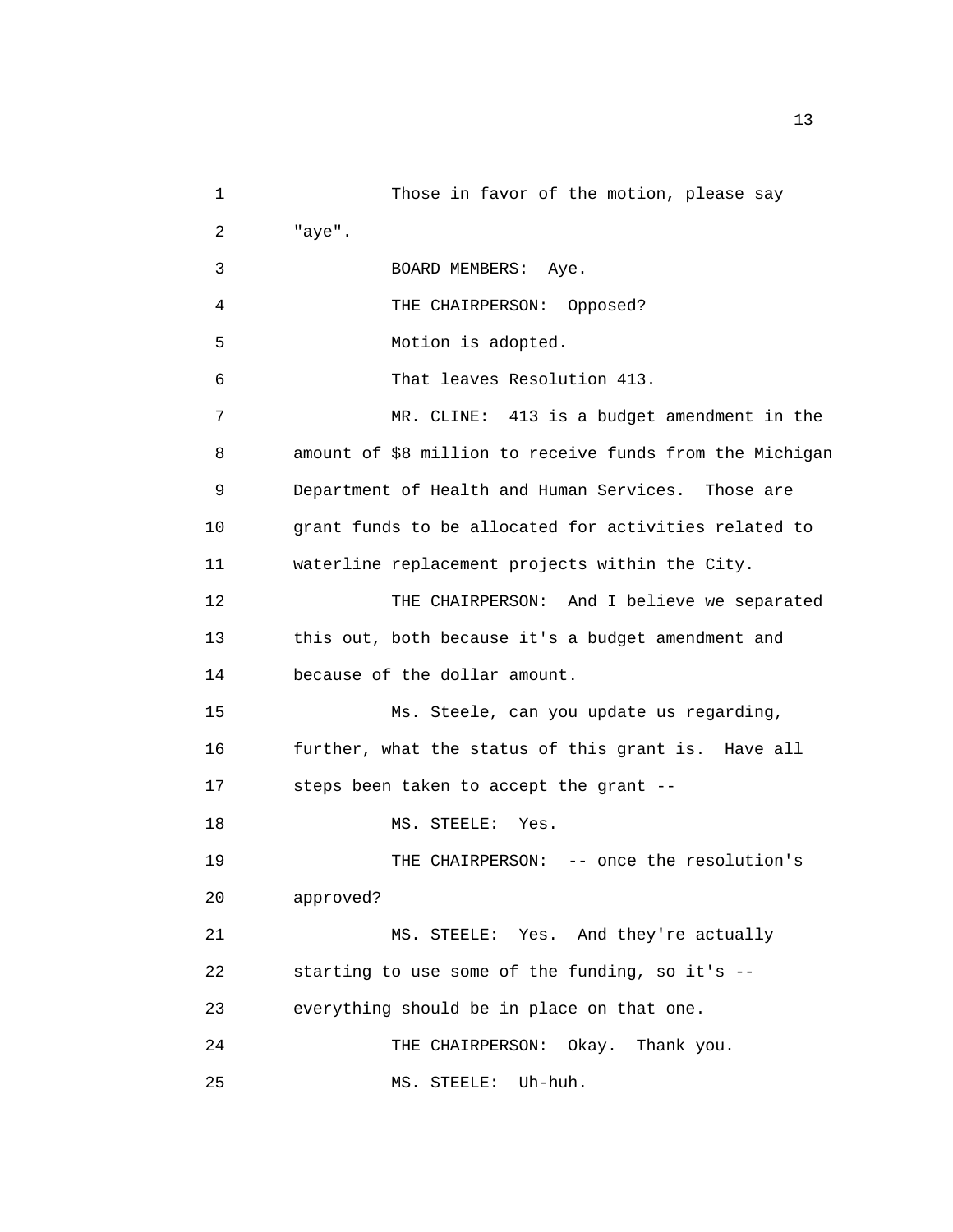1 Those in favor of the motion, please say 2 "aye". 3 BOARD MEMBERS: Aye. 4 THE CHAIRPERSON: Opposed? 5 Motion is adopted. 6 That leaves Resolution 413. 7 MR. CLINE: 413 is a budget amendment in the 8 amount of \$8 million to receive funds from the Michigan 9 Department of Health and Human Services. Those are 10 grant funds to be allocated for activities related to 11 waterline replacement projects within the City. 12 THE CHAIRPERSON: And I believe we separated 13 this out, both because it's a budget amendment and 14 because of the dollar amount. 15 Ms. Steele, can you update us regarding, 16 further, what the status of this grant is. Have all 17 steps been taken to accept the grant -- 18 MS. STEELE: Yes. 19 THE CHAIRPERSON: -- once the resolution's 20 approved? 21 MS. STEELE: Yes. And they're actually 22 starting to use some of the funding, so it's -- 23 everything should be in place on that one. 24 THE CHAIRPERSON: Okay. Thank you. 25 MS. STEELE: Uh-huh.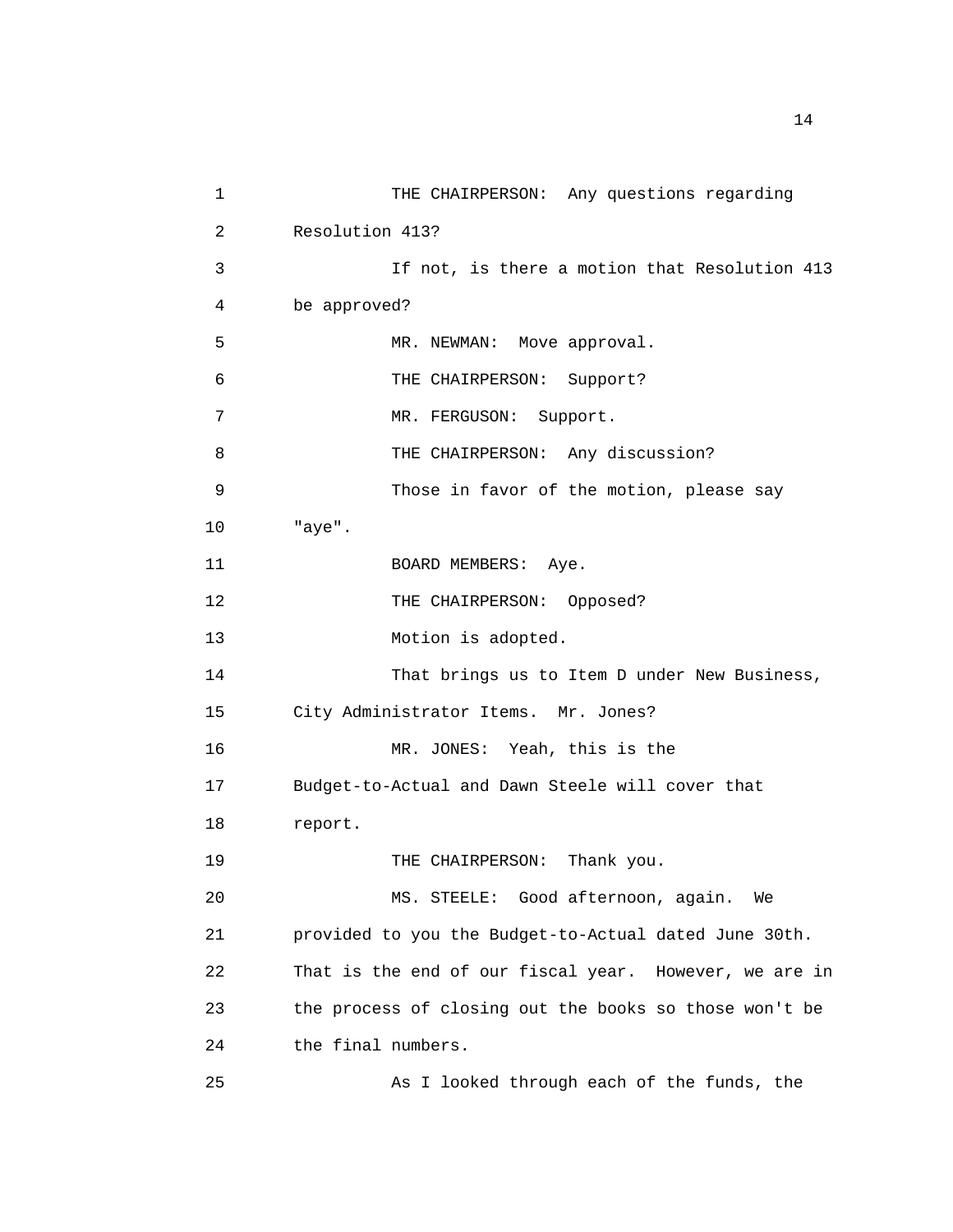1 THE CHAIRPERSON: Any questions regarding 2 Resolution 413? 3 If not, is there a motion that Resolution 413 4 be approved? 5 MR. NEWMAN: Move approval. 6 THE CHAIRPERSON: Support? 7 MR. FERGUSON: Support. 8 THE CHAIRPERSON: Any discussion? 9 Those in favor of the motion, please say 10 "aye". 11 BOARD MEMBERS: Aye. 12 THE CHAIRPERSON: Opposed? 13 Motion is adopted. 14 That brings us to Item D under New Business, 15 City Administrator Items. Mr. Jones? 16 MR. JONES: Yeah, this is the 17 Budget-to-Actual and Dawn Steele will cover that 18 report. 19 THE CHAIRPERSON: Thank you. 20 MS. STEELE: Good afternoon, again. We 21 provided to you the Budget-to-Actual dated June 30th. 22 That is the end of our fiscal year. However, we are in 23 the process of closing out the books so those won't be 24 the final numbers. 25 As I looked through each of the funds, the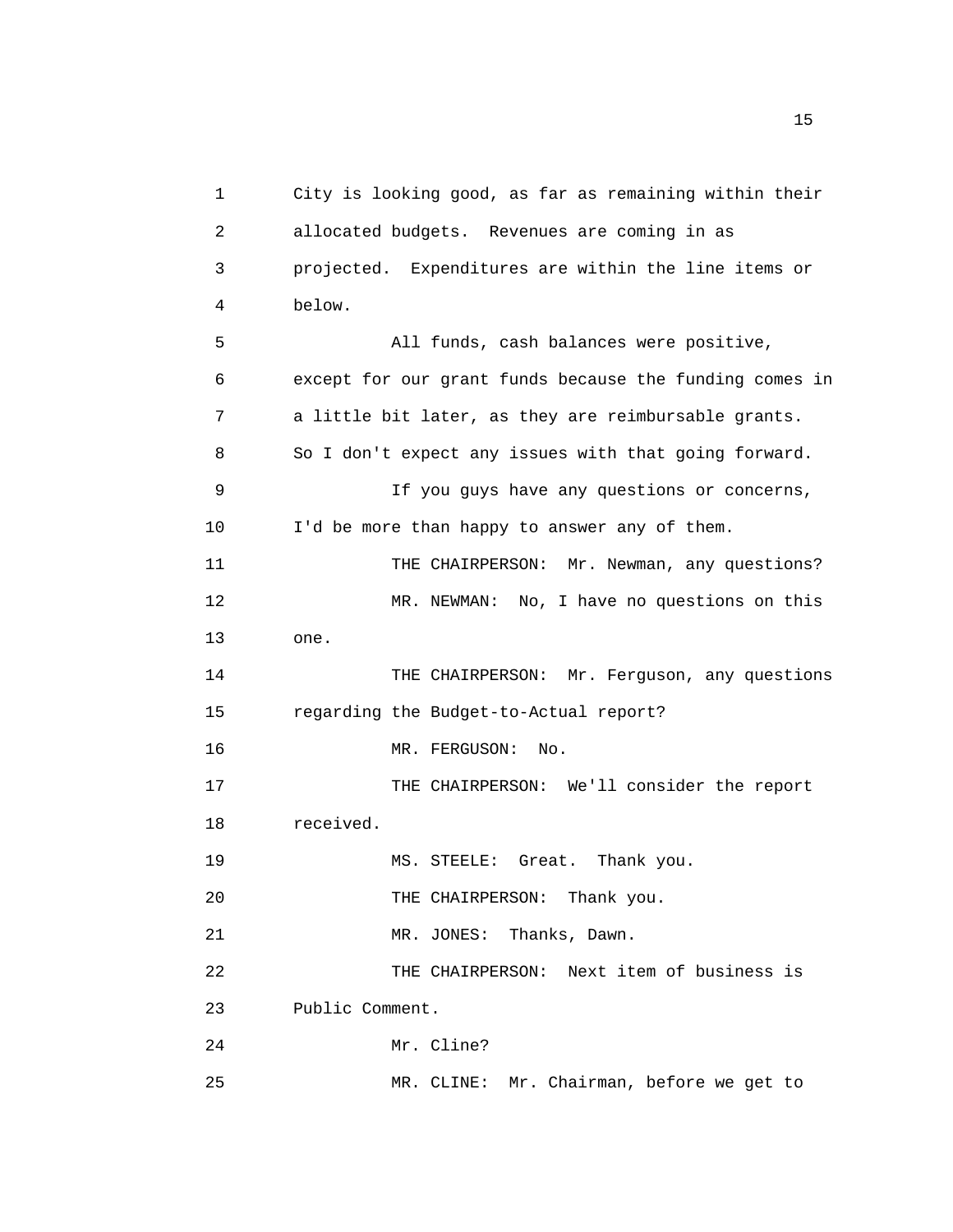1 City is looking good, as far as remaining within their 2 allocated budgets. Revenues are coming in as 3 projected. Expenditures are within the line items or 4 below. 5 All funds, cash balances were positive, 6 except for our grant funds because the funding comes in 7 a little bit later, as they are reimbursable grants. 8 So I don't expect any issues with that going forward. 9 If you guys have any questions or concerns, 10 I'd be more than happy to answer any of them. 11 THE CHAIRPERSON: Mr. Newman, any questions? 12 MR. NEWMAN: No, I have no questions on this 13 one. 14 THE CHAIRPERSON: Mr. Ferguson, any questions 15 regarding the Budget-to-Actual report? 16 MR. FERGUSON: No. 17 THE CHAIRPERSON: We'll consider the report 18 received. 19 MS. STEELE: Great. Thank you. 20 THE CHAIRPERSON: Thank you. 21 MR. JONES: Thanks, Dawn. 22 THE CHAIRPERSON: Next item of business is 23 Public Comment. 24 Mr. Cline? 25 MR. CLINE: Mr. Chairman, before we get to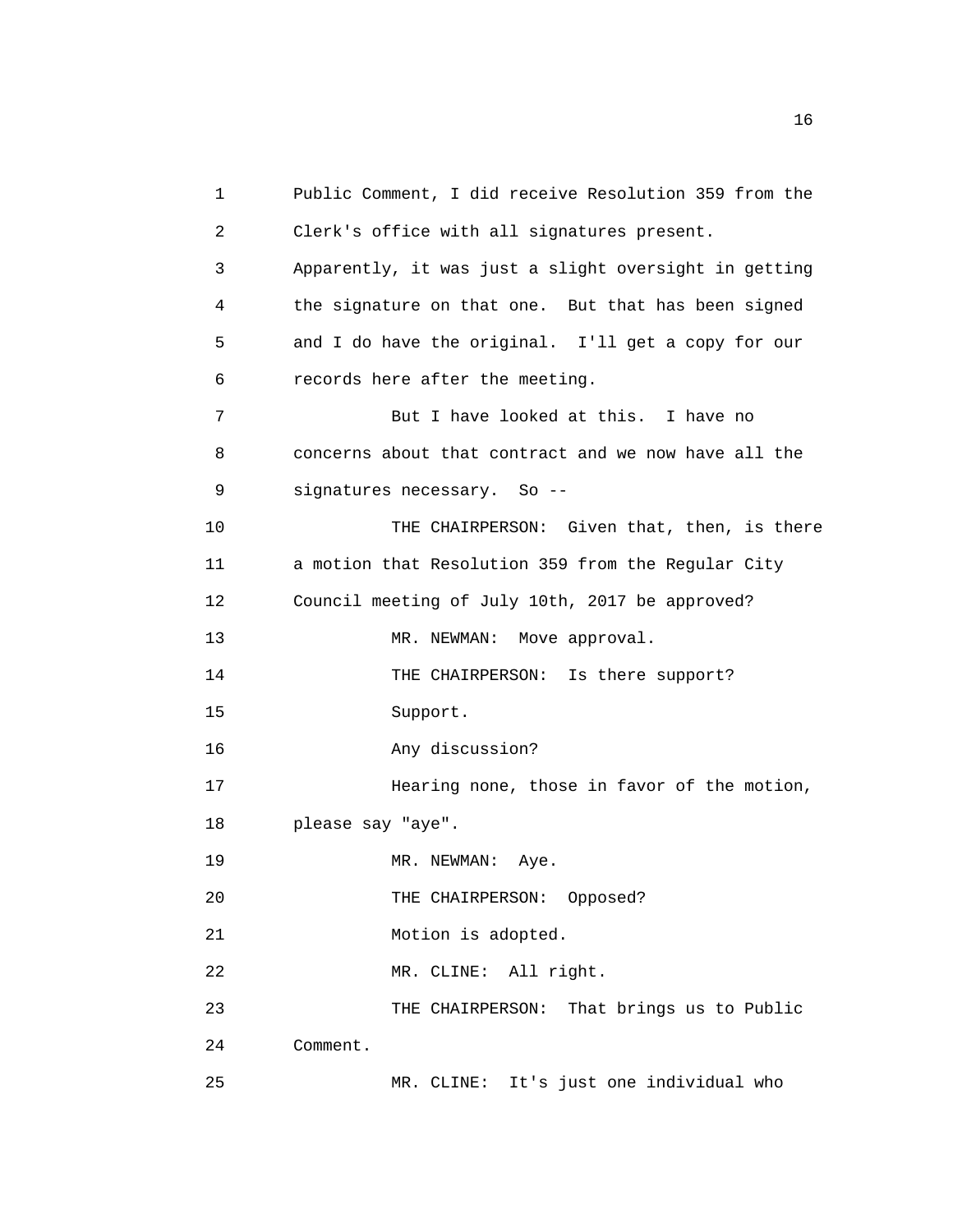| 1  | Public Comment, I did receive Resolution 359 from the |
|----|-------------------------------------------------------|
| 2  | Clerk's office with all signatures present.           |
| 3  | Apparently, it was just a slight oversight in getting |
| 4  | the signature on that one. But that has been signed   |
| 5  | and I do have the original. I'll get a copy for our   |
| 6  | records here after the meeting.                       |
| 7  | But I have looked at this. I have no                  |
| 8  | concerns about that contract and we now have all the  |
| 9  | signatures necessary. So --                           |
| 10 | THE CHAIRPERSON: Given that, then, is there           |
| 11 | a motion that Resolution 359 from the Regular City    |
| 12 | Council meeting of July 10th, 2017 be approved?       |
| 13 | MR. NEWMAN: Move approval.                            |
| 14 | THE CHAIRPERSON: Is there support?                    |
| 15 | Support.                                              |
| 16 | Any discussion?                                       |
| 17 | Hearing none, those in favor of the motion,           |
| 18 | please say "aye".                                     |
| 19 | MR. NEWMAN: Aye.                                      |
| 20 | THE CHAIRPERSON: Opposed?                             |
| 21 | Motion is adopted.                                    |
| 22 | MR. CLINE: All right.                                 |
| 23 | THE CHAIRPERSON: That brings us to Public             |
| 24 | Comment.                                              |
| 25 | MR. CLINE: It's just one individual who               |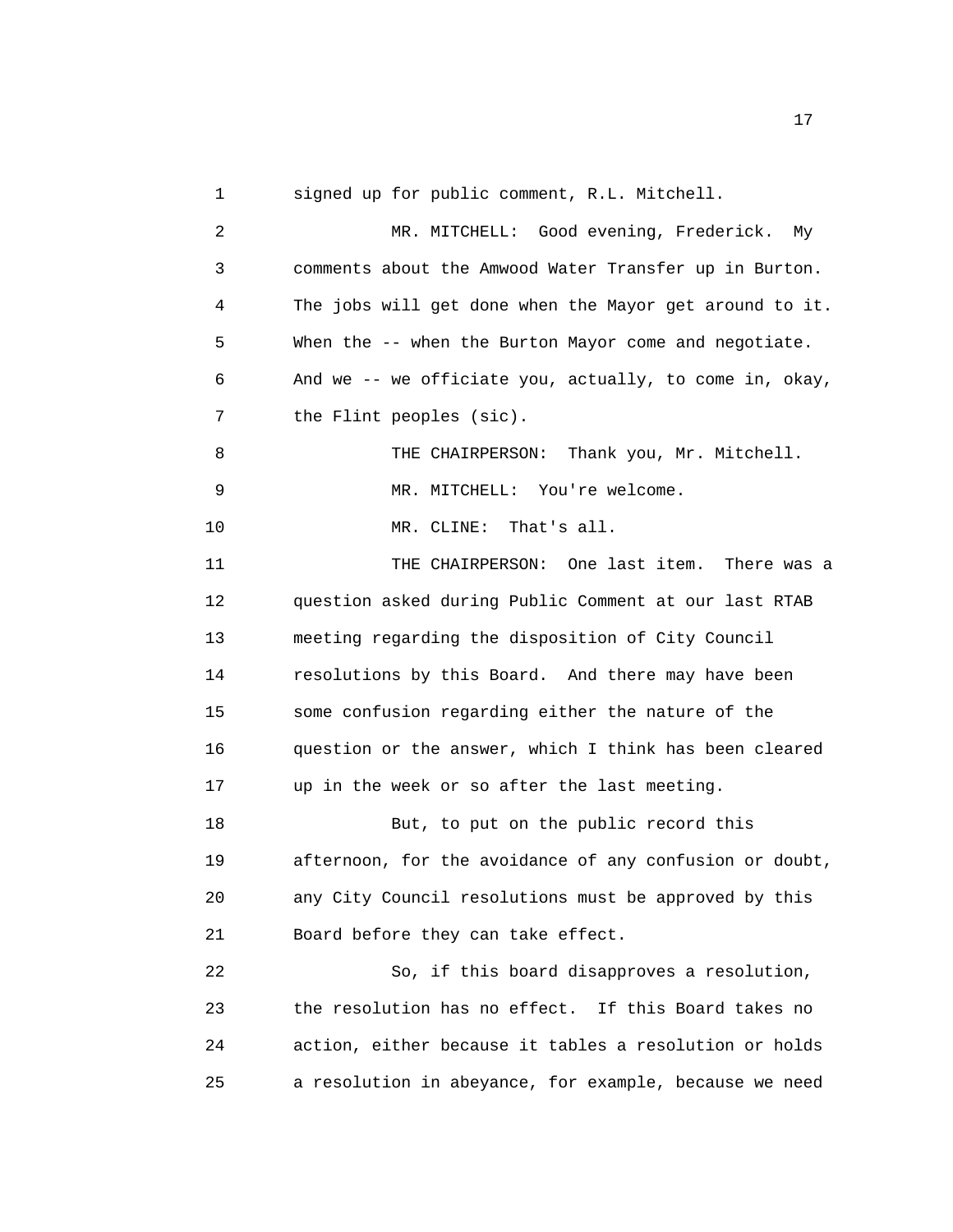1 signed up for public comment, R.L. Mitchell.

2 MR. MITCHELL: Good evening, Frederick. My 3 comments about the Amwood Water Transfer up in Burton. 4 The jobs will get done when the Mayor get around to it. 5 When the -- when the Burton Mayor come and negotiate. 6 And we -- we officiate you, actually, to come in, okay, 7 the Flint peoples (sic). 8 THE CHAIRPERSON: Thank you, Mr. Mitchell. 9 MR. MITCHELL: You're welcome. 10 MR. CLINE: That's all. 11 THE CHAIRPERSON: One last item. There was a 12 question asked during Public Comment at our last RTAB 13 meeting regarding the disposition of City Council 14 resolutions by this Board. And there may have been 15 some confusion regarding either the nature of the 16 question or the answer, which I think has been cleared 17 up in the week or so after the last meeting. 18 But, to put on the public record this 19 afternoon, for the avoidance of any confusion or doubt, 20 any City Council resolutions must be approved by this 21 Board before they can take effect. 22 So, if this board disapproves a resolution, 23 the resolution has no effect. If this Board takes no 24 action, either because it tables a resolution or holds 25 a resolution in abeyance, for example, because we need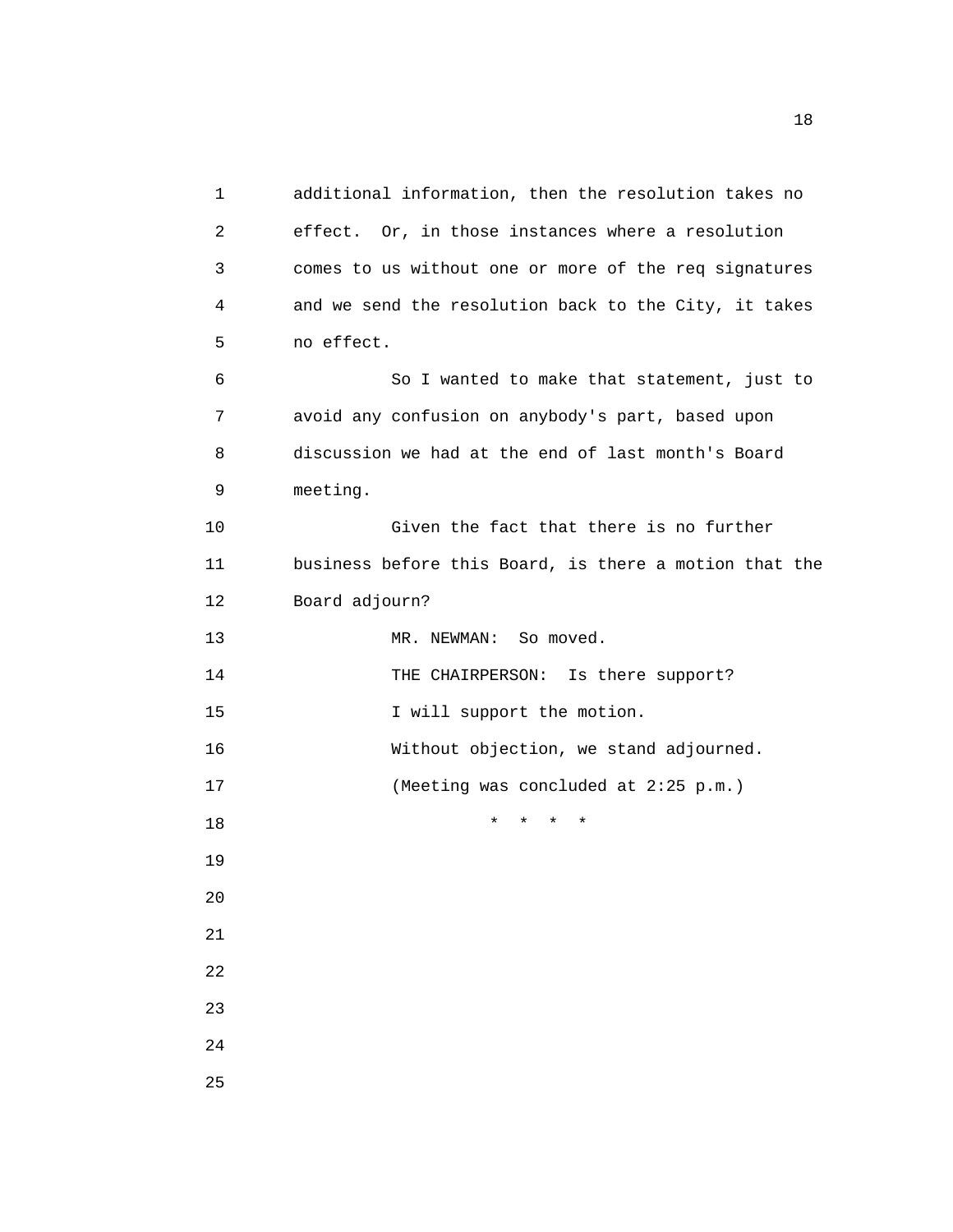1 additional information, then the resolution takes no 2 effect. Or, in those instances where a resolution 3 comes to us without one or more of the req signatures 4 and we send the resolution back to the City, it takes 5 no effect. 6 So I wanted to make that statement, just to 7 avoid any confusion on anybody's part, based upon 8 discussion we had at the end of last month's Board 9 meeting. 10 Given the fact that there is no further 11 business before this Board, is there a motion that the 12 Board adjourn? 13 MR. NEWMAN: So moved. 14 THE CHAIRPERSON: Is there support? 15 I will support the motion. 16 Without objection, we stand adjourned. 17 (Meeting was concluded at 2:25 p.m.) 18 \* \* \* \* 19 20 21 22 23 24 25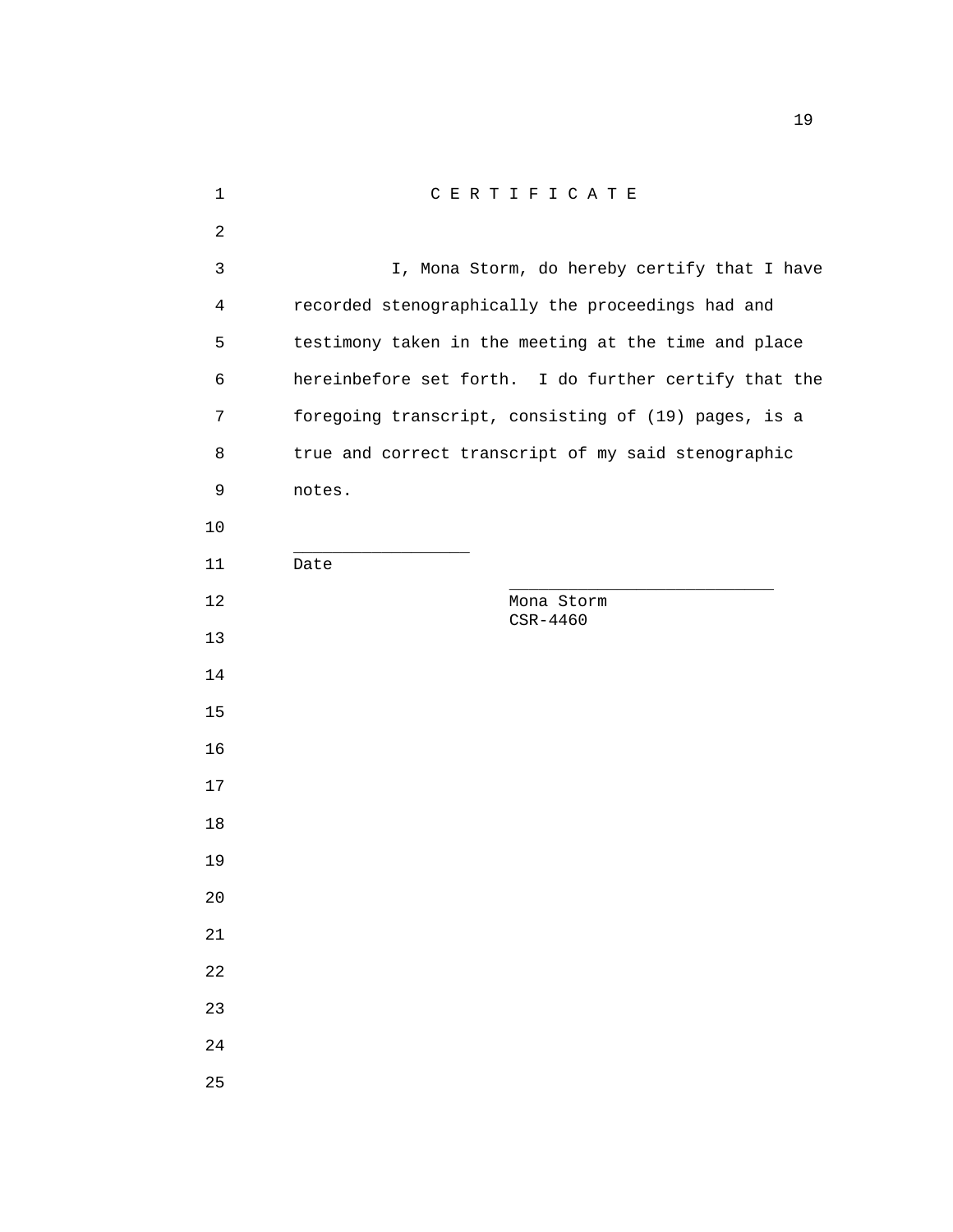| CERTIFICATE                                           |
|-------------------------------------------------------|
|                                                       |
| I, Mona Storm, do hereby certify that I have          |
| recorded stenographically the proceedings had and     |
| testimony taken in the meeting at the time and place  |
| hereinbefore set forth. I do further certify that the |
| foregoing transcript, consisting of (19) pages, is a  |
| true and correct transcript of my said stenographic   |
| notes.                                                |
|                                                       |
| Date                                                  |
| Mona Storm<br>CSR-4460                                |
|                                                       |
|                                                       |
|                                                       |
|                                                       |
|                                                       |
|                                                       |
|                                                       |
|                                                       |
|                                                       |
|                                                       |
|                                                       |
|                                                       |
|                                                       |
|                                                       |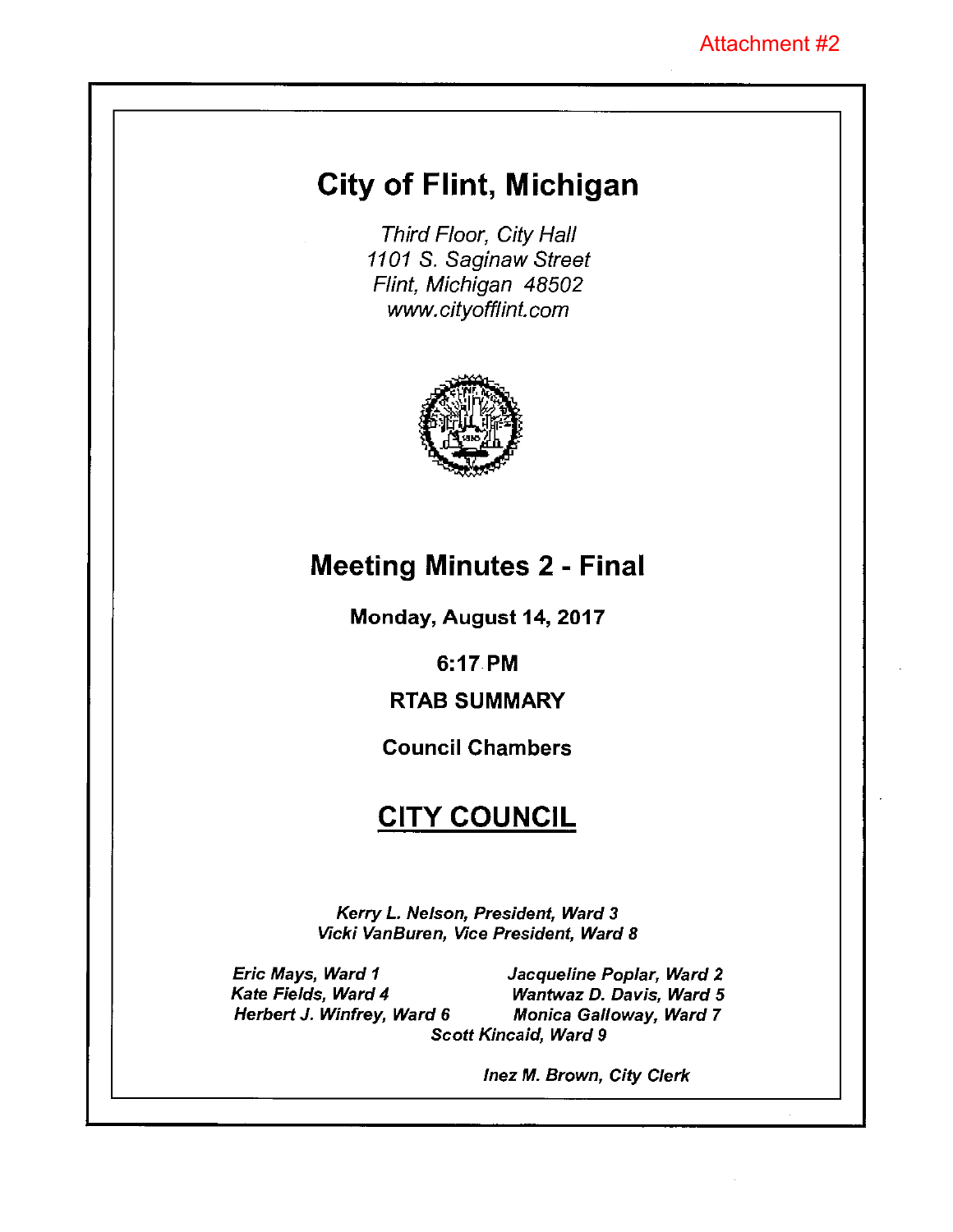# City of Flint, Michigan

Third Floor, City Hall 1101 S. Saginaw Street Flint, Michigan 48502 www.cityofflint.com



# Meeting Minutes 2 - Final

Monday, August 14, 2017

6:17 PM

# RTAB SUMMARY

# Council Chambers

# **CITY COUNCIL**

Kerry L. Nelson, President, Ward 3 Vicki VanBuren, Vice President, Ward 8

Eric Mays, Ward I Kate Fields, Ward 4 Herbert J. Winfrey, Ward 6

Jacqueline Poplar, Ward 2 Wantwaz D. Davis, Ward 5 Monica Galloway, Ward 7 Scott Kincaid, Ward 9

lnez M. Brown, City Clerk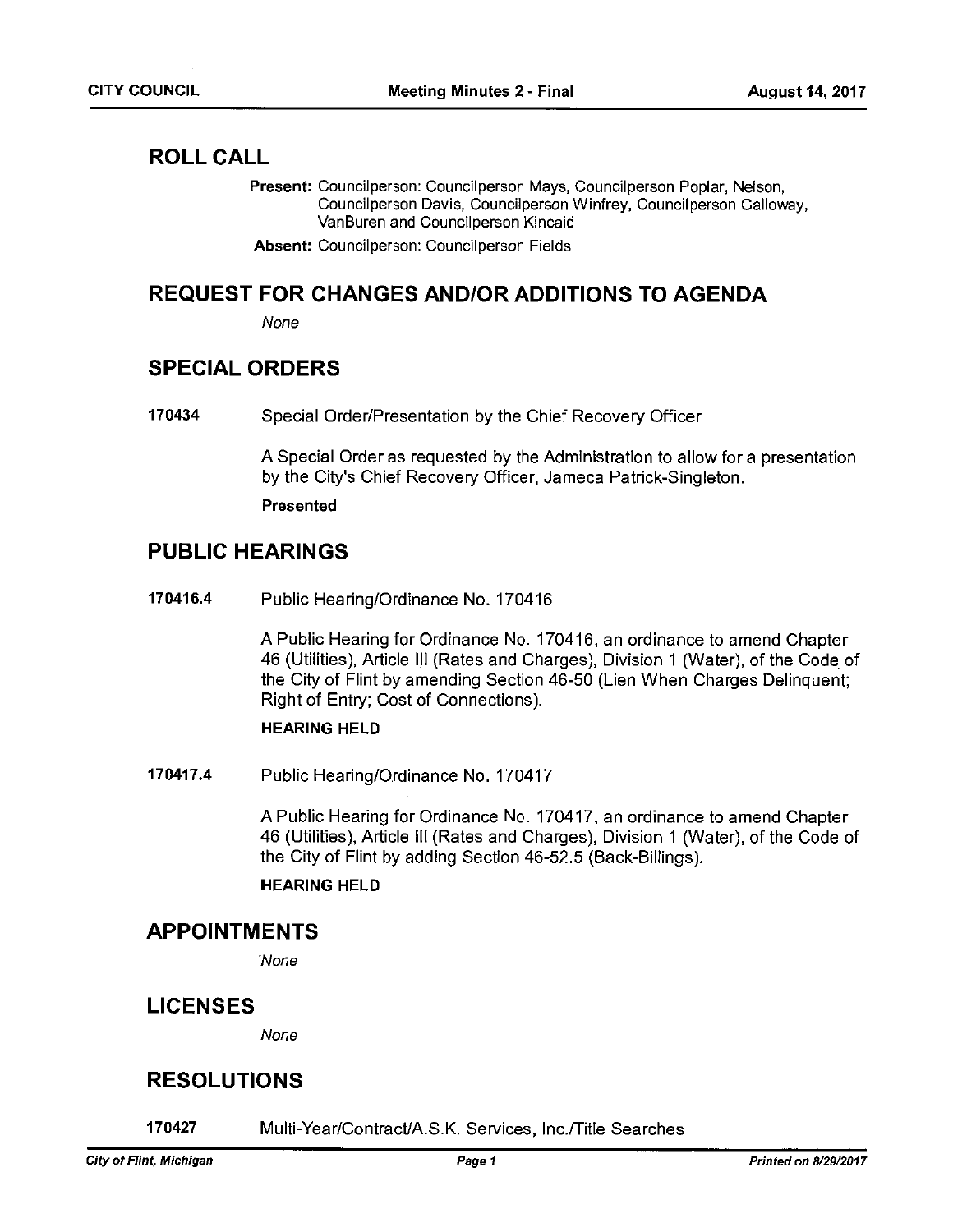## ROLL CALL

Present: Councilperson: Councilperson Mays, Councilperson Poplar, Nelson, Council person Davis, Council person Winfrey, Council person Galloway, VanBuren and Councilperson Kincaid

Absent: Councilperson: Councilperson Fields

## REQUEST FOR CHANGES AND!OR ADDITIONS TO AGENDA

None

## SPECIAL ORDERS

170434 Special Order/Presentation by the Chief Recovery Officer

A Special Order as requested by the Administration to allow for <sup>a</sup> presentation by the City's Chief Recovery Officer, Jameca Patrick-Singleton.

Presented

## PUBLIC HEARINGS

170416.4 Public Hearing/Ordinance No. 170416

A Public Hearing for Ordinance No. 170416, an ordinance to amend Chapter 46 (Utilities), Article III (Rates and Charges), Division 1 (Water), of the Code of the City of Flint by amending Section 46-50 (Lien When Charges Delinquent; Right of Entry; Cost of Connections).

### HEARING HELD

170417.4 Public Hearing/Ordinance No. 170417

A Public Hearing for Ordinance No. 170417, an ordinance to amend Chapter 46 (Utilities), Article Ill (Rates and Charges), Division I (Water), of the Code of the City of Flint by adding Section 46-52.5 (Back-Billings).

### HEARING HELD

## APPOINTMENTS

None

## LICENSES

None

## RESOLUTIONS

170427 Multi-Year/ContractJA.S.K. Services, lnc./Title Searches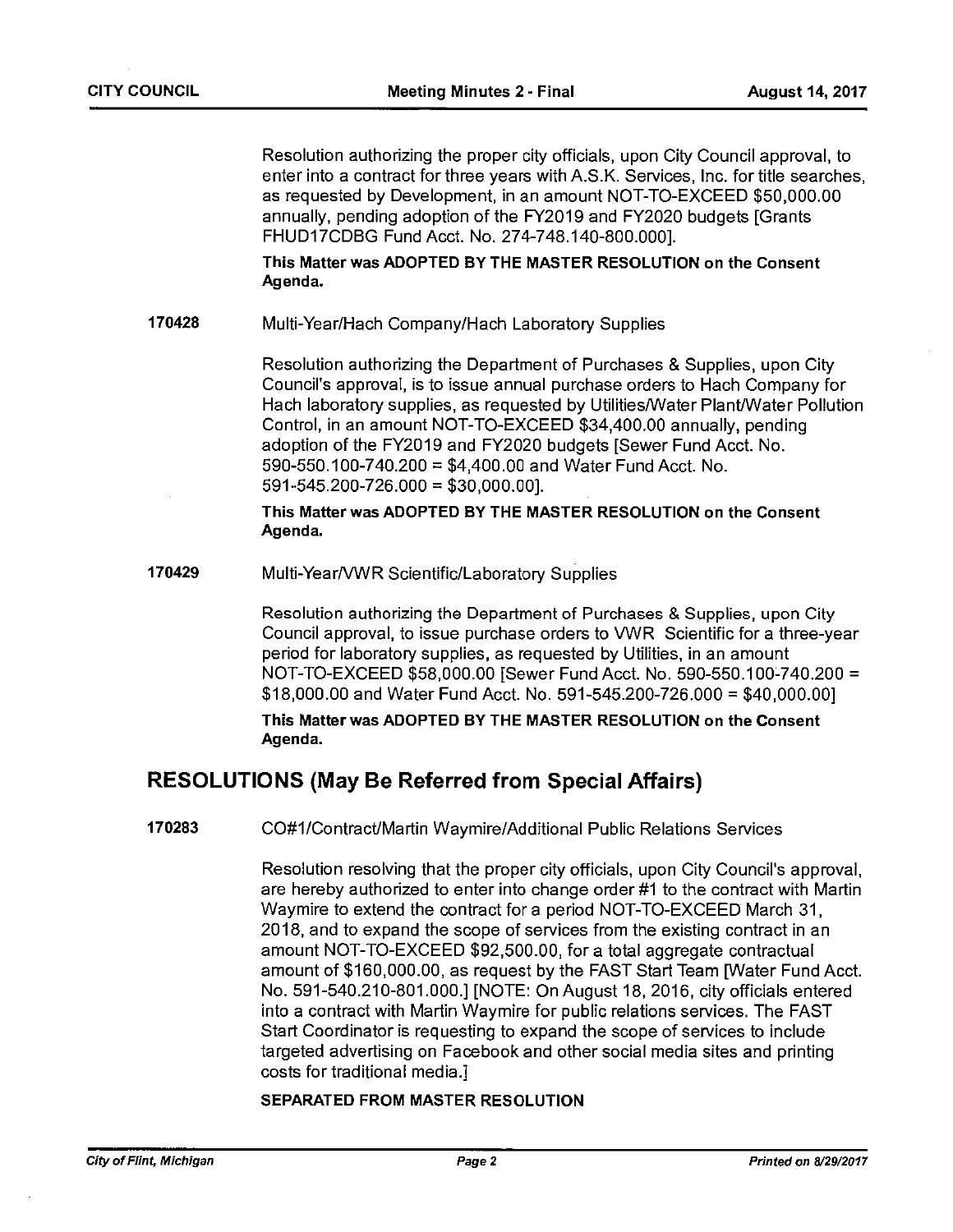Resolution authorizing the proper city officials, upon City Council approval, to enter into <sup>a</sup> contract for three years with A.S.K. Services, Inc. for title searches, as requested by Development, in an amount NOT-TO-EXCEED \$50,000.00 annually, pending adoption of the FY2019 and FY2020 budgets [Grants FHUD1 7CDBG Fund Acct. No. 274-748.140-800.000].

This Matter was ADOPTED BY THE MASTER RESOLUTION on the Consent Agenda.

### 170428 Multi-Year/Hach Company/Hach Laboratory Supplies

Resolution authorizing the Department of Purchases & Supplies, upon City Council's approval, is to issue annual purchase orders to Hach Company for Hach laboratory supplies, as requested by Utilities/Water Plant/Water Pollution Control, in an amount NOT-TO-EXCEED \$34,400.00 annually, pending adoption of the FY2019 and FY2020 budgets [Sewer Fund Acct. No. 590-550.100-740.200 = \$4,400.00 and Water Fund Acct. No. 591-545.200-726.000 = \$30,000.00].

This Matter was ADOPTED BY THE MASTER RESOLUTION on the Consent Agenda.

170429 Multi-Year/VWR Scientific/Laboratory Supplies

Resolution authorizing the Department of Purchases & Supplies, upon City Council approval, to issue purchase orders to VWR Scientific for <sup>a</sup> three-year period for laboratory supplies, as requested by Utilities, in an amount NOT-TO-EXCEED \$58,000.00 [Sewer Fund Acct. No. 590-550.100-740.200 = \$18,000.00 and Water Fund Acct. No. 591-545.200-726.000 = \$40,000.001

This Matter was ADOPTED BY THE MASTER RESOLUTION on the Consent Agenda.

## RESOLUTIONS (May Be Referred from Special Affairs)

170283 CO#1/Contract/Martin Waymire/Additional Public Relations Services

Resolution resolving that the proper city officials, upon City Council's approval, are hereby authorized to enter into change order #1 to the contract with Martin Waymire to extend the contract for <sup>a</sup> period NOT-TO-EXCEED March 31, 2018, and to expand the scope of services from the existing contract in an amount NOT-TO-EXCEED \$92,500.00, for <sup>a</sup> total aggregate contractual amount of \$160,000.00, as request by the FAST Start Team [Water Fund Acct. No. 591-540.210-801.000.] [NOTE: On August 18, 2016, city officials entered into <sup>a</sup> contract with Martin Waymire for public relations services. The FAST Start Coordinator is requesting to expand the scope of services to include targeted advertising on Facebook and other social media sites and printing costs for traditional media.}

### SEPARATED FROM MASTER RESOLUTION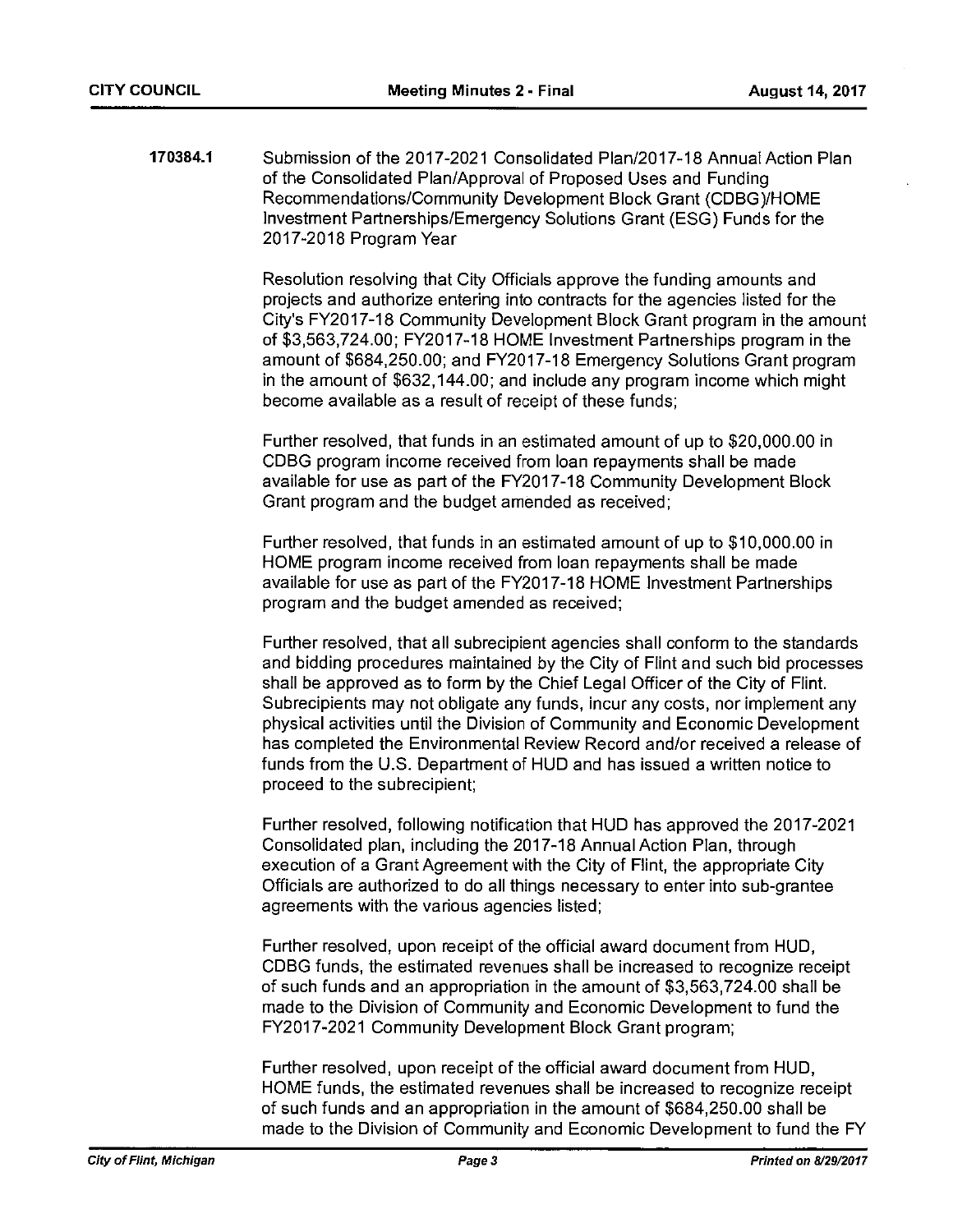170384.1 Submission of the 2017-2021 Consolidated Plan/2017-18 Annual Action Plan of the Consolidated Plan/Approval of Proposed Uses and Funding Recommendations/Community Development Block Grant (CDBG)/HOME Investment Partnerships/Emergency Solutions Grant (ESG) Funds for the 2017-2018 Program Year

> Resolution resolving that City Officials approve the funding amounts and projects and authorize entering into contracts for the agencies listed for the City's FY2017-18 Community Development Block Grant program in the amount of \$3,563,724.00; FY2017-18 HOME Investment Partnerships program in the amount of \$684,250.00; and FY20 17-18 Emergency Solutions Grant program in the amount of \$632,144.00; and include any program income which might become available as <sup>a</sup> result of receipt of these funds;

Further resolved, that funds in an estimated amount of up to \$20,000.00 in CDBG program income received from loan repayments shall be made available for use as part of the FY2017-18 Community Development Block Grant program and the budget amended as received;

Further resolved, that funds in an estimated amount of up to \$10,000.00 in HOME program income received from loan repayments shall be made available for use as part of the FY2017-18 HOME Investment Partnerships program and the budget amended as received;

Further resolved, that all subrecipient agencies shall conform to the standards and bidding procedures maintained by the City of Flint and such bid processes shall be approved as to form by the Chief Legal Officer of the City of Flint. Subrecipients may not obligate any funds, incur any costs, nor implement any physical activities until the Division of Community and Economic Development has completed the Environmental Review Record and/or received <sup>a</sup> release of funds from the U.S. Department of HUD and has issued <sup>a</sup> written notice to proceed to the subrecipient;

Further resolved, following notification that HUD has approved the 2017-2021 Consolidated plan, including the 2017-18 Annual Action Plan, through execution of <sup>a</sup> Grant Agreement with the City of Flint, the appropriate City Officials are authorized to do all things necessary to enter into sub-grantee agreements with the various agencies listed;

Further resolved, upon receipt of the official award document from HUD, CDBG funds, the estimated revenues shall be increased to recognize receipt of such funds and an appropriation in the amount of \$3,563,724.00 shall be made to the Division of Community and Economic Development to fund the FY2017-2021 Community Development Block Grant program;

Further resolved, upon receipt of the official award document from HUD, HOME funds, the estimated revenues shall be increased to recognize receipt of such funds and an appropriation in the amount of \$684,250.00 shall be made to the Division of Community and Economic Development to fund the FY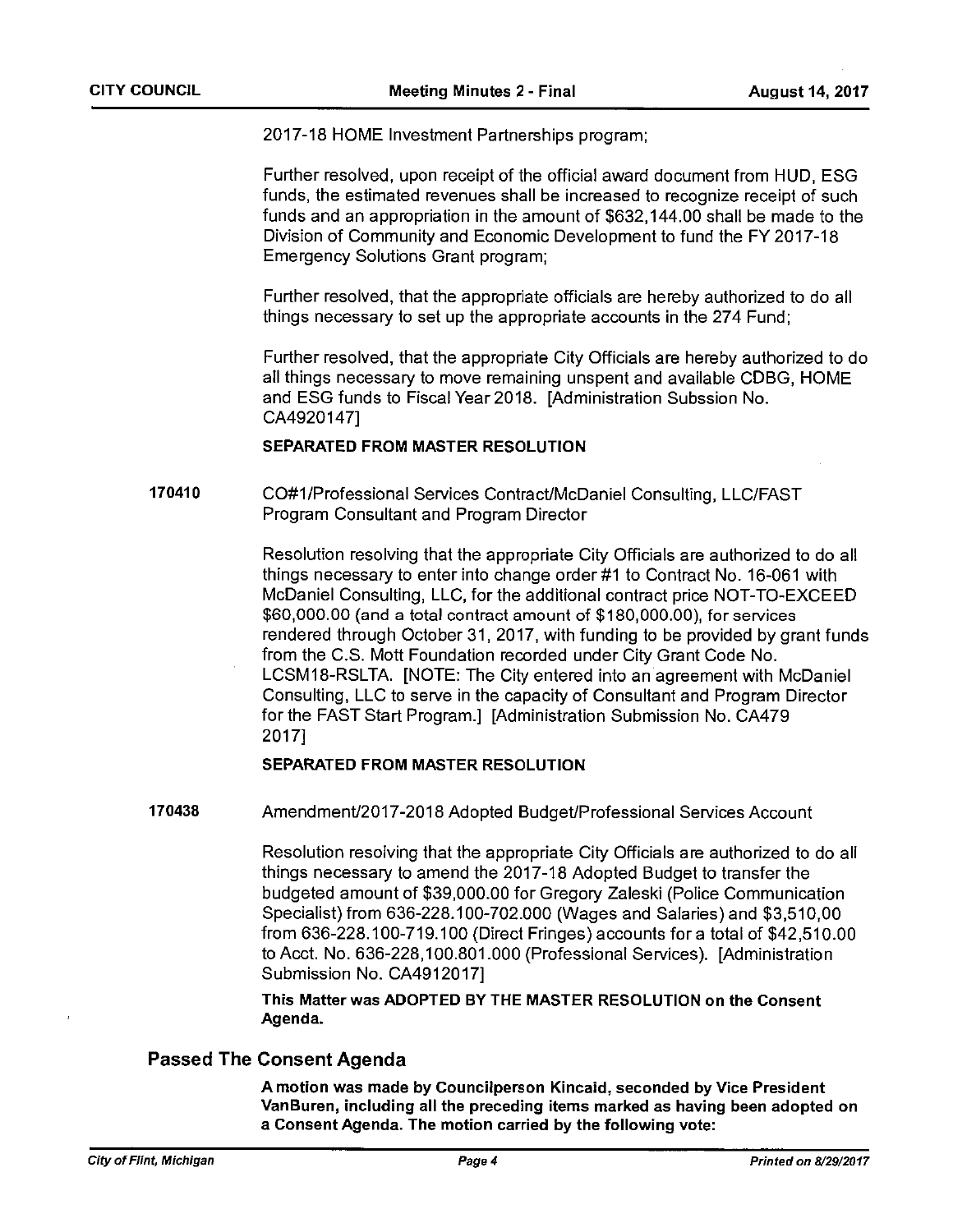2017-18 HOME Investment Partnerships program;

Further resolved, upon receipt of the official award document from HUD, ESG funds, the estimated revenues shall be increased to recognize receipt of such funds and an appropriation in the amount of \$632,144.00 shall be made to the Division of Community and Economic Development to fund the FY 2017-18 Emergency Solutions Grant program;

Further resolved, that the appropriate officials are hereby authorized to do all things necessary to set up the appropriate accounts in the 274 Fund;

Further resolved, that the appropriate City Officials are hereby authorized to do all things necessary to move remaining unspent and available CDBG, HOME and ESG funds to Fiscal Year 2018. [Administration Subssion No. CA4920147]

### SEPARATED FROM MASTER RESOLUTION

170410 CO#1 /Professional Services Contract/McDaniel Consulting, LLC/FAST Program Consultant and Program Director

> Resolution resolving that the appropriate City Officials are authorized to do all things necessary to enter into change order #1 to Contract No. 16-061 with McDaniel Consulting, LLC, for the additional contract price NOT-TO-EXCEED \$60,000.00 (and <sup>a</sup> total contract amount of \$180,000.00), for services rendered through October31, 2017, with funding to be provided by grant funds from the C.S. Mott Foundation recorded under City Grant Code No. LCSM18-RSLTA. [NOTE: The City entered into an agreement with McDaniel Consulting, LLC to serve in the capacity of Consultant and Program Director for the FAST Start Program.] [Administration Submission No. CA479 20171

### SEPARATED FROM MASTER RESOLUTION

170438 Amendment/2017-2018 Adopted Budget/Professional Services Account

Resolution resolving that the appropriate City Officials are authorized to do all things necessary to amend the 2017-18 Adopted Budget to transfer the budgeted amount of \$39,000.00 for Gregory Zaleski (Police Communication Specialist) from 636-228.1 00-702.000 (Wages and Salaries) and \$3,51 0,00 from 636-228.100-719.100 (Direct Fringes) accounts for <sup>a</sup> total of \$42,510.00 to Acct. No. 636-228,100.801.000 (Professional Services). [Administration Submission No. CA4912017]

This Matter was ADOPTED BY THE MASTER RESOLUTION on the Consent Agenda.

### Passed The Consent Agenda

A motion was made by Councilperson Kincaid, seconded by Vice President VanBuren, including all the preceding items marked as having been adopted on <sup>a</sup> Consent Agenda. The motion carried by the following vote: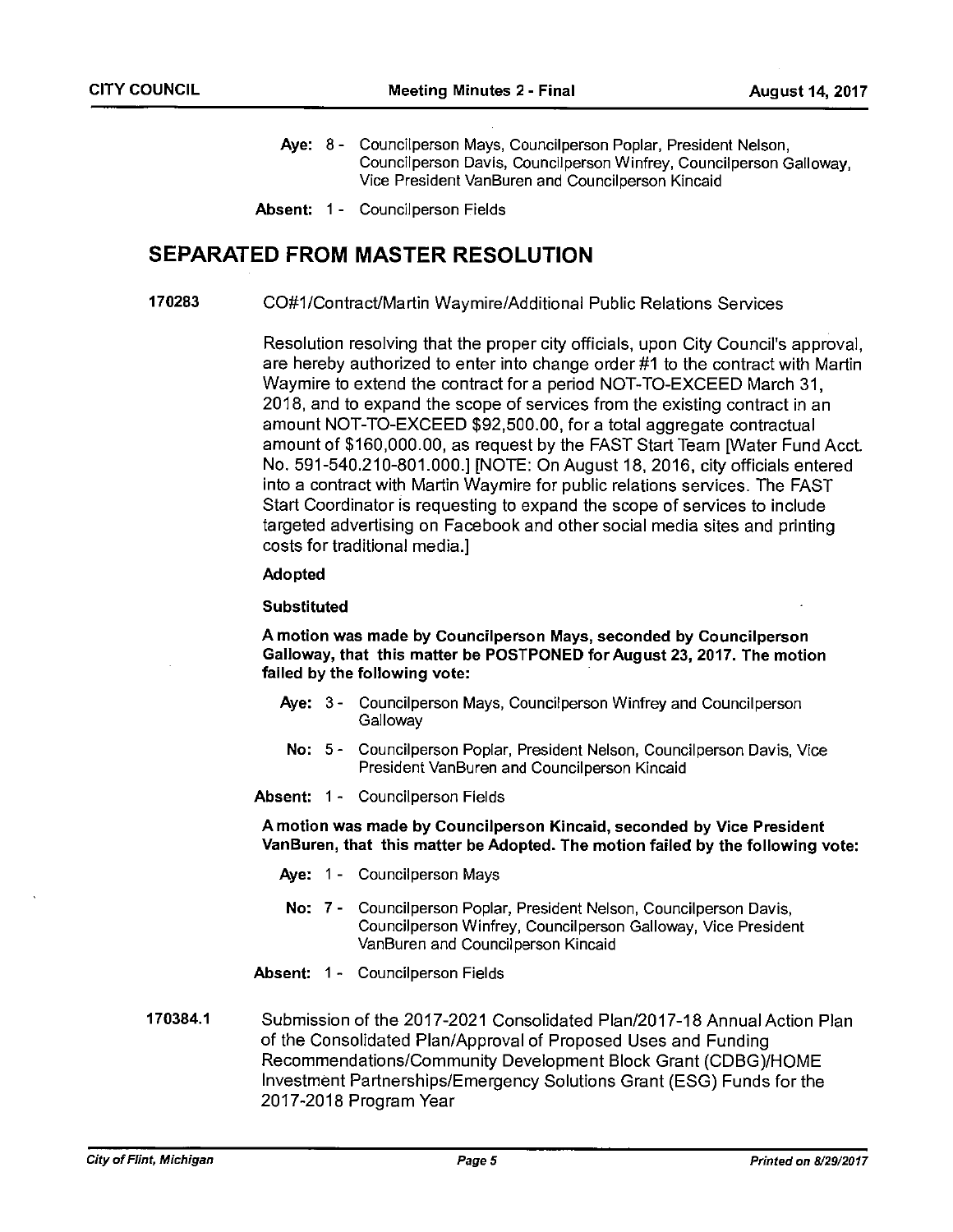- Aye: 8- Councilperson Mays, Councilperson Poplar, President Nelson, Councilperaon Davis, Councilperson Winfrey, Councilperson Galloway, Vice President VanBuren and Councilperson Kincaid
- Absent: 1 Councilperson Fields

## SEPARATED FROM MASTER RESOLUTION

170283 CO#1/Contract/Martin Waymire/Additional Public Relations Services

Resolution resolving that the proper city officials, upon City Council's approval, are hereby authorized to enter into change order #1 to the contract with Martin Waymire to extend the contract for <sup>a</sup> period NOT-TO-EXCEED March 31, 2018, and to expand the scope of services from the existing contract in an amount NOT-TO-EXCEED \$92,500.00, for <sup>a</sup> total aggregate contractual amount of \$160,000.00, as request by the FAST Start Team IWater Fund Acct. No. 591-540.210-801.000.] [NOTE: On August 18, 2016, city officials entered into <sup>a</sup> contract with Martin Waymire for public relations services. The FAST Start Coordinator is requesting to expand the scope of services to include targeted advertising on Facebook and other social media sites and printing costs for traditional media.]

### Adopted

### Substituted

A motion was made by Councilperson Mays, seconded by Councilperson Galloway, that this matter be POSTPONED for August 23, 2017. The motion failed by the following vote:

- Aye: 3 Councilperson Mays, Councilperson Winfrey and Councilperson **Galloway**
- No: 5- Councilperson Poplar, President Nelson, Councilperson Davis, Vice President VanBuren and Councilperson Kincaid
- Absent: 1 Councilperson Fields

A motion was made by Councilperson Kincaid, seconded by Vice President VanBuren, that this matter be Adopted. The motion failed by the following vote:

- Aye: 1 Councilperson Mays
- No: 7 Councilperson Poplar, President Nelson, Councilperson Davis, Councilperson Winfrey, Councilperson Galloway, Vice President VanBuren and Councilperson Kincaid
- Absent: 1 Councilperson Fields
- 170384.1 Submission of the 2017-2021 Consolidated Plan/2017-18 Annual Action Plan of the Consolidated Plan/Approval of Proposed Uses and Funding Recommendations/Community Development Block Grant (CDBG)/HOME Investment Partnerships/Emergency Solutions Grant (ESG) Funds for the 2017-2018 Program Year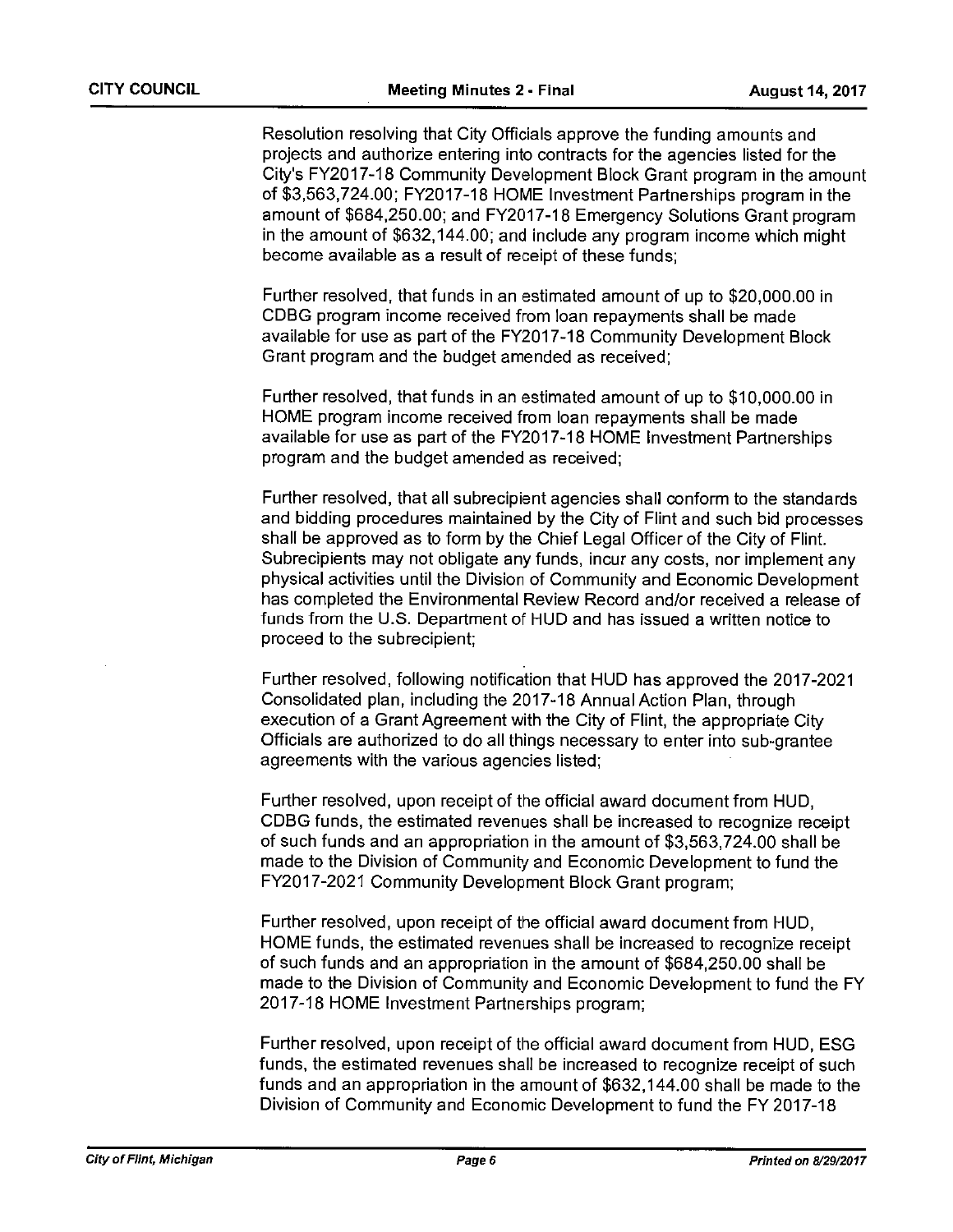Resolution resolving that City Officials approve the funding amounts and projects and authorize entering into contracts for the agencies listed for the City's FY2017-18 Community Development Block Grant program in the amount of \$3,563,724.00; FY2017-18 HOME Investment Partnerships program in the amount of \$684,250.00; and FY2017-18 Emergency Solutions Grant program in the amount of \$632,144.00; and include any program income which might become available as <sup>a</sup> result of receipt of these funds;

Further resolved, that funds in an estimated amount of up to \$20,000.00 in CDBG program income received from loan repayments shall be made available for use as part of the FY2017-18 Community Development Block Grant program and the budget amended as received;

Further resolved, that funds in an estimated amount of up to \$10,000.00 in HOME program income received from loan repayments shall be made available for use as part of the FY2017-18 HOME Investment Partnerships program and the budget amended as received;

Further resolved, that all subrecipient agencies shall conform to the standards and bidding procedures maintained by the City of Flint and such bid processes shall be approved as to form by the Chief Legal Officer of the City of Flint. Subrecipients may not obligate any funds, incur any costs, nor implement any physical activities until the Division of Community and Economic Development has completed the Environmental Review Record and/or received <sup>a</sup> release of funds from the U.S. Department of HUD and has issued <sup>a</sup> written notice to proceed to the subrecipient;

Further resolved, following notification that HUD has approved the 2017-2021 Consolidated plan, including the 2017-18 Annual Action Plan, through execution of <sup>a</sup> Grant Agreement with the City of Flint, the appropriate City Officials are authorized to do all things necessary to enter into sub-grantee agreements with the various agencies listed;

Further resolved, upon receipt of the official award document from HUD, CDBG funds, the estimated revenues shall be increased to recognize receipt of such funds and an appropriation in the amount of \$3,563,724.00 shall be made to the Division of Community and Economic Development to fund the FY2017-2021 Community Development Block Grant program;

Further resolved, upon receipt of the official award document from HUD, HOME funds, the estimated revenues shall be increased to recognize receipt of such funds and an appropriation in the amount of \$684,250.00 shall be made to the Division of Community and Economic Development to fund the FY 2017-18 HOME Investment Partnerships program;

Further resolved, upon receipt of the official award document from HUD, ESG funds, the estimated revenues shall be increased to recognize receipt of such funds and an appropriation in the amount of \$632,144.00 shall be made to the Division of Community and Economic Development to fund the FY 2017-18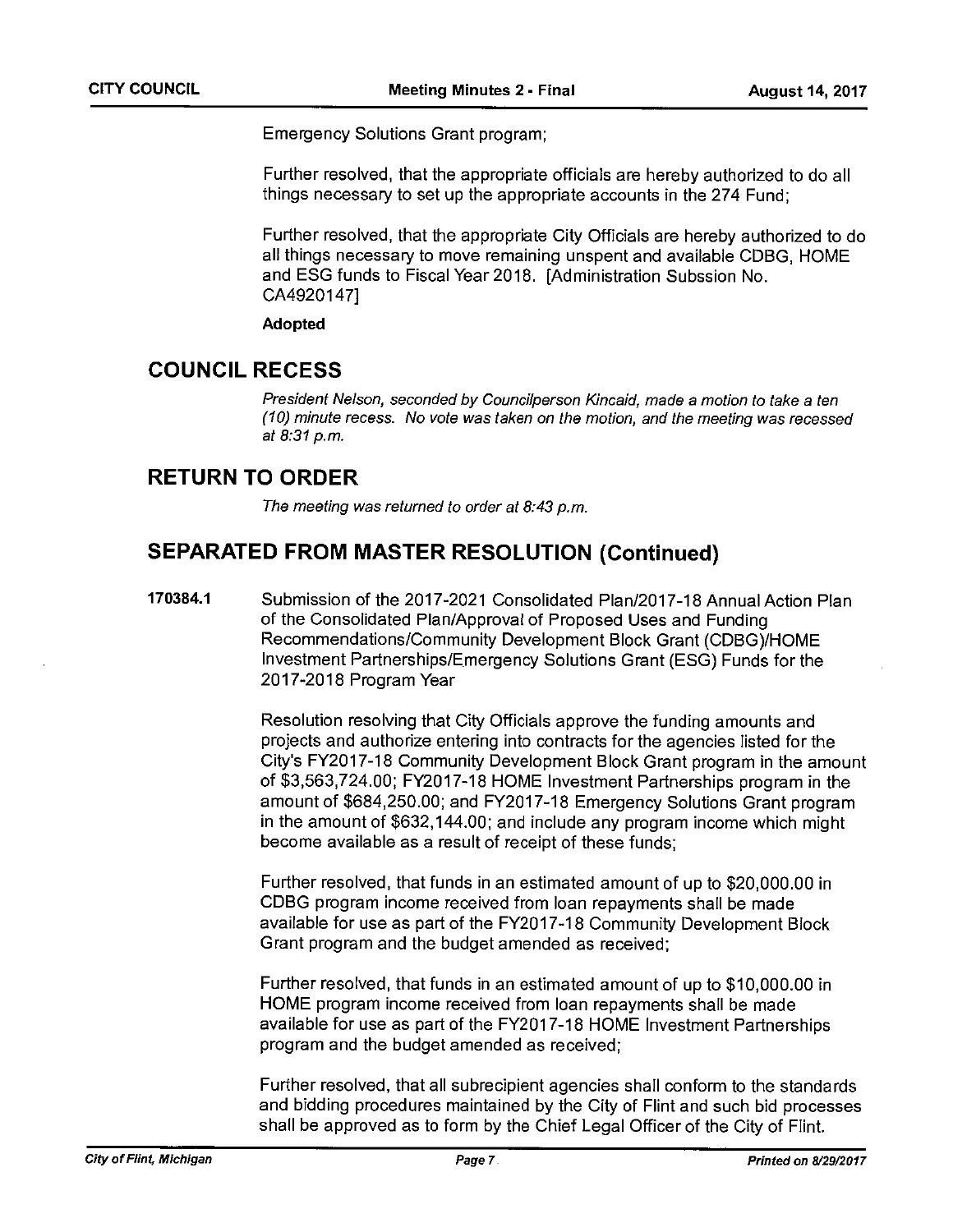Emergency Solutions Grant program;

Further resolved, that the appropriate officials are hereby authorized to do all things necessary to set up the appropriate accounts in the 274 Fund;

Further resolved, that the appropriate City Officials are hereby authorized to do all things necessary to move remaining unspent and available CDBG, HOME and ESG funds to Fiscal Year 2018. [Administration Subssion No. CA49201471

### Adopted

## COUNCIL RECESS

President Nelson, seconded by Councilperson Kincaid, made <sup>a</sup> motion to take <sup>a</sup> ten (10) minute recess. No vote was taken on the motion, and the meeting was recessed at 8.31 p.m.

## RETURN TO ORDER

The meeting was returned to order at 8:43 p.m.

## SEPARATED FROM MASTER RESOLUTION (Continued)

170384.1 Submission of the 2017-2021 Consolidated Plan/2017-18 Annual Action Plan of the Consolidated Plan/Approval of Proposed Uses and Funding Recommendations/Community Development Block Grant (CDBG)/HOME Investment Partnerships/Emergency Solutions Grant (ESG) Funds for the 2017-2018 Program Year

> Resolution resolving that City Officials approve the funding amounts and projects and authorize entering into contracts for the agencies listed for the City's FY2017-18 Community Development Block Grant program in the amount of \$3,563,724.00; FY2017-18 HOME Investment Partnerships program in the amount of \$684,250.00; and FY2017-18 Emergency Solutions Grant program in the amount of \$632,144.00; and include any program income which might become available as <sup>a</sup> result of receipt of these funds;

Further resolved, that funds in an estimated amount of up to \$20,000.00 in CDBG program income received from loan repayments shall be made available for use as part of the FY2017-18 Community Development Block Grant program and the budget amended as received;

Further resolved, that funds in an estimated amount of up to \$10,000.00 in HOME program income received from loan repayments shall be made available for use as part of the FY2O1 7-18 HOME Investment Partnerships program and the budget amended as received;

Further resolved, that all subrecipient agencies shall conform to the standards and bidding procedures maintained by the City of Flint and such bid processes shall be approved as to form by the Chief Legal Officer of the City of Flint.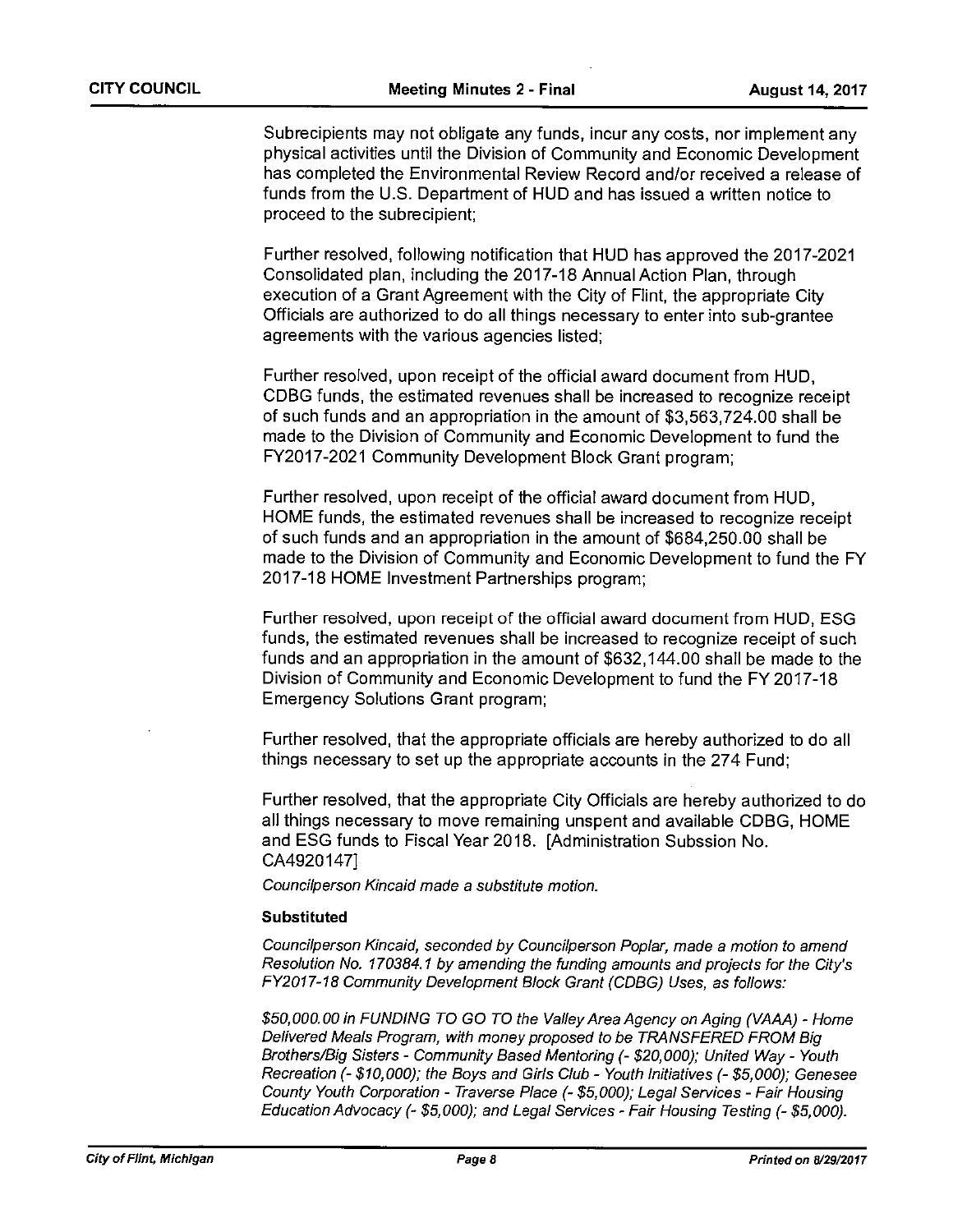Subrecipients may not obligate any funds, incur any costs, nor implement any physical activities until the Division of Community and Economic Development has completed the Environmental Review Record and/or received <sup>a</sup> release of funds from the U.S. Department of HUD and has issued <sup>a</sup> written notice to proceed to the subrecipient;

Further resolved, following notification that HUD has approved the 2017-2021 Consolidated plan, including the 2017-18 Annual Action Plan, through execution of <sup>a</sup> Grant Agreement with the City of Flint, the appropriate City Officials are authorized to do all things necessary to enter into sub-grantee agreements with the various agencies listed;

Further resolved, upon receipt of the official award document from HUD, CDBG funds, the estimated revenues shall be increased to recognize receipt of such funds and an appropriation in the amount of \$3,563,724.00 shall be made to the Division of Community and Economic Development to fund the FY2017-2021 Community Development Block Grant program;

Further resolved, upon receipt of the official award document from HUD, HOME funds, the estimated revenues shall be increased to recognize receipt of such funds and an appropriation in the amount of \$684,250.00 shall be made to the Division of Community and Economic Development to fund the FY 2017-18 HOME Investment Partnerships program;

Further resolved, upon receipt of the official award document from HUD, ESG funds, the estimated revenues shall be increased to recognize receipt of such funds and an appropriation in the amount of \$632,144.00 shall be made to the Division of Community and Economic Development to fund the FY 2017-18 Emergency Solutions Grant program;

Further resolved, that the appropriate officials are hereby authorized to do all things necessary to set up the appropriate accounts in the 274 Fund;

Further resolved, that the appropriate City Officials are hereby authorized to do all things necessary to move remaining unspent and available CDBG, HOME and ESG funds to Fiscal Year 2018. [Administration Subssion No. CA4920147]

Councilperson Kincaid made <sup>a</sup> substitute motion.

### Substituted

Councilperson Kincaid, seconded by Councilperson Poplar, made a motion to amend Resolution No. 170384.1 by amending the funding amounts and projects for the City's FY2017-18 Community Development Block Grant (CDBG) Uses, as follows:

\$50,000.00 in FUNDING TO GO TO the Valley Area Agency on Aging (VAAA) - Home Delivered Meals Program, with money proposed to be TRANSFERED FROM Big Brothers/Big Sisters - Community Based Mentoring (- \$20,000); United Way - Youth Recreation (- \$10,000); the Boys and Girls Club - Youth Initiatives (- \$5,000); Genesee County Youth Corporation - Traverse Place (- \$5,000); Legal Services - Fair Housing Education Advocacy (- \$5,000); and Legal Services - Fair Housing Testing (- \$5,000).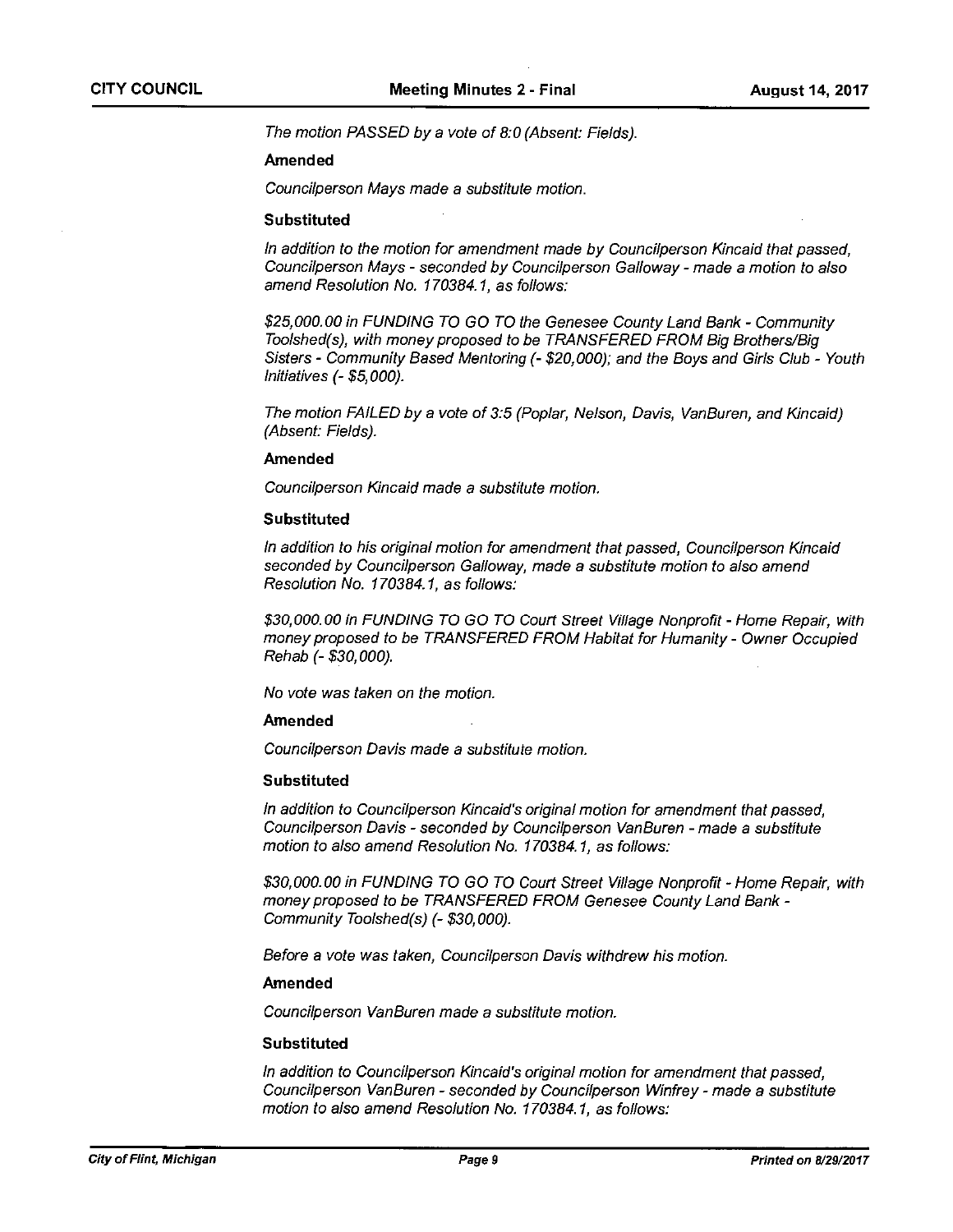The motion PASSED by <sup>a</sup> vote of 8:0 (Absent: Fields).

### Amended

Councilperson Mays made <sup>a</sup> substitute motion.

### Substituted

In addition to the motion for amendment made by Councilperson Kincaid that passed, Coundilperson Mays - seconded by Councilperson Galloway - made <sup>a</sup> motion to also amend Resolution No. 170384.1, as follows:

\$25,000.00 in FUNDING TO GO TO the Genesee County Land Bank - Community Toolshed(s), with money proposed to be TRANSFERED FROM Big Brothers/Big Sisters - Community Based Mentoring (- \$20,000); and the Boys and Girls Club - Youth Initiatives (- \$5,000).

The motion FAILED by <sup>a</sup> vote of 3:5 (Poplar, Nelson, Davis, VanBuren, and Kincaid) (Absent: Fields).

### Amended

Councilperson Kincaid made <sup>a</sup> substitute motion.

### **Substituted**

In addition to his original motion for amendment that passed, Councilperson Kincaid seconded by Councilperson Galloway, made <sup>a</sup> substitute motion to also amend Resolution No. 170384.1, as follows:

\$30,000.00 in FUNDING TO GO TO Court Street Village Nonprofit - Home Repair, with money proposed to be TRANSFERED FROM Habitat for Humanity - Owner Occupied Rehab (-\$30,000).

No vote was taken on the motion.

### Amended

Councilperson Davis made <sup>a</sup> substitute motion.

### **Substituted**

In addition to Councilperson Kincaid's original motion for amendment that passed, Councilperson Davis - seconded by Councilperson VanBuren - made <sup>a</sup> substitute motion to also amend Resolution No. 170384.1, as follows:

\$30,000.00 in FUNDING TO GO TO Court Street Village Nonprofit - Home Repair, with money proposed to be TRANSFERED FROM Genesee County Land Bank - Community Toolshed(s) (- \$30,000).

Before a vote was taken, Councilperson Davis withdrew his motion.

### Amended

Councilperson VanBuren made <sup>a</sup> substitute motion.

### **Substituted**

In addition to Councilperson Kincaid's original motion for amendment that passed, Councilperson VanBuren - seconded by Councilperson Winfrey - made <sup>a</sup> substitute motion to also amend Resolution No. 170384.1, as follows: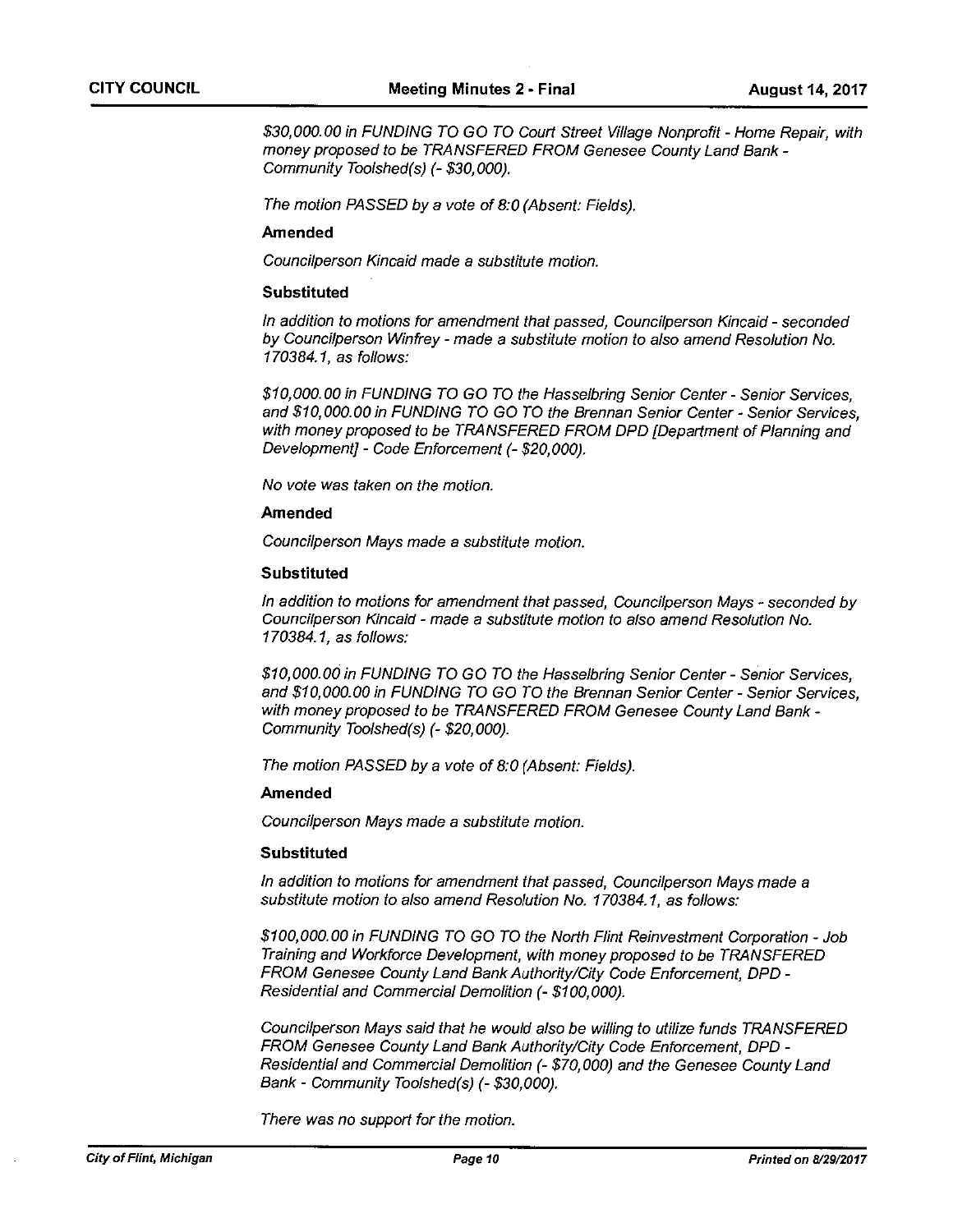\$30,000.00 in FUNDING TO GO TO Court Street WI/age Nonprofit - Home Repair, with money proposed to be TRANSFERED FROM Genesee County Land Bank - Community Toolshed(s) (- \$30,000).

The motion PASSED by <sup>a</sup> vote of 8:0 (Absent: Fields).

### Amended

Councilperson kincaid made <sup>a</sup> substitute motion.

### Substituted

In addition to motions for amendment that passed, Councilperson Kincaid - seconded by Councilperson Winfrey - made <sup>a</sup> substitute motion to also amend Resolution No. 170384.1, as follows:

\$10,000.00 in FUNDING TO GO TO the Hasselbring Senior Center - Senior Services, and \$10,000.00 in FUNDING TO GO TO the Brennan Senior Center - Senior Services, with money proposed to be TRANSFERED FROM DPD [Department of Planning and Development] - Code Enforcement (- \$20,000).

No vote was taken on the motion.

### Amended

Councilperson Mays made <sup>a</sup> substitute motion.

### **Substituted**

In addition to motions for amendment that passed, Councilperson Mays - seconded by Coundilperson Kincaid - made <sup>a</sup> substitute motion to also amend Resolution No. 170384.1, as follows:

\$10,000.00 in FUNDING TO GO TO the Hasselbring Senior Center - Senior Services, and \$10,000.00 in FUNDING TO GO TO the Brennan Senior Center - Senior Services, with money proposed to be TRANSFERED FROM Genesee County Land Bank - Community Toolshed(s) (- \$20,000).

The motion PASSED by <sup>a</sup> vote of 8:0 (Absent: Fields).

### Amended

Councilperson Mays made a substitute motion.

### Substituted

In addition to motions for amendment that passed, Councilperson Mays made <sup>a</sup> substitute motion to also amend Resolution No. 170384.1, as follows:

\$100,000.00 in FUNDING TO GO TO the North Flint Reinvestment Corporation - Job Training and Workforce Development, with money proposed to be TRANSFERED FROM Genesee County Land Bank Authority/City Code Enforcement, DPD - Residential and Commercial Demolition (- \$100,000).

Councilperson Mays said that he would also be willing to utilize funds TRANSFERED FROM Genesee County Land Bank Authority/City Code Enforcement, DPD - Residential and Commercial Demolition (- \$70,000) and the Genesee County Land Bank - Community Toolshed(s) (- \$30,000).

There was no support for the motion.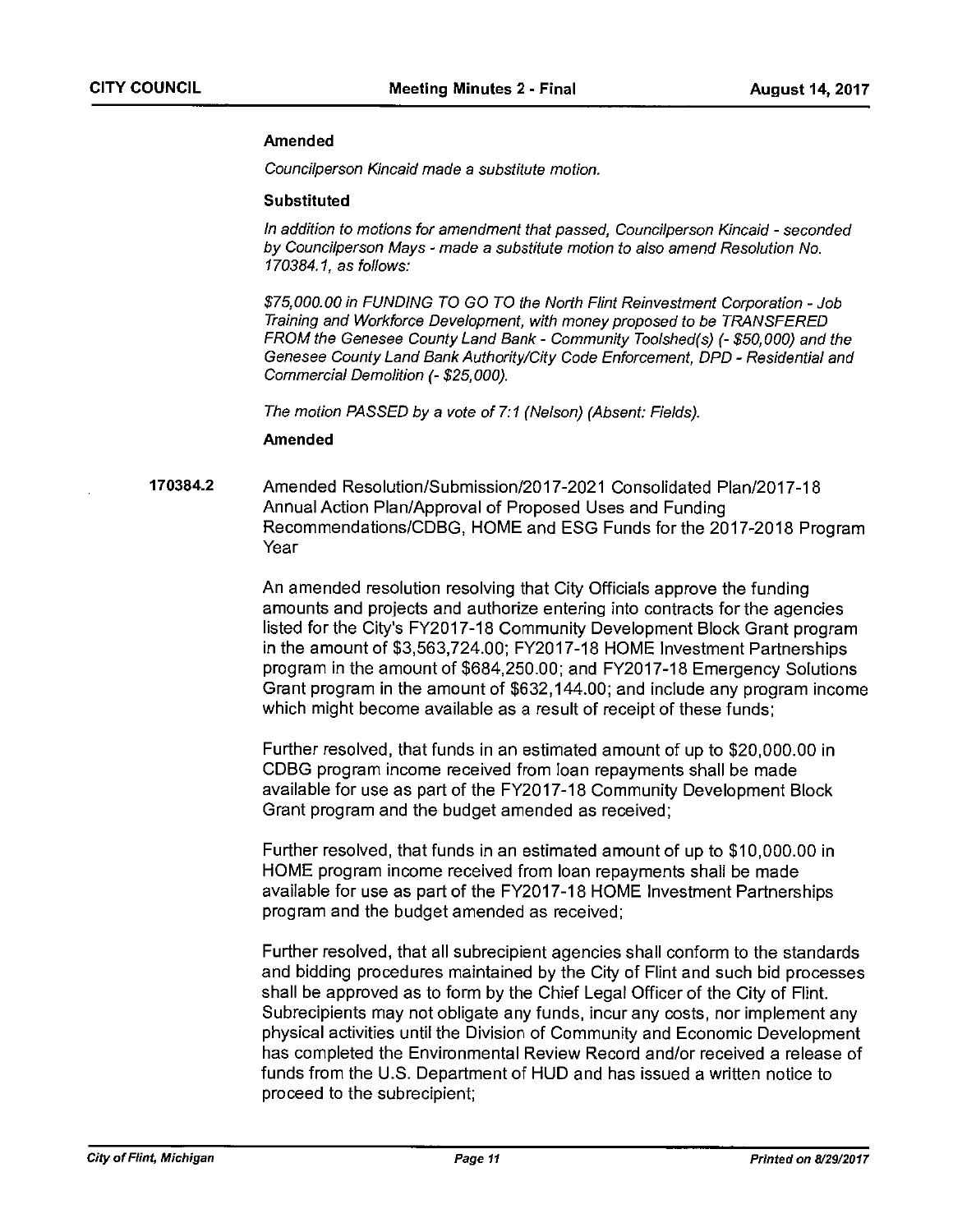### Amended

Councilperson Kincaid made <sup>a</sup> substitute motion.

### Substituted

In addition to motions for amendment that passed, Councilperson Kincaid - seconded by Councilperson Mays - made <sup>a</sup> substitute motion to also amend Resolution No. 170384.1, as follows:

\$75,000.00 in FUNDING TO GO TO the North Flint Reinvestment Corporation - Job Training and Workforce Development, with money proposed to be TRANSFERED FROM the Genesee County Land Bank - Community Toolshed(s) (- \$50,000) and the Genesee County Land Bank Authority/City Code Enforcement, DPD - Residential and Commercial Demolition (- \$25,000).

The motion PASSED by <sup>a</sup> vote of 7:1 (Nelson) (Absent: Fields).

### Amended

170384.2 Amended Resolution/Submission/2017-2021 Consolidated Plan/2017-18 Annual Action Plan/Approval of Proposed Uses and Funding Recommendations/CDBG, HOME and ESG Funds for the 2017-2018 Program Year

> An amended resolution resolving that City Officials approve the funding amounts and projects and authorize entering into contracts for the agencies listed for the City's FY2017-18 Community Development Block Grant program in the amount of \$3,563,724.00; FY2017-18 HOME Investment Partnerships program in the amount of \$684,250.00; and FY2017-18 Emergency Solutions Grant program in the amount of \$632,144.00; and include any program income which might become available as <sup>a</sup> result of receipt of these funds;

Further resolved, that funds in an estimated amount of up to \$20,000.00 in CDBG program income received from loan repayments shall be made available for use as part of the FY2017-18 Community Development Block Grant program and the budget amended as received;

Further resolved, that funds in an estimated amount of up to \$10,000.00 in HOME program income received from loan repayments shall be made available for use as part of the FY2O1 7-18 HOME Investment Partnerships program and the budget amended as received;

Further resolved, that all subrecipient agencies shall conform to the standards and bidding procedures maintained by the City of Flint and such bid processes shall be approved as to form by the Chief Legal Officer of the City of Flint. Subrecipients may not obligate any funds, incur any costs, nor implement any physical activities until the Division of Community and Economic Development has completed the Environmental Review Record and/or received <sup>a</sup> release of funds from the U.S. Department of HUD and has issued <sup>a</sup> written notice to proceed to the subrecipient;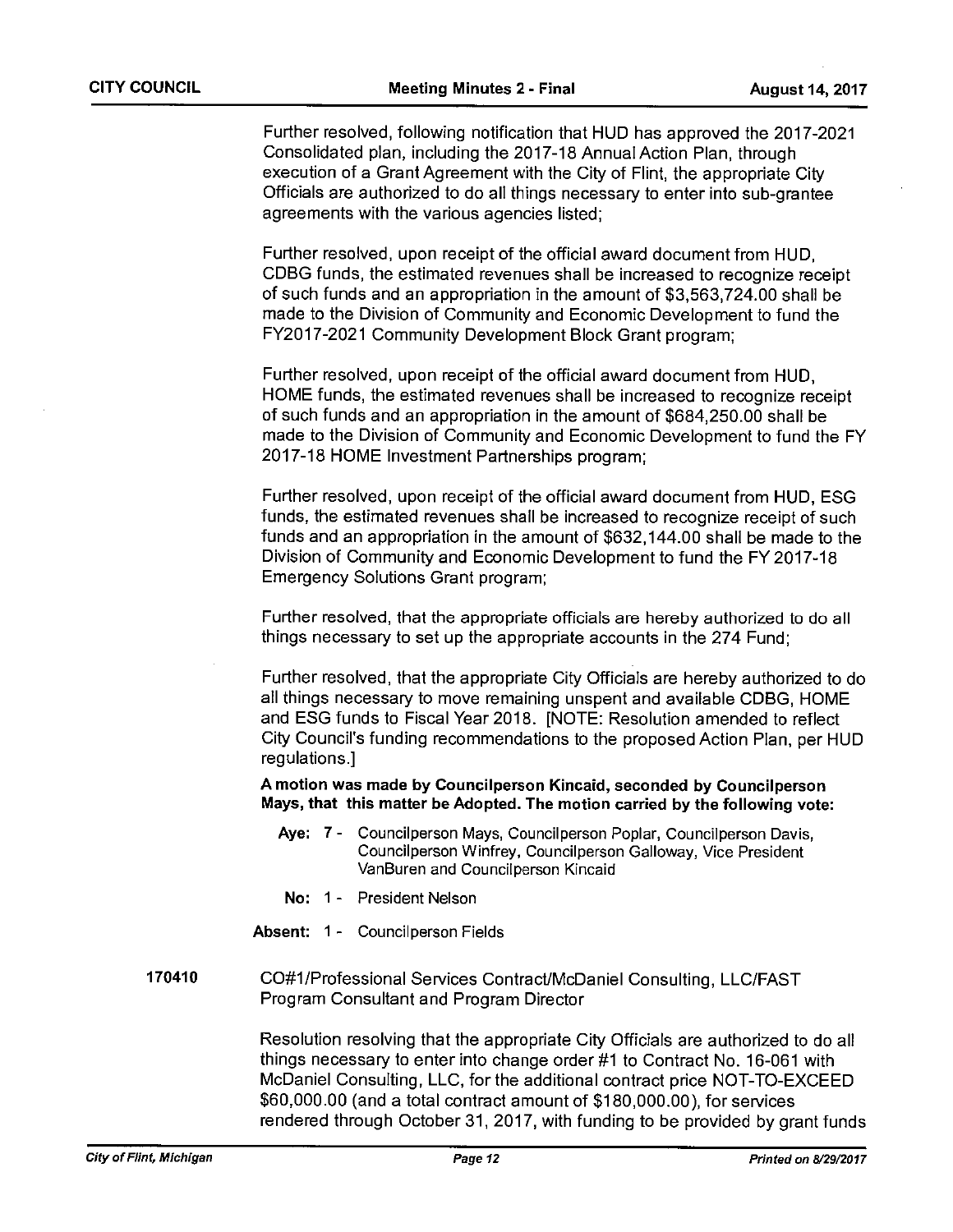Further resolved, following notification that HUD has approved the 2017-2021 Consolidated plan, including the 2017-18 Annual Action Plan, through execution of <sup>a</sup> Grant Agreement with the City of Flint, the appropriate City Officials are authorized to do all things necessary to enter into sub-grantee agreements with the various agencies listed;

Further resolved, upon receipt of the official award document from HUD, CDBG funds, the estimated revenues shall be increased to recognize receipt of such funds and an appropriation in the amount of \$3,563,724.00 shall be made to the Division of Community and Economic Development to fund the FY2017-2021 Community Development Block Grant program;

Further resolved, upon receipt of the official award document from HUD, HOME funds, the estimated revenues shall be increased to recognize receipt of such funds and an appropriation in the amount of \$684,250.00 shall be made to the Division of Community and Economic Development to fund the FY 2017-18 HOME Investment Partnerships program;

Further resolved, upon receipt of the official award document from HUD, ESG funds, the estimated revenues shall be increased to recognize receipt of such funds and an appropriation in the amount of \$632,144.00 shall be made to the Division of Community and Economic Development to fund the FY 2017-18 Emergency Solutions Grant program;

Further resolved, that the appropriate officials are hereby authorized to do all things necessary to set up the appropriate accounts in the 274 Fund;

Further resolved, that the appropriate City Officials are hereby authorized to do all things necessary to move remaining unspent and available CDBG, HOME and ESG funds to Fiscal Year 2018. [NOTE: Resolution amended to reflect City Council's funding recommendations to the proposed Action Plan, per HUD regulations.]

A motion was made by Councilperson Kincaid, seconded by Councilperson Mays, that this matter be Adopted. The motion carried by the following vote:

- Aye: 7 Councilperson Mays, Councilperson Poplar, Councilperson Davis, Councilperson Winfrey, Councilperson Galloway, Vice President VanBuren and Councilperson Kincaid
- No: 1 President Nelson
- Absent: 1 Councilperson Fields
- 170410 CO#1/Professional Services ContractlMcDaniel Consulting, LLC/FAST Program Consultant and Program Director

Resolution resolving that the appropriate City Officials are authorized to do all things necessary to enter into change order #1 to Contract No. 16-061 with McDaniel Consulting, LLC, for the additional contract price NOT-TO-EXCEED \$60,000.00 (and <sup>a</sup> total contract amount of \$180,000.00), for services rendered through October31, 2017, with funding to be provided by grant funds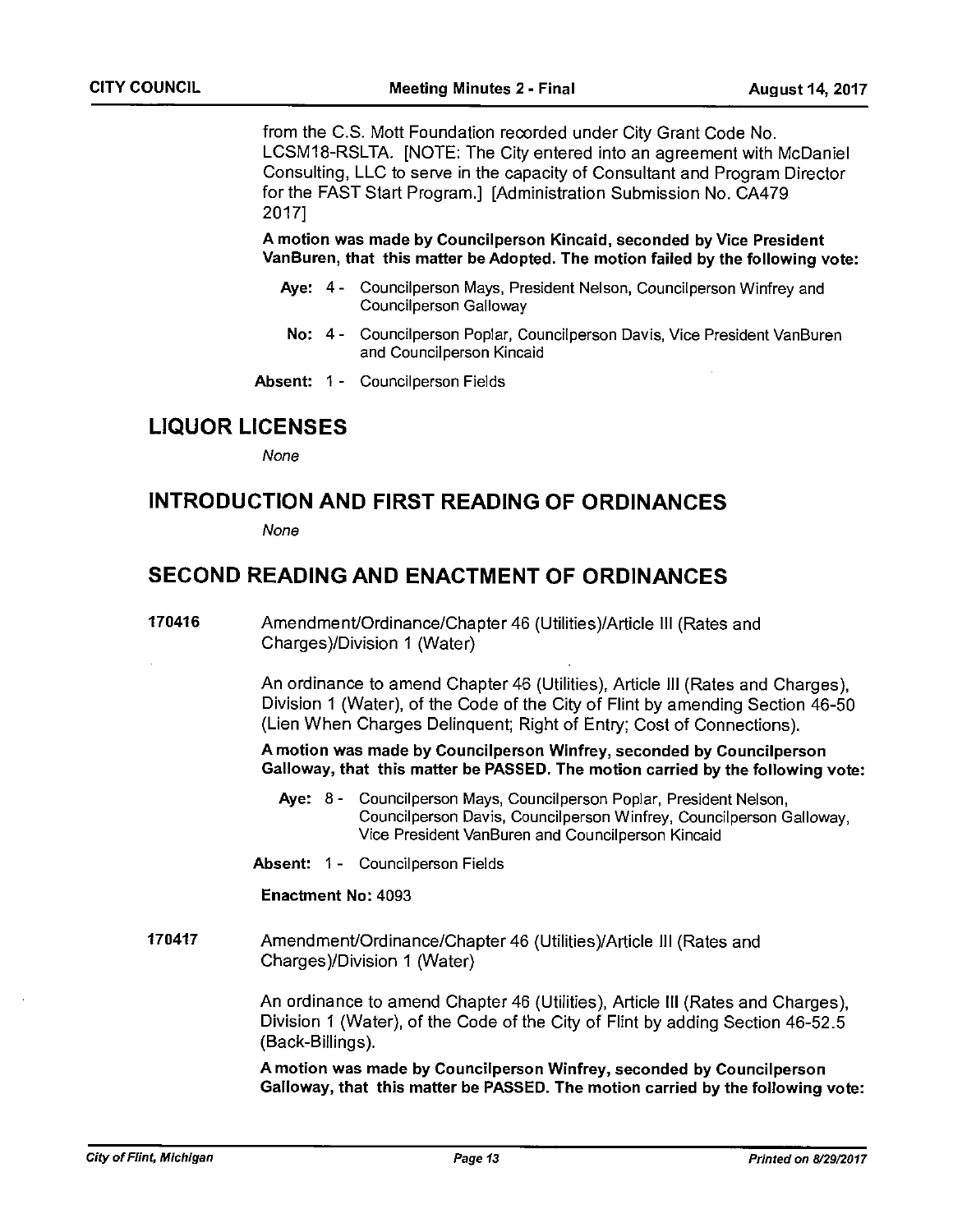from the C.S. Mott Foundation recorded under City Grant Code No. LCSM1 8-RSLTA. [NOTE: The City entered into an agreement with McDaniel Consulting, LLC to serve in the capacity of Consultant and Program Director for the FAST Start Program.] [Administration Submission No. CA479 2017]

A motion was made by Councilperson Kincaid, seconded by Vice President VanBuren, that this matter be Adopted. The motion failed by the following vote:

- Aye: 4 Councilperson Mays, President Nelson, Councilperson Winfrey and Councilperson Galloway
	- No: 4- Councilperson Poplar, Councilperson Davis, Vice President VanBuren and Councilperson Kincaid
- Absent: 1 Councilperson Fields

## LIQUOR LICENSES

None

## INTRODUCTION AND FIRST READING OF ORDINANCES

None

## SECOND READING AND ENACTMENT OF ORDINANCES

170416 Amendment/Ordinance/Chapter 46 (Utilities)/Article III (Rates and Charges)/Division 1 (Water)

> An ordinance to amend Chapter 46 (Utilities), Article III (Rates and Charges), Division 1 (Water), of the Code of the City of Flint by amending Section 46-50 (Lien When Charges Delinquent; Right of Entry; Cost of Connections).

A motion was made by Councilperson Winfrey, seconded by Councilperson Galloway, that this matter be PASSED. The motion carried by the following vote:

- Aye: 8- Councilperson Mays, Councilperson Poplar, President Nelson, Councilperson Davis, Councilperson Winfrey, Councilperson Galloway, Vice President VanBuren and Councilperson Kincaid
- Absent: 1 Councilperson Fields

Enactment No: 4093

170417 Amendment/Ordinance/Chapter 46 (Utilities)/Article III (Rates and Charges)/Division 1 (Water)

> An ordinance to amend Chapter 46 (Utilities), Article III (Rates and Charges), Division I (Water), of the Code of the City of Flint by adding Section 46-52.5 (Back-Billings).

A motion was made by Councilperson Winfrey, seconded by Councilperson Galloway, that this matter be PASSED. The motion carried by the following vote: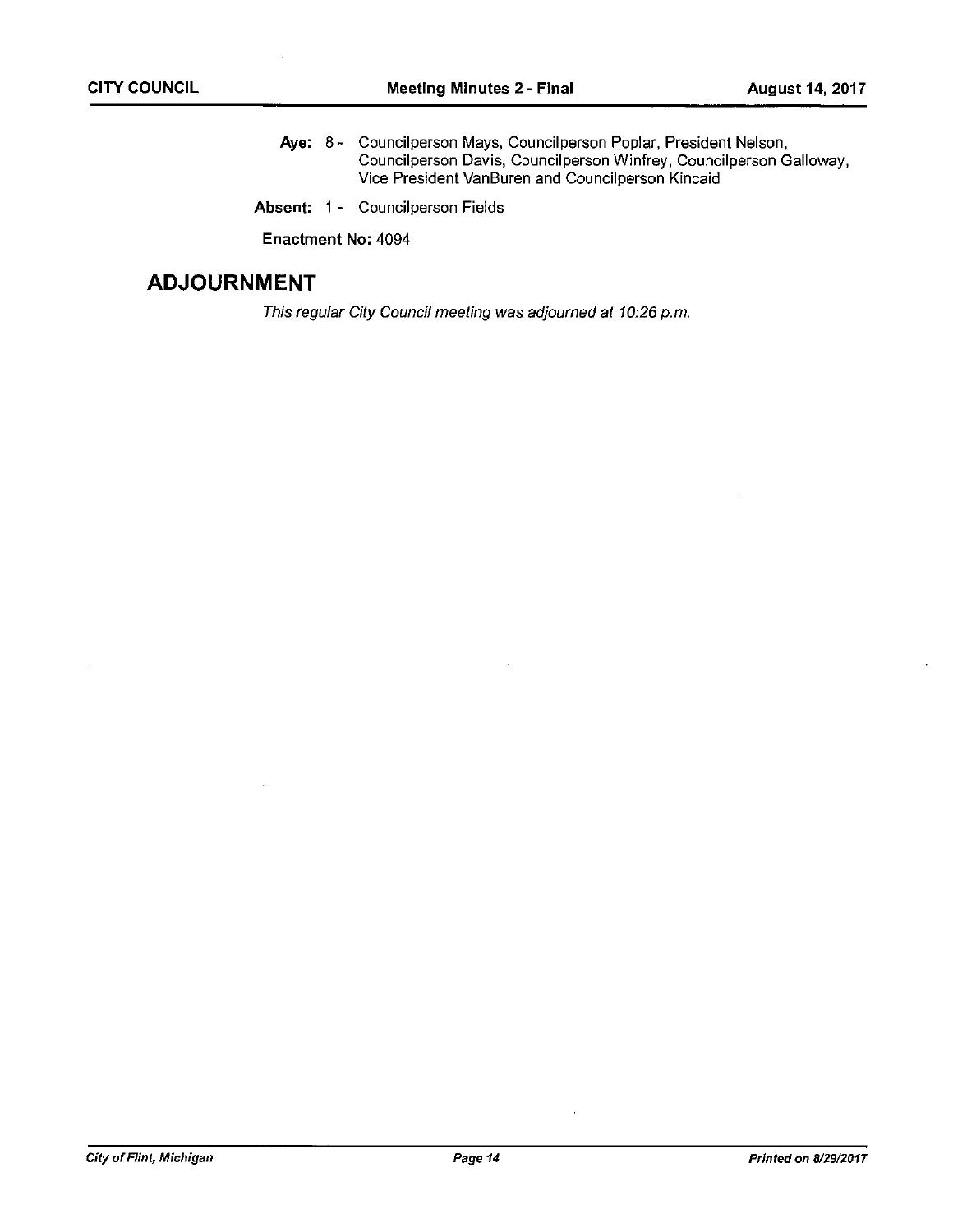- Aye: 8 Councilperson Mays, Councilperson Poplar, President Nelson, Councilperson Davis, Councilperson Winfrey, Councilperson Galloway, Vice President VanBuren and Councilperson Kincaid
- Absent: 1 Councilperson Fields

Enactment No: 4094

## ADJOURNMENT

This regular City Council meeting was adjourned at 10:26 p.m.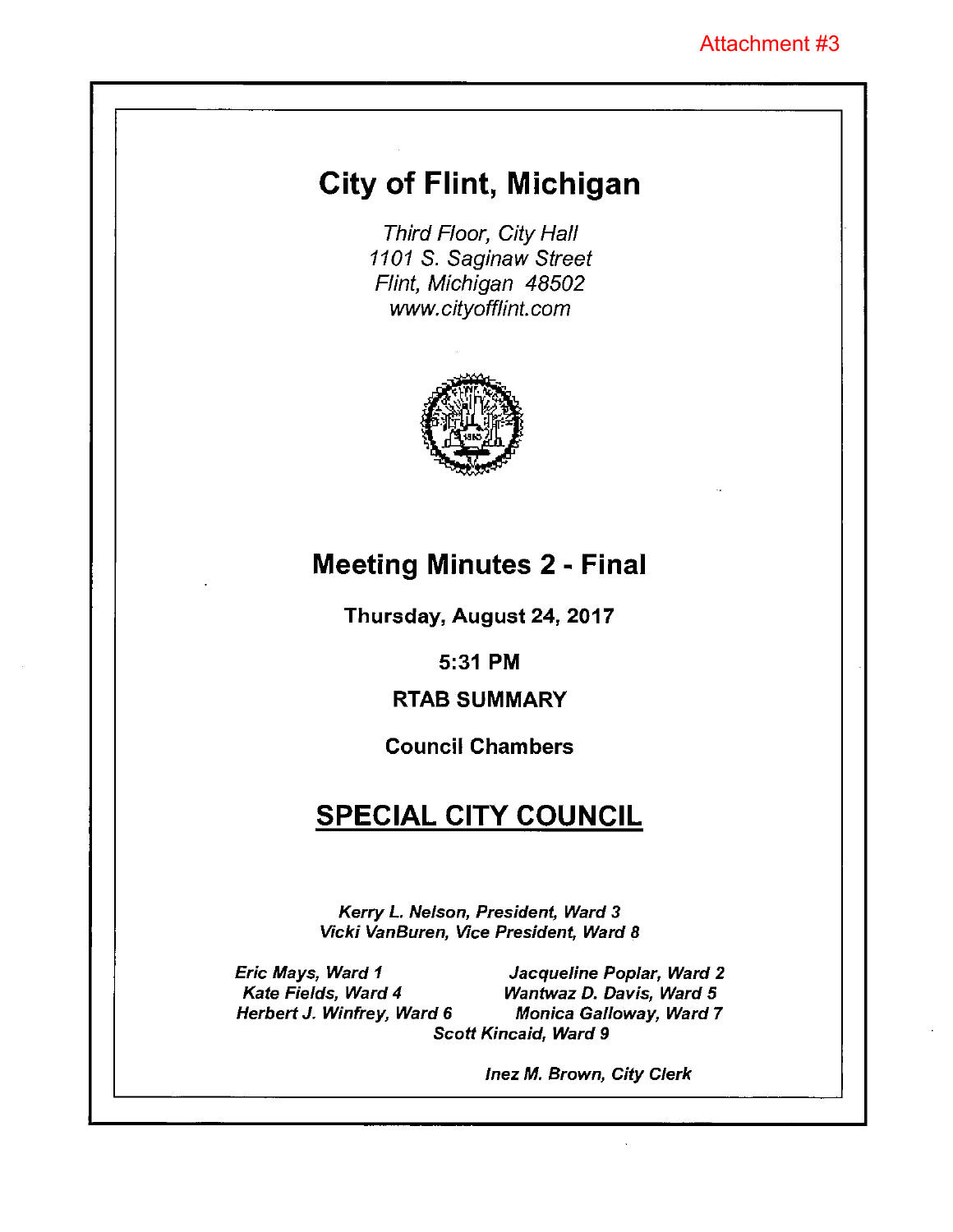# City of Flint, Michigan

Third Floor, City Hall 1101 S. Saginaw Street Flint, Michigan 48502 www.cityofflint.com



# Meeting Minutes 2 - Final

Thursday, August 24, 2017

5:31 PM

## RTAB SUMMARY

## Council Chambers

# **SPECIAL CITY COUNCIL**

Kerry L. Nelson, President, Ward 3 Vicki VanBuren, Vice President, Ward 8

Eric Mays, Ward I Jacqueline Poplar, Ward 2 Kate Fields, Ward 4 Wantwaz D. Davis, Ward 5 Herbert J. Winfrey, Ward 6 Monica Galloway, Ward 7 Scott Kincaid, Ward 9

lnez M. Brown, City Clerk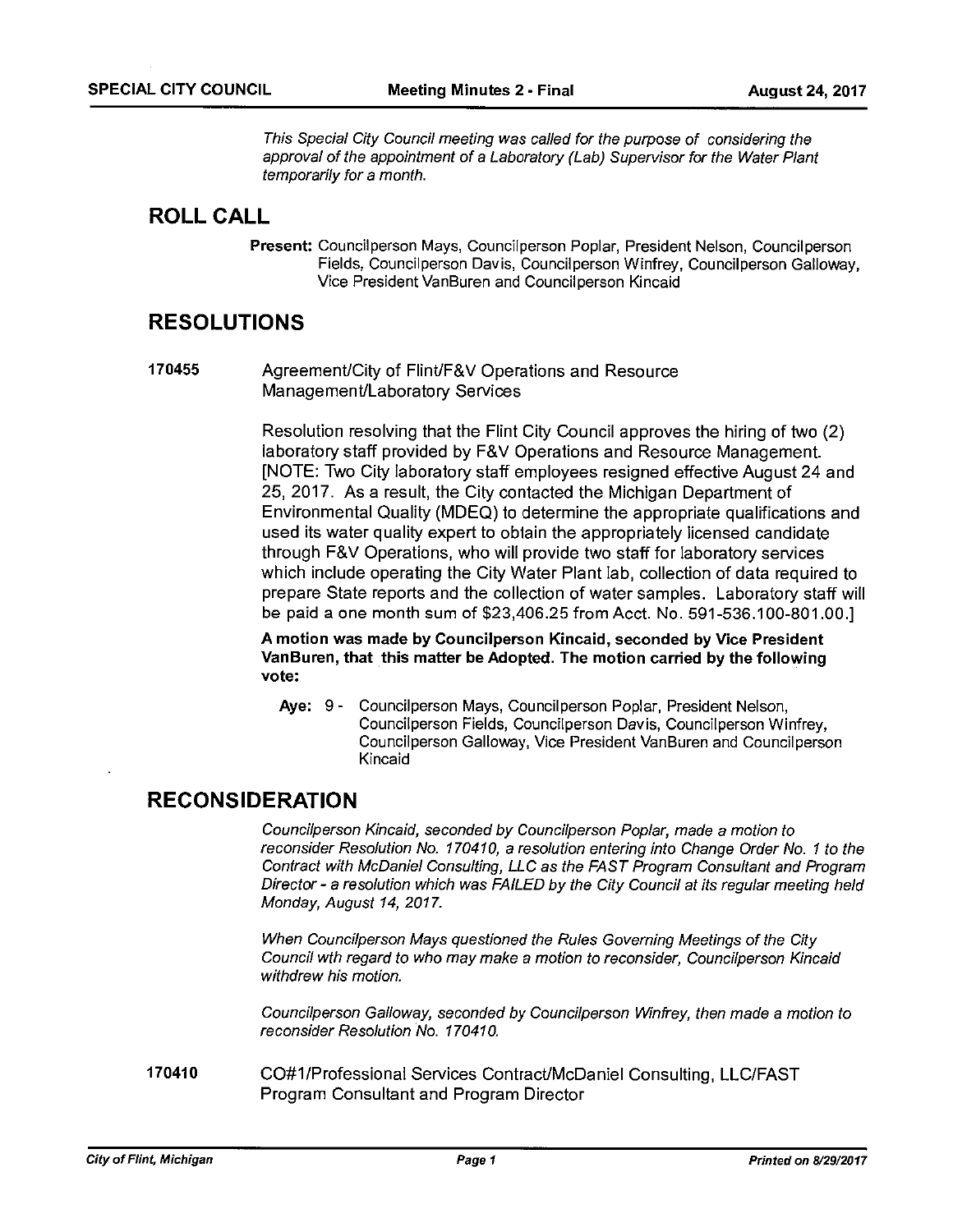This Special City Council meeting was called for the purpose of considering the approval of the appointment of a Laboratory (Lab) Supervisor for the Water Plant temporarily for <sup>a</sup> month.

## ROLL CALL

Present: Councilperson Mays, Councilperson Poplar, President Nelson, Councilperson Fields, Councilperson Davis, Councilperson Winfrey, Councilperson Galloway, Vice President VanBuren and Councilperson Kincaid

## RESOLUTIONS

170455 Agreement/City of Flint/F&V Operations and Resource Management/Laboratory Services

> Resolution resolving that the Flint City Council approves the hiring of two (2) laboratory staff provided by F&V Operations and Resource Management. [NOTE: Two City laboratory staff employees resigned effective August24 and 25, 2017. As <sup>a</sup> result, the City contacted the Michigan Department of Environmental Quality (MDEQ) to determine the appropriate qualifications and used its water quality expert to obtain the appropriately licensed candidate through F&V Operations, who will provide two staff for laboratory services which include operating the City Water Plant lab, collection of data required to prepare State reports and the collection of water samples. Laboratory staff will be paid <sup>a</sup> one month sum of \$23,406.25 from Acct. No. 591-536.100-801.00.]

A motion was made by Councilperson Kincaid, seconded by Vice President VanBuren, that this matter be Adopted. The motion carried by the following vote:

Aye: 9 - Councilperson Mays, Councilperson Poplar, President Nelson, Councilperson Fields, Councilperson Davis, Councilperson Winfrey, Councilperson Galloway, Vice President VanBuren and Councilperson Kincaid

## RECONSIDERATION

Councilperson Kincaid, seconded by Councilperson Poplar, made a motion to reconsider Resolution No. 170410, a resolution entering into Change Order No. 1 to the Contract with McDaniel Consulting, LLC as the FAST Program Consultant and Program Director - <sup>a</sup> resolution which was FAILED by the City Council at its regular meeting held Monday, August 14, 2017.

When Councilperson Mays questioned the Rules Governing Meetings of the City Council wth regard to who may make a motion to reconsider, Councilperson Kincaid withdrew his motion.

Councilperson Galloway, seconded by Councilperson Winfrey, then made a motion to reconsider Resolution No. 170410.

170410 CO#1/Professional Services Contract/McDaniel Consulting, LLC/FAST Program Consultant and Program Director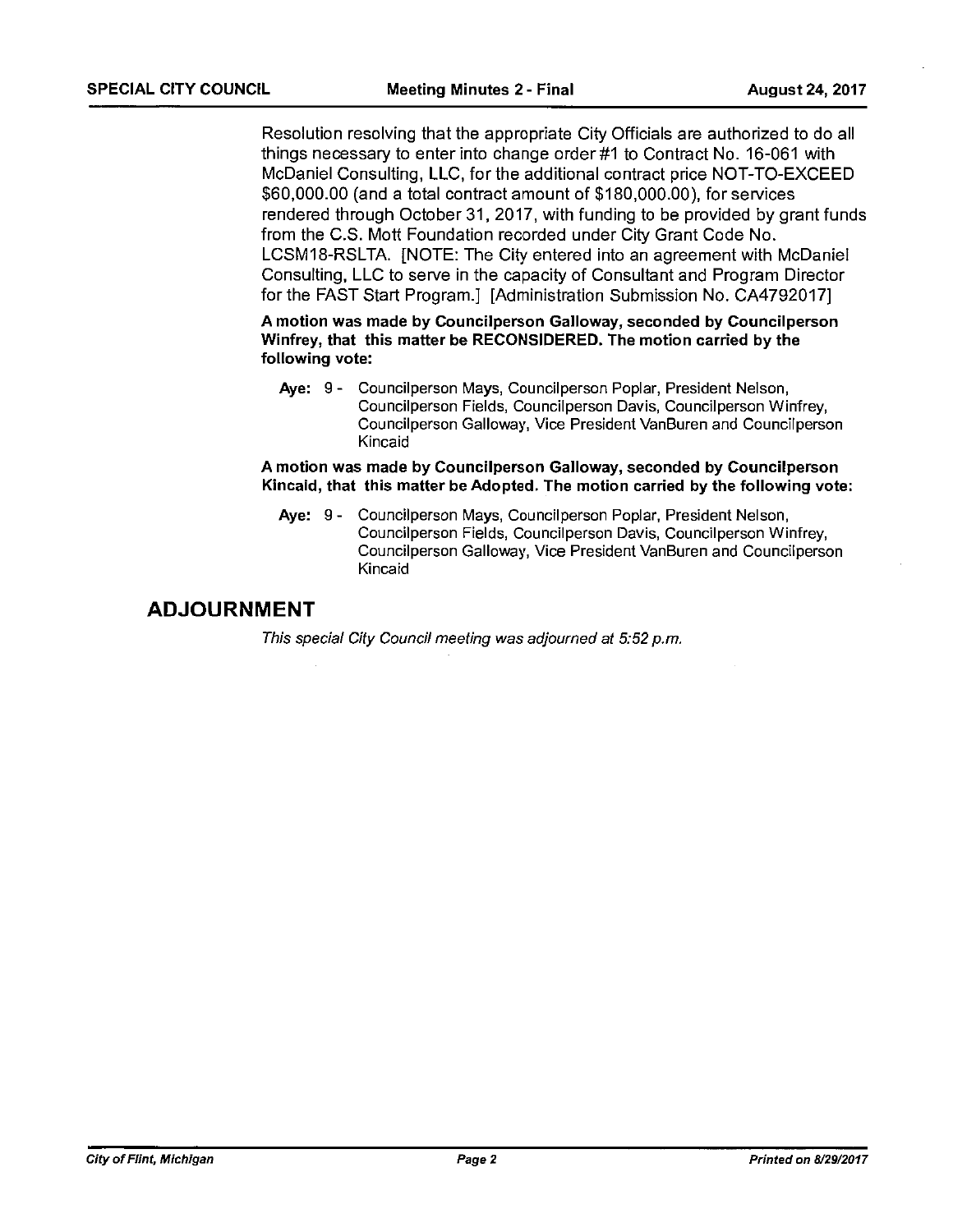Resolution resolving that the appropriate City Officials are authorized to do all things necessary to enter into change order #1 to Contract No. 16-061 with McDaniel Consulting, LLC, for the additional contract price NOT-TO-EXCEED \$60,000.00 (and <sup>a</sup> total contract amount of \$180,000.00), for services rendered through October31, 2017, with funding to be provided by grant funds from the C.S. Mott Foundation recorded under City Grant Code No. LCSMI8-RSLTA. [NOTE: The City entered into an agreement with McDaniel Consulting, LLC to serve in the capacity of Consultant and Program Director for the FAST Start Program.] [Administration Submission No. CA4792017]

A motion was made by Councilperson Galloway, seconded by Councilperson Winfrey, that this matter be RECONSIDERED. The motion carried by the following vote:

Aye: <sup>9</sup> - Councilperson Mays, Councilperson Poplar, President Nelson, Councilperson Fields, Councilperson Davis, Council person Winfrey, Councilperson Galloway, Vice President VanBuren and Councilperson Kincaid

A motion was made by Councilperson Galloway, seconded by Councilperson Kincaid, that this matter be Adopted. The motion carried by the following vote:

Aye: 9- Councilperson Mays, Councilperson Poplar, President Nelson, Councilperson Fields, Councilperson Davis, Councilperson Winfrey, Councilperson Galloway, Vice President VanBuren and Councilperson Kincaid

## ADJOURNMENT

This special City Council meeting was adjourned at 5:52 p.m.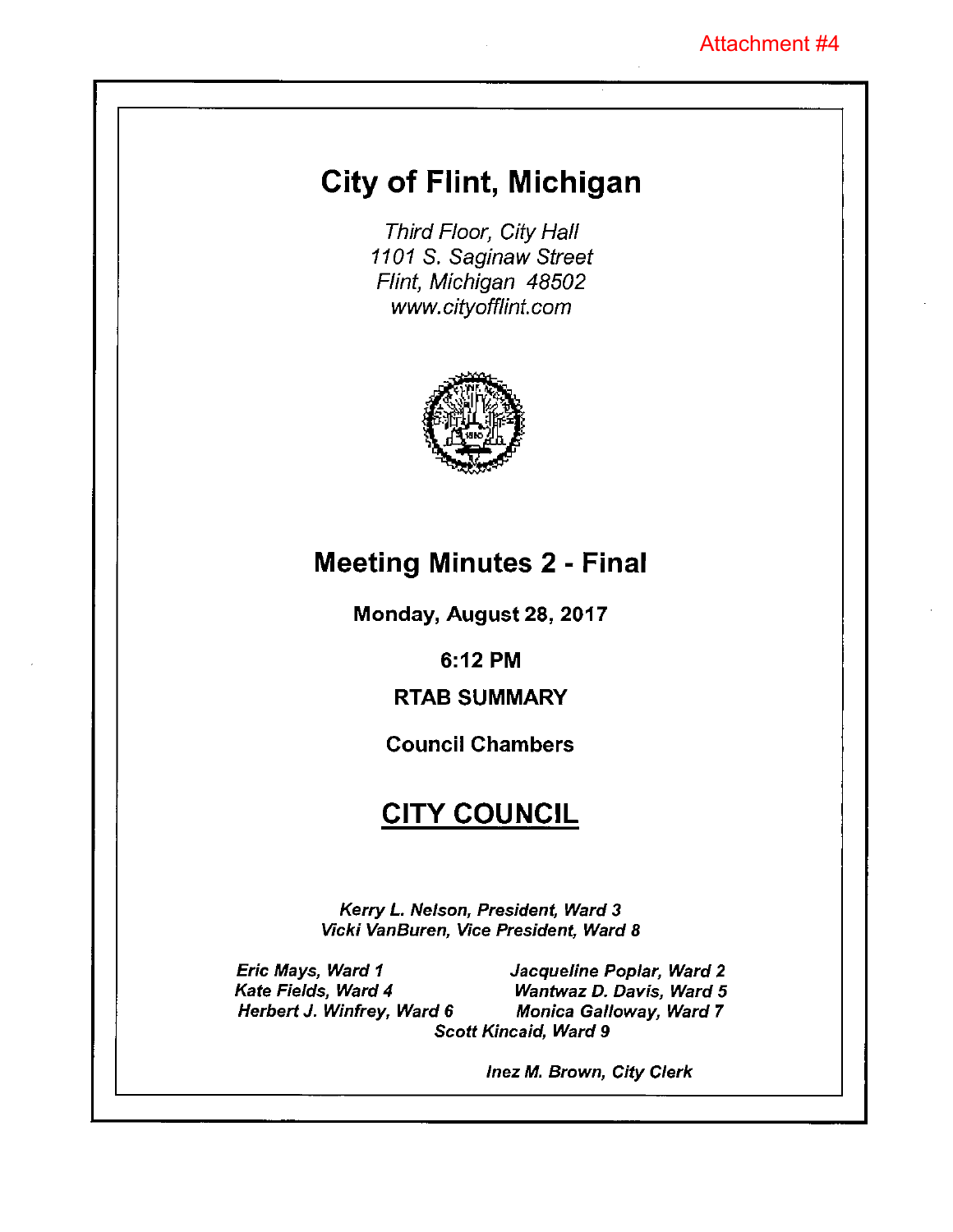# City of Flint, Michigan

Third Floor, City Hall 1101 S. Saginaw Street Flint, Michigan 48502 www.cityofflint.com



# Meeting Minutes 2 - Final

Monday, August 28, 2017

6:12 PM

# RTAB SUMMARY

## Council Chambers

# **CITY COUNCIL**

Kerry L. Nelson, President, Ward 3 Vicki VanBuren, Vice President, Ward 8

Eric Mays, Ward I Kate Fields, Ward 4 Herbert J. Winfrey, Ward 6

Scott Kincaid, Ward 9 Jacqueline Poplar, Ward 2 Wantwaz D. Davis, Ward 5 Monica Galloway, Ward 7

lnez M. Brown, City Clerk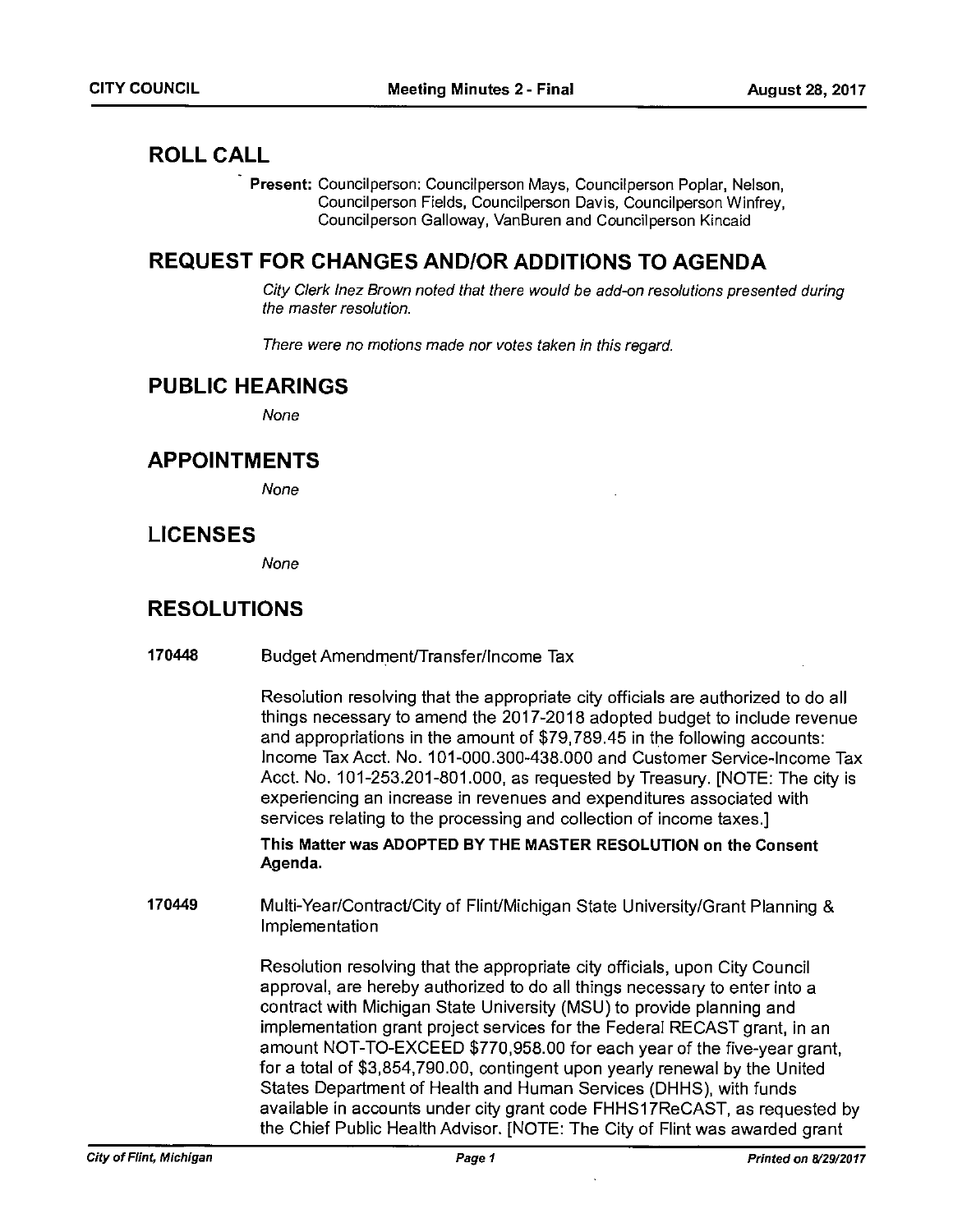## ROLL CALL

Present: Councilperson: Councilperson Mays, Councilperson Poplar, Nelson, Councilperson Fields, Councilperson Davis, Councilperson Winfrey, Councilperson Galloway, VanBuren and Councilperson Kincaid

## REQUEST FOR CHANGES ANDIOR ADDITIONS TO AGENDA

City Clerk Inez Brown noted that there would be add-on resolutions presented during the master resolution.

There were no motions made nor votes taken in this regard.

## PUBLIC HEARINGS

None

## APPOINTMENTS

None

## LICENSES

None

## RESOLUTIONS

| 170448 | Budget Amendment/Transfer/Income Tax |  |
|--------|--------------------------------------|--|
|--------|--------------------------------------|--|

Resolution resolving that the appropriate city officials are authorized to do all things necessary to amend the 2017-2018 adopted budget to include revenue and appropriations in the amount of \$79,789.45 in the following accounts: Income Tax Acct. No. 101-000.300-438.000 and Customer Service-Income Tax Acct. No. 101-253.201-801.000, as requested by Treasury. [NOTE: The city is experiencing an increase in revenues and expenditures associated with services relating to the processing and collection of income taxes.]

This Matter was ADOPTED BY THE MASTER RESOLUTION on the Consent Agenda.

170449 Multi-Year/Contract/City of Flint/Michigan State University/Grant Planning & Implementation

> Resolution resolving that the appropriate city officials, upon City Council approval, are hereby authorized to do all things necessary to enter into <sup>a</sup> contract with Michigan State University (MSU) to provide planning and implementation grant project services for the Federal RECAST grant, in an amount NOT-TO-EXCEED \$770,958.00 for each year of the five-year grant, for <sup>a</sup> total of \$3,854,790.00, contingent upon yearly renewal by the United States Department of Health and Human Services (DHHS), with funds available in accounts under city grant code FHHS17ReCAST, as requested by the Chief Public Health Advisor. [NOTE: The City of Flint was awarded grant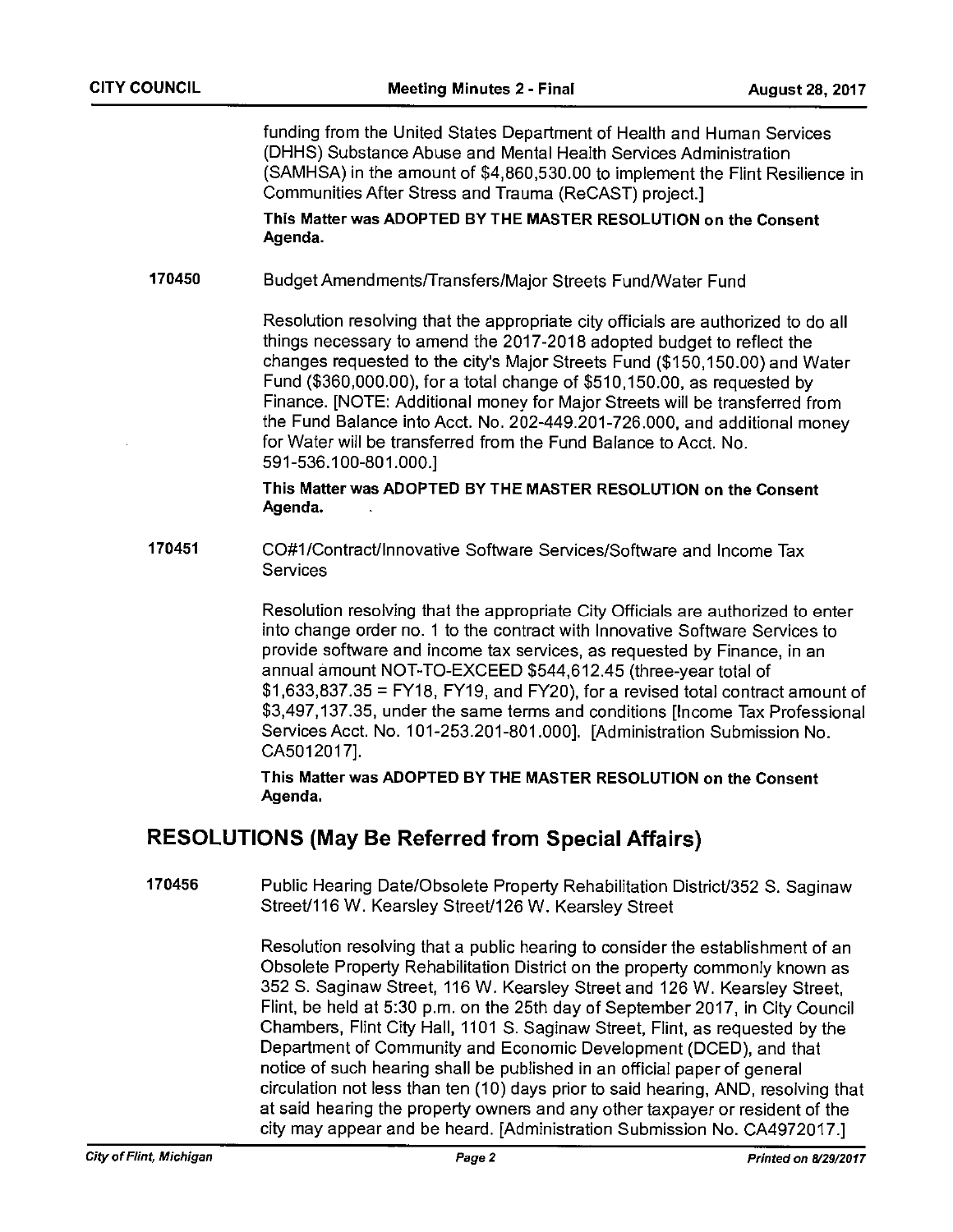funding from the United States Department of Health and Human Services (DHHS) Substance Abuse and Mental Health Services Administration (SAMHSA) in the amount of \$4,860,530.00 to implement the Flint Resilience in Communities After Stress and Trauma (ReCAST) project.]

This Matter was ADOPTED BY THE MASTER RESOLUTION on the Consent Agenda.

### 170450 Budget Amendments/Transfers/Major Streets Fund/Water Fund

Resolution resolving that the appropriate city officials are authorized to do all things necessary to amend the 2017-2018 adopted budget to reflect the changes requested to the city's Major Streets Fund (\$150,150.00) and Water Fund (\$360,000.00), for <sup>a</sup> total change of \$510,150.00, as requested by Finance. [NOTE: Additional money for Major Streets will be transferred from the Fund Balance into Acct. No. 202-449.201-726.000, and additional money for Water will be transferred from the Fund Balance to Acct. No. 591-536.100-801.000.]

This Matter was ADOPTED BY THE MASTER RESOLUTION on the Consent Agenda.

170451 CO#1 /Contract/lnnovative Software Services/Software and Income Tax **Services** 

> Resolution resolving that the appropriate City Officials are authorized to enter into change order no. 1 to the contract with Innovative Software Services to provide software and income tax services, as requested by Finance, in an annual amount NOT-TO-EXCEED \$544,612.45 (three-year total of  $$1,633,837.35 = FY18, FY19, and FY20, for a revised total contract amount of$ \$3,497,137.35, under the same terms and conditions [Income Tax Professional Services Acct. No. 101-253.201-801.000]. [Administration Submission No. CA5012017J.

This Matter was ADOPTED BY THE MASTER RESOLUTION on the Consent Agenda.

## RESOLUTIONS (May Be Referred from Special Affairs)

170456 Public Hearing Date/Obsolete Property Rehabilitation District/352 S. Saginaw Street/116 W. Kearsley Street/126 W. Kearsley Street

> Resolution resolving that <sup>a</sup> public hearing to consider the establishment of an Obsolete Property Rehabilitation District on the property commonly known as 352 S. Saginaw Street, 116W. Kearsley Street and 126W. Kearsley Street, Flint, be held at 5:30 p.m. on the 25th day of September 2017, in City Council Chambers, Flint City Hall, 1101 5. Saginaw Street, Flint, as requested by the Department of Community and Economic Development (DCED), and that notice of such hearing shall be published in an official paper of general circulation not less than ten (10) days prior to said hearing, AND, resolving that at said hearing the property owners and any other taxpayer or resident of the city may appear and be heard. [Administration Submission No. CA4972017.]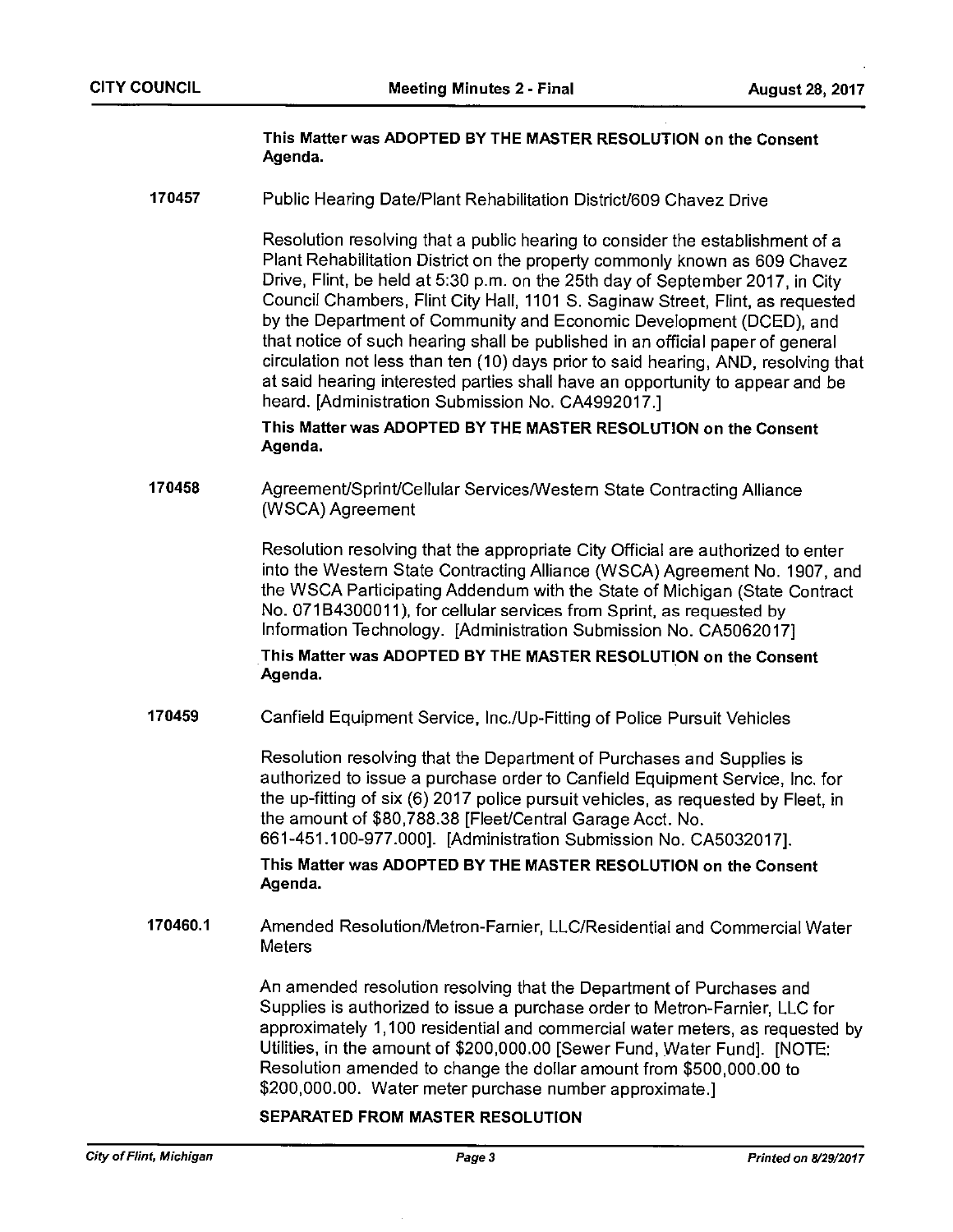### This Matter was ADOPTED BY THE MASTER RESOLUTION on the Consent Agenda.

170457 Public Hearing Date/Plant Rehabilitation District/609 Chavez Drive

Resolution resolving that <sup>a</sup> public hearing to consider the establishment of <sup>a</sup> Plant Rehabilitation District on the property commonly known as 609 Chavez Drive, Flint, be held at 5:30 p.m. on the 25th day of September 2017, in City Council Chambers, Flint City Hall, 1101 S. Saginaw Street, Flint, as requested by the Department of Community and Economic Development (DCED), and that notice of such hearing shall be published in an official paper of general circulation not less than ten (10) days prior to said hearing, AND, resolving that at said hearing interested parties shall have an opportunity to appear and be heard. [Administration Submission No. CA4992017.]

This Matter was ADOPTED BY THE MASTER RESOLUTION on the Consent Agenda.

170458 Agreement/Sprint/Cellular Services/Western State Contracting Alliance (WSCA) Agreement

> Resolution resolving that the appropriate City Official are authorized to enter into the Western State Contracting Alliance (WSCA) Agreement No. 1907, and the WSCA Participating Addendum with the State of Michigan (State Contract No. 071 B4300011), for cellular services from Sprint, as requested by Information Technology. [Administration Submission No. CA5062017]

This Matter was ADOPTED BY THE MASTER RESOLUTION on the Consent Agenda.

170459 Canfield Equipment Service, lnc./Up-Fitting of Police Pursuit Vehicles

Resolution resolving that the Department of Purchases and Supplies is authorized to issue <sup>a</sup> purchase order to Canfield Equipment Service, Inc. for the up-fitting of six (6) 2017 police pursuit vehicles, as requested by Fleet, in the amount of \$80,788.38 [Fleet/Central Garage Acct. No. 661-451.100-977.000]. [Administration Submission No. CA5032017].

This Matter was ADOPTED BY THE MASTER RESOLUTION on the Consent Agenda.

170460.1 Amended Resolution/Metron-Farnier, LLC/Residential and Commercial Water **Meters** 

> An amended resolution resolving that the Department of Purchases and Supplies is authorized to issue <sup>a</sup> purchase order to Metron-Farnier, LLC for approximately 1,100 residential and commercial water meters, as requested by Utilities, in the amount of \$200,000.00 [Sewer Fund, Water Fund]. [NOTE: Resolution amended to change the dollar amount from \$500,000.00 to \$200,000.00. Water meter purchase number approximate.]

### SEPARATED FROM MASTER RESOLUTION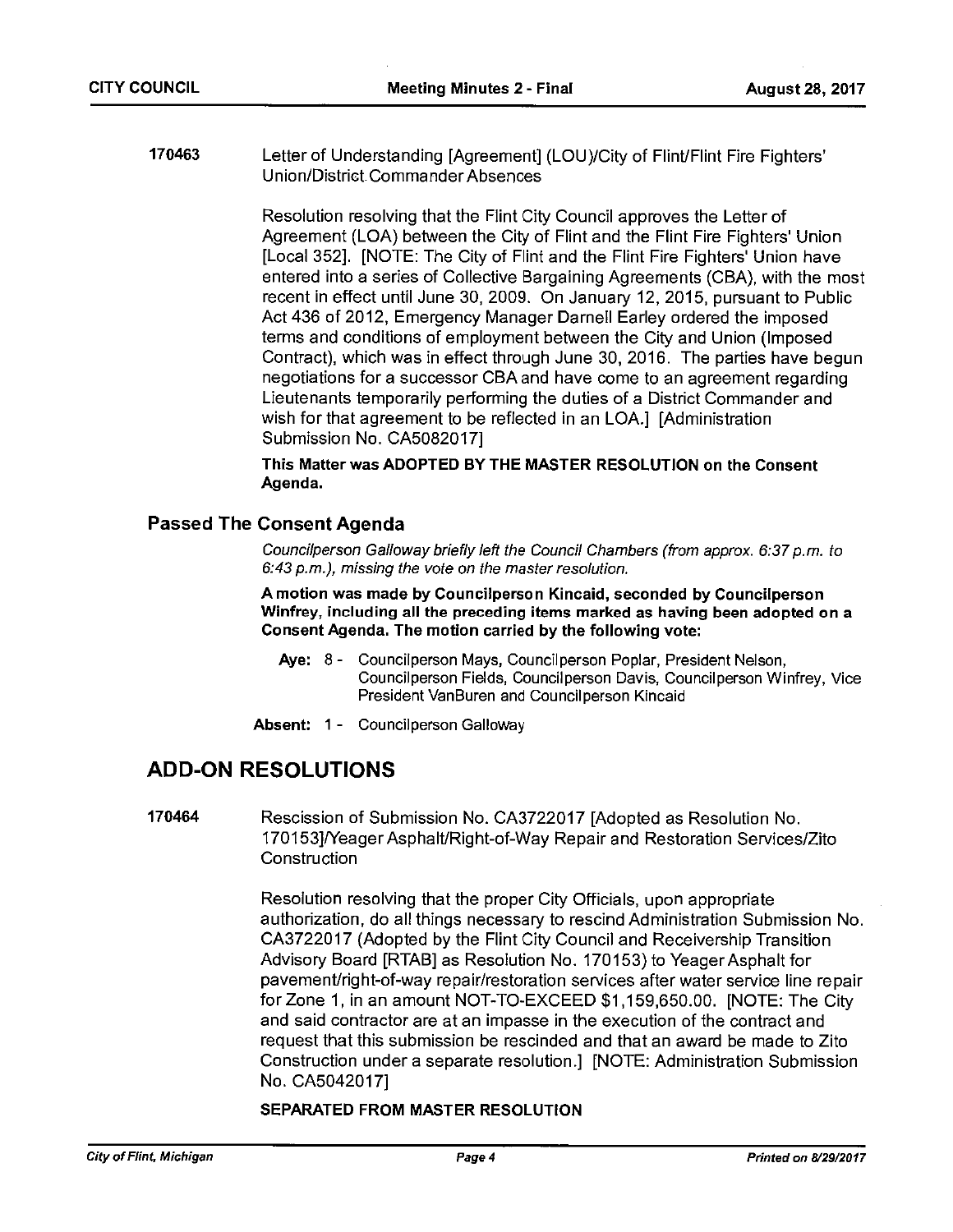170463 Letter of Understanding [Agreement] (LOU)/City of Flint/Flint Fire Fighters' U nion/District. Commander Absences

> Resolution resolving that the Flint City Council approves the Letter of Agreement (LOA) between the City of Flint and the Flint Fire Fighters' Union [Local 352]. [NOTE: The City of Flint and the Flint Fire Fighters' Union have entered into <sup>a</sup> series of Collective Bargaining Agreements (CBA), with the most recent in effect until June 30, 2009. On January 12, 2015, pursuant to Public Act 436 of 2012, Emergency Manager Darnell Earley ordered the imposed terms and conditions of employment between the City and Union (Imposed Contract), which was in effect through June 30, 2016. The parties have begun negotiations for <sup>a</sup> successor CBA and have come to an agreement regarding Lieutenants temporarily performing the duties of <sup>a</sup> District Commander and wish for that agreement to be reflected in an LOA.] [Administration Submission No. CA5082017]

This Matter was ADOPTED BY THE MASTER RESOLUTION on the Consent Agenda.

### Passed The Consent Agenda

Councilperson Galloway briefly left the Council Chambers (from approx. 6:37 p.m. to 6:43 p.m.), missing the vote on the master resolution.

A motion was made by Councilperson Kincaid, seconded by Councilperson Winfrey, including all the preceding items marked as having been adopted on <sup>a</sup> Consent Agenda. The motion carried by the following vote:

- Aye: 8- Councilperson Mays, Councilperson Poplar, President Nelson, Councilperson Fields, Councilperson Davis, Councilperson Winfrey, Vice President VanBuren and Councilperson Kincaid
- Absent: 1 Councilperson Galloway

## ADD-ON RESOLUTIONS

170464 Rescission of Submission No. CA3722017 [Adopted as Resolution No. 170153]/Yeager Asphalt/Right-of-Way Repair and Restoration Services/Zito **Construction** 

> Resolution resolving that the proper City Officials, upon appropriate authorization, do all things necessary to rescind Administration Submission No. CA3722017 (Adopted by the Flint City Council and Receivership Transition Advisory Board [RTAB] as Resolution No. 170153) to Yeager Asphalt for pavement/right-of-way repair/restoration services after water service line repair for Zone 1, in an amount NOT-TO-EXCEED \$1,159,650.00. [NOTE: The City and said contractor are at an impasse in the execution of the contract and request that this submission be rescinded and that an award be made to Zito Construction under <sup>a</sup> separate resolution.] [NOTE: Administration Submission No. CA5042017]

### SEPARATED FROM MASTER RESOLUTION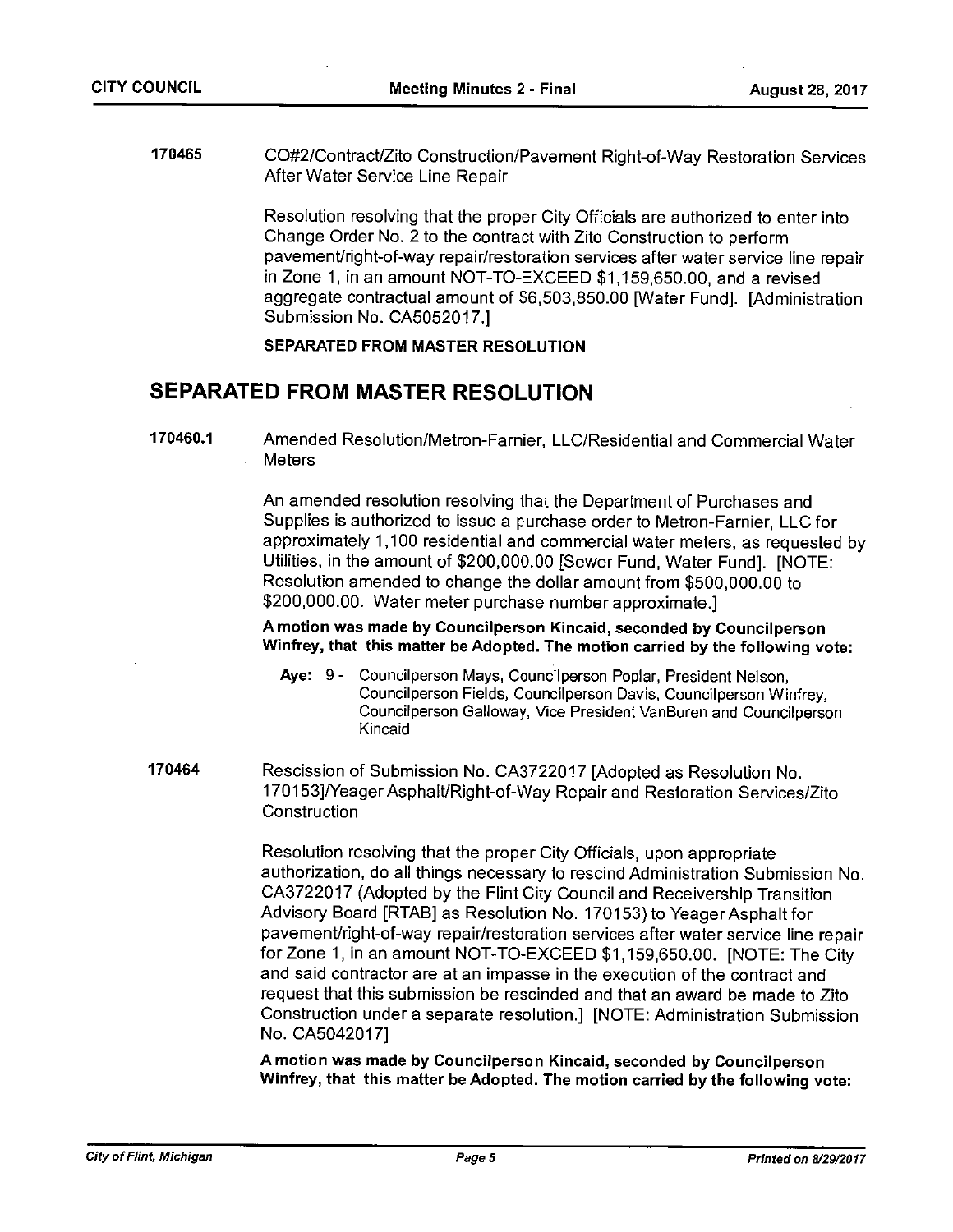170465 CO#2/ContractlZito Construction/Pavement Right-of-Way Restoration Services After Water Service Line Repair

> Resolution resolving that the proper City Officials are authorized to enter into Change Order No. <sup>2</sup> to the contract with Zito Construction to perform pavement/right-of-way repair/restoration services after water service line repair in Zone 1, in an amount NOT-TO-EXCEED \$1,159,650.00, and <sup>a</sup> revised aggregate contractual amount of \$6,503,850.00 [Water Fund]. [Administration Submission No. CA5052017.]

### SEPARATED FROM MASTER RESOLUTION

## SEPARATED FROM MASTER RESOLUTION

170460.1 Amended Resolution/Metron-Farnier, LLC/Residential and Commercial Water **Meters** 

> An amended resolution resolving that the Department of Purchases and Supplies is authorized to issue <sup>a</sup> purchase order to Metron-Farnier, LLC for approximately 1,100 residential and commercial water meters, as requested by Utilities, in the amount of \$200,000.00 [Sewer Fund, Water Fund]. [NOTE: Resolution amended to change the dollar amount from \$500,000.00 to \$200,000.00. Water meter purchase number approximate.]

A motion was made by Councilperson Kincaid, seconded by Councilperson Winfrey, that this matter be Adopted. The motion carried by the following vote:

- Aye: 9- Councilperson Mays, Councilperson Poplar, President Nelson, Councilperson Fields, Councilperson Davis, Councilperson Winfrey, Councilperson Galloway, Vice President VanBuren and Councilperson Kincaid
- 170464 Rescission of Submission No. CA3722017 [Adopted as Resolution No. 170153]/Yeager Asphalt/Right-of-Way Repair and Restoration Services/Zito **Construction**

Resolution resolving that the proper City Officials, upon appropriate authorization, do all things necessary to rescind Administration Submission No. CA3722017 (Adopted by the Flint City Council and Receivership Transition Advisory Board [RTAB] as Resolution No. 170153) to Yeager Asphalt for pavement/right-of-way repair/restoration services after water service line repair for Zone 1, in an amount NOT-TO-EXCEED \$1,159,650.00. [NOTE: The City and said contractor are at an impasse in the execution of the contract and request that this submission be rescinded and that an award be made to Zito Construction under <sup>a</sup> separate resolution.] [NOTE: Administration Submission No. CA5042017]

A motion was made by Councilperson Kincaid, seconded by Councilperson Winfrey, that this matter be Adopted. The motion carried by the following vote: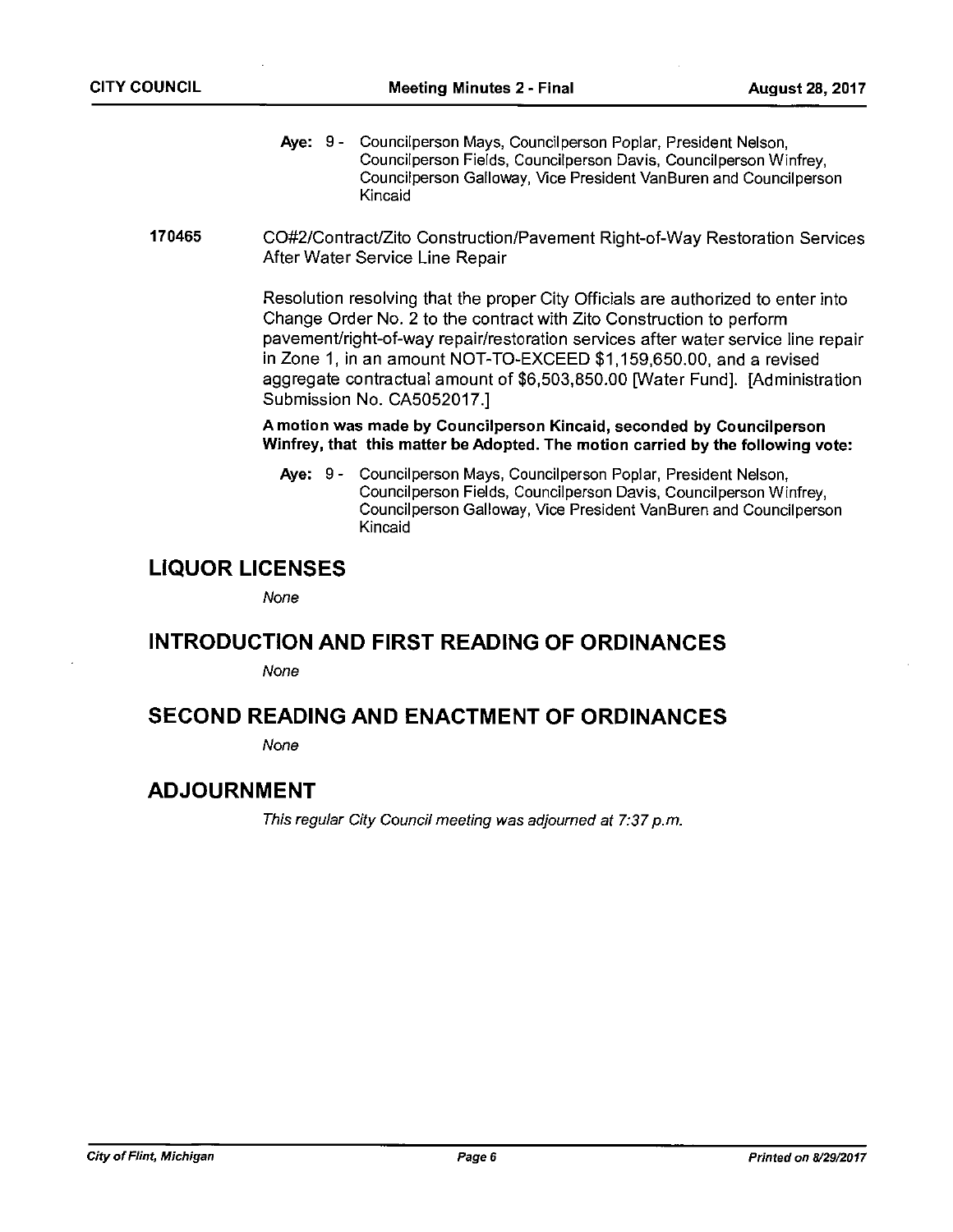- Aye: 9- Councilperson Mays, Councilperson Poplar, President Nelson, Councilperson Fields, Councilperson Davis, Councilperson Winfrey, Councilperson Galloway, Vice President VanBuren and Councilperson Kincaid
- 170465 CO#2/ContractlZito Construction/Pavement Right-of-Way Restoration Services After Water Service Line Repair

Resolution resolving that the proper City Officials are authorized to enter into Change Order No. <sup>2</sup> to the contract with Zito Construction to perform pavement/right-of-way repair/restoration services after water service line repair in Zone 1, in an amount NOT-TO-EXCEED \$1,159,650.00, and <sup>a</sup> revised aggregate contractual amount of \$6,503,850.00 [Water Fund]. [Administration Submission No. CA5052017.]

### A motion was made by Councilperson Kincaid, seconded by Councilperson Winfrey, that this matter be Adopted. The motion carried by the following vote:

Aye: 9- Councilperson Mays, Councilperson Poplar, President Nelson, Council person Fields, Council person Davis, Council person Winfrey, Councilperson Galloway, Vice President VanBuren and Councilperson Kincaid

## LIQUOR LICENSES

None

## INTRODUCTION AND FIRST READING OF ORDINANCES

None

## SECOND READING AND ENACTMENT OF ORDINANCES

None

## ADJOURNMENT

This regular City Council meeting was adjourned at 7:37 p.m.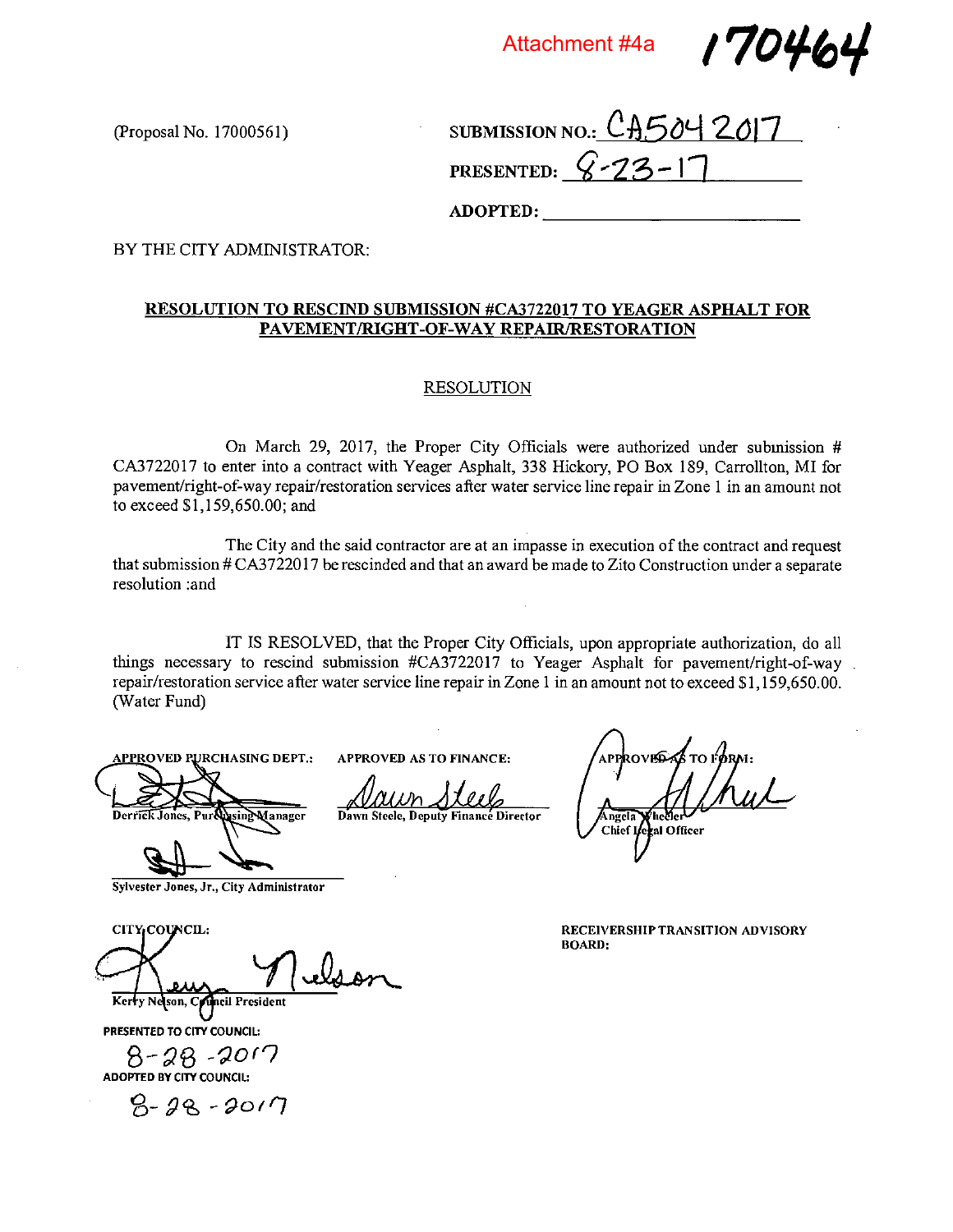Attachment #4a

17046

(Proposal No. 17000561)

SUBMISSION NO.: CA504 2017 PRESENTED:  $6 - 23 - 17$ 

ADOPTED:

BY THE CITY ADMINISTRATOR;

### RESOLUTION TO RESCIND SUBMISSION #CA3722017 TO YEAGER ASPHALT FOR PAVEMENT/RIGHT-OF-WAY REPAIR/RESTORATION

### RESOLUTION

On March 29, 2017, the Proper City Officials were authorized under submission # CA3722017 to enter into <sup>a</sup> contract with Yeager Asphalt, 338 Hickory, P0 Box 189, Carrollton, MI for pavement/right-of-way repair/restoration services after water service line repair in Zone I in an amount not to exceed \$1,159,650.00; and

The City and the said contractor are at an impasse in execution of the contract and request that submission # CA37220 17 be rescinded and that an award be made to Zito Construction under <sup>a</sup> separate resolution :and

IT IS RESOLVED, that the Proper City Officials, upon appropriate authorization, do all things necessary to rescind submission #CA3722017 to Yeager Asphalt for pavement/right-of-way repair/restoration service after water service line repair in Zone 1 in an amount not to exceed \$1,159,650.00. (Water Fund)

APPROVED As TO FINANCE:

Daw

Dawn Steele, Deputy Finance Director

 $\mathcal{M}$ ool

**APPROVED PURCHASING DEPT.:** 

Derrick Jones, Pur Nusing Manager

Sylvester Jones, Jr., City Administrator

CITY COUNCIL:

Kerry Neson, Council President

PRESENTED TO CITY COUNCIL:

8-28 -2017 ADOPTED BY CITY COUNCIL:

 $9 - 28 - 2017$ 

APPROVECAS TO FØRM: ngela Chief Legal Officer

RECEIVERSHIP TRANSITION ADVISORY BOARD: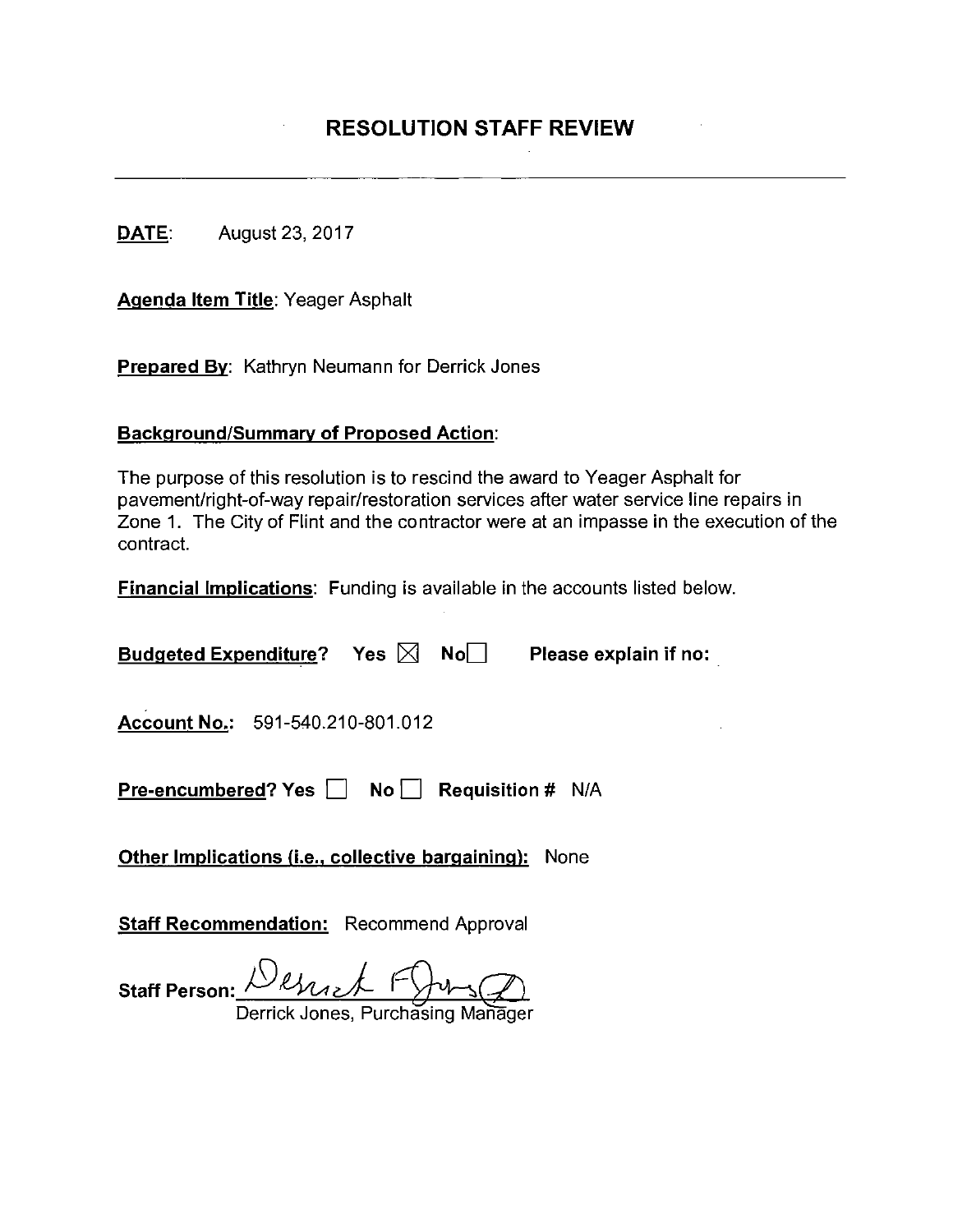DATE: August 23, 2017

Agenda Item Title: Yeager Asphalt

**Prepared By:** Kathryn Neumann for Derrick Jones

## **Background/Summary of Proposed Action:**

The purpose of this resolution is to rescind the award to Yeager Asphalt for pavement/right-of-way repair/restoration services after water service line repairs in Zone 1. The City of Flint and the contractor were at an impasse in the execution of the contract.

Financial Implications: Funding is available in the accounts listed below.

| Budgeted Expenditure? Yes $\boxtimes$ No $\Box$<br>Please explain if no: |  |  |  |  |  |  |
|--------------------------------------------------------------------------|--|--|--|--|--|--|
| Account No.: 591-540.210-801.012                                         |  |  |  |  |  |  |
| Pre-encumbered? Yes   No   Requisition # N/A                             |  |  |  |  |  |  |
| <b>Other Implications (i.e., collective bargaining):</b> None            |  |  |  |  |  |  |
| <b>Staff Recommendation:</b> Recommend Approval                          |  |  |  |  |  |  |

Staff Person:  $M_{\text{Max}}$   $\leftarrow$  Fy  $\rightarrow$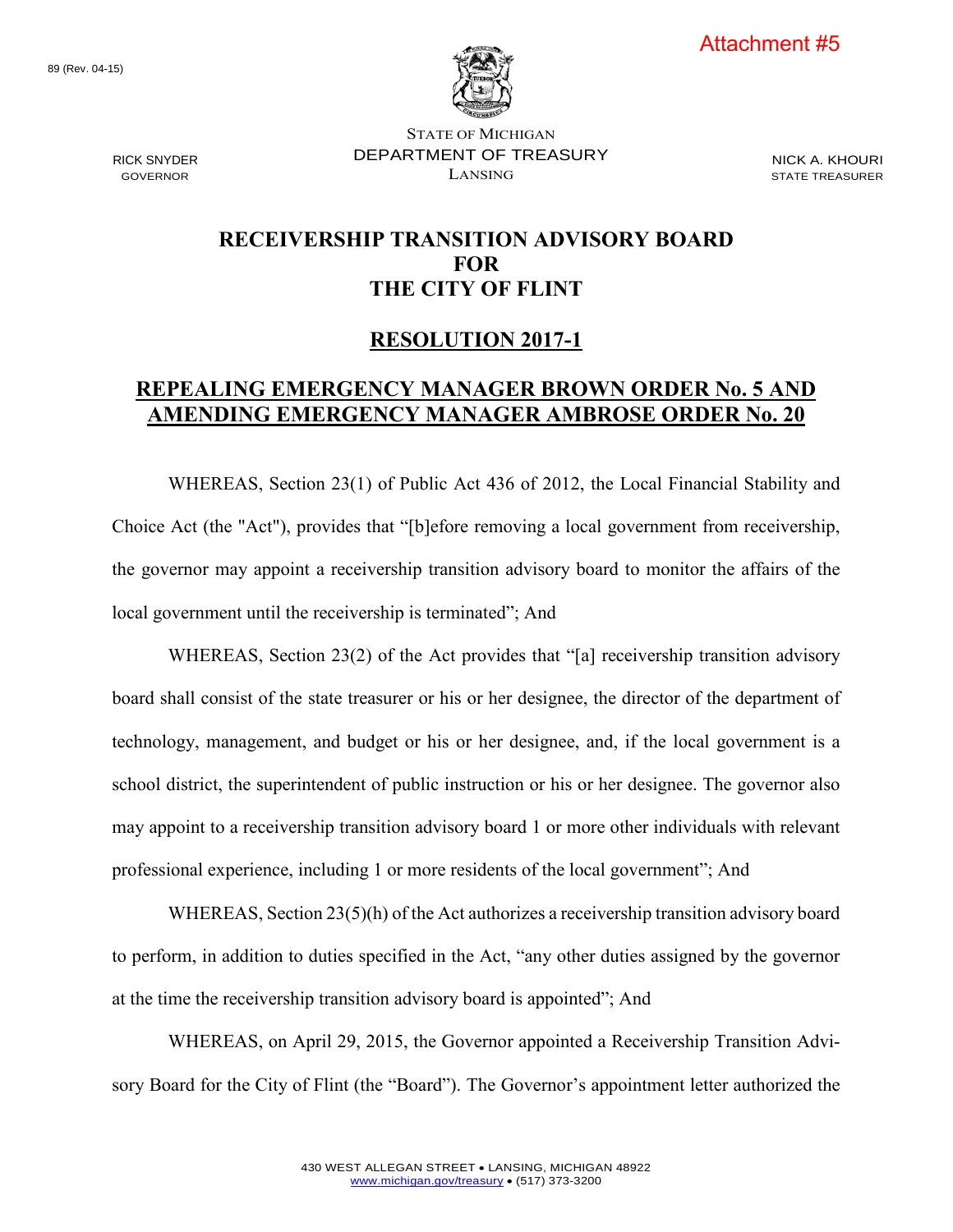

89 (Rev. 04-15)

RICK SNYDER GOVERNOR

STATE OF MICHIGAN DEPARTMENT OF TREASURY LANSING

NICK A. KHOURI STATE TREASURER

## **RECEIVERSHIP TRANSITION ADVISORY BOARD FOR THE CITY OF FLINT**

## **RESOLUTION 2017-1**

## **REPEALING EMERGENCY MANAGER BROWN ORDER No. 5 AND AMENDING EMERGENCY MANAGER AMBROSE ORDER No. 20**

WHEREAS, Section 23(1) of Public Act 436 of 2012, the Local Financial Stability and Choice Act (the "Act"), provides that "[b]efore removing a local government from receivership, the governor may appoint a receivership transition advisory board to monitor the affairs of the local government until the receivership is terminated"; And

WHEREAS, Section 23(2) of the Act provides that "[a] receivership transition advisory board shall consist of the state treasurer or his or her designee, the director of the department of technology, management, and budget or his or her designee, and, if the local government is a school district, the superintendent of public instruction or his or her designee. The governor also may appoint to a receivership transition advisory board 1 or more other individuals with relevant professional experience, including 1 or more residents of the local government"; And

WHEREAS, Section 23(5)(h) of the Act authorizes a receivership transition advisory board to perform, in addition to duties specified in the Act, "any other duties assigned by the governor at the time the receivership transition advisory board is appointed"; And

WHEREAS, on April 29, 2015, the Governor appointed a Receivership Transition Advisory Board for the City of Flint (the "Board"). The Governor's appointment letter authorized the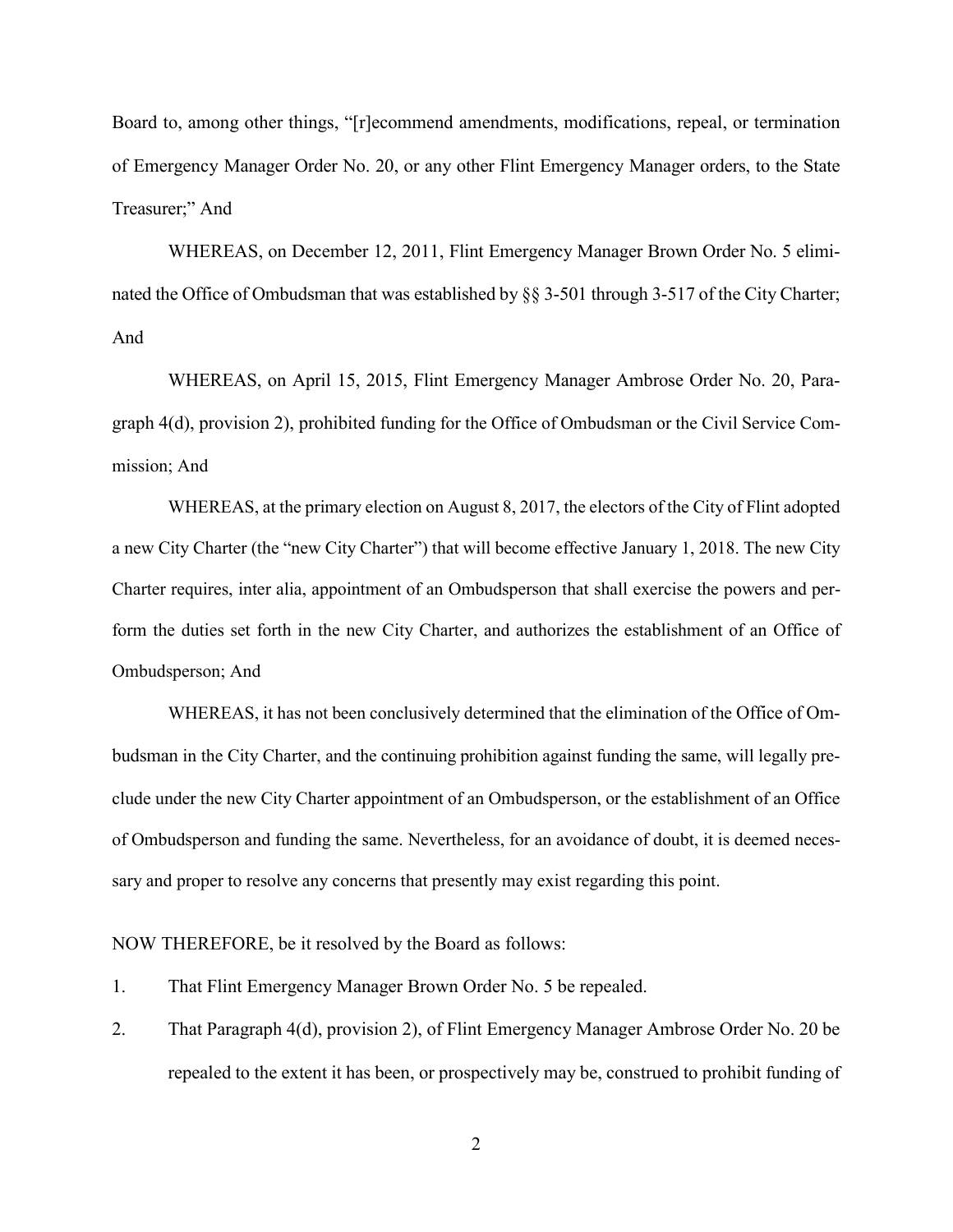Board to, among other things, "[r]ecommend amendments, modifications, repeal, or termination of Emergency Manager Order No. 20, or any other Flint Emergency Manager orders, to the State Treasurer;" And

WHEREAS, on December 12, 2011, Flint Emergency Manager Brown Order No. 5 eliminated the Office of Ombudsman that was established by §§ 3-501 through 3-517 of the City Charter; And

WHEREAS, on April 15, 2015, Flint Emergency Manager Ambrose Order No. 20, Paragraph 4(d), provision 2), prohibited funding for the Office of Ombudsman or the Civil Service Commission; And

WHEREAS, at the primary election on August 8, 2017, the electors of the City of Flint adopted a new City Charter (the "new City Charter") that will become effective January 1, 2018. The new City Charter requires, inter alia, appointment of an Ombudsperson that shall exercise the powers and perform the duties set forth in the new City Charter, and authorizes the establishment of an Office of Ombudsperson; And

WHEREAS, it has not been conclusively determined that the elimination of the Office of Ombudsman in the City Charter, and the continuing prohibition against funding the same, will legally preclude under the new City Charter appointment of an Ombudsperson, or the establishment of an Office of Ombudsperson and funding the same. Nevertheless, for an avoidance of doubt, it is deemed necessary and proper to resolve any concerns that presently may exist regarding this point.

NOW THEREFORE, be it resolved by the Board as follows:

1. That Flint Emergency Manager Brown Order No. 5 be repealed.

2. That Paragraph 4(d), provision 2), of Flint Emergency Manager Ambrose Order No. 20 be repealed to the extent it has been, or prospectively may be, construed to prohibit funding of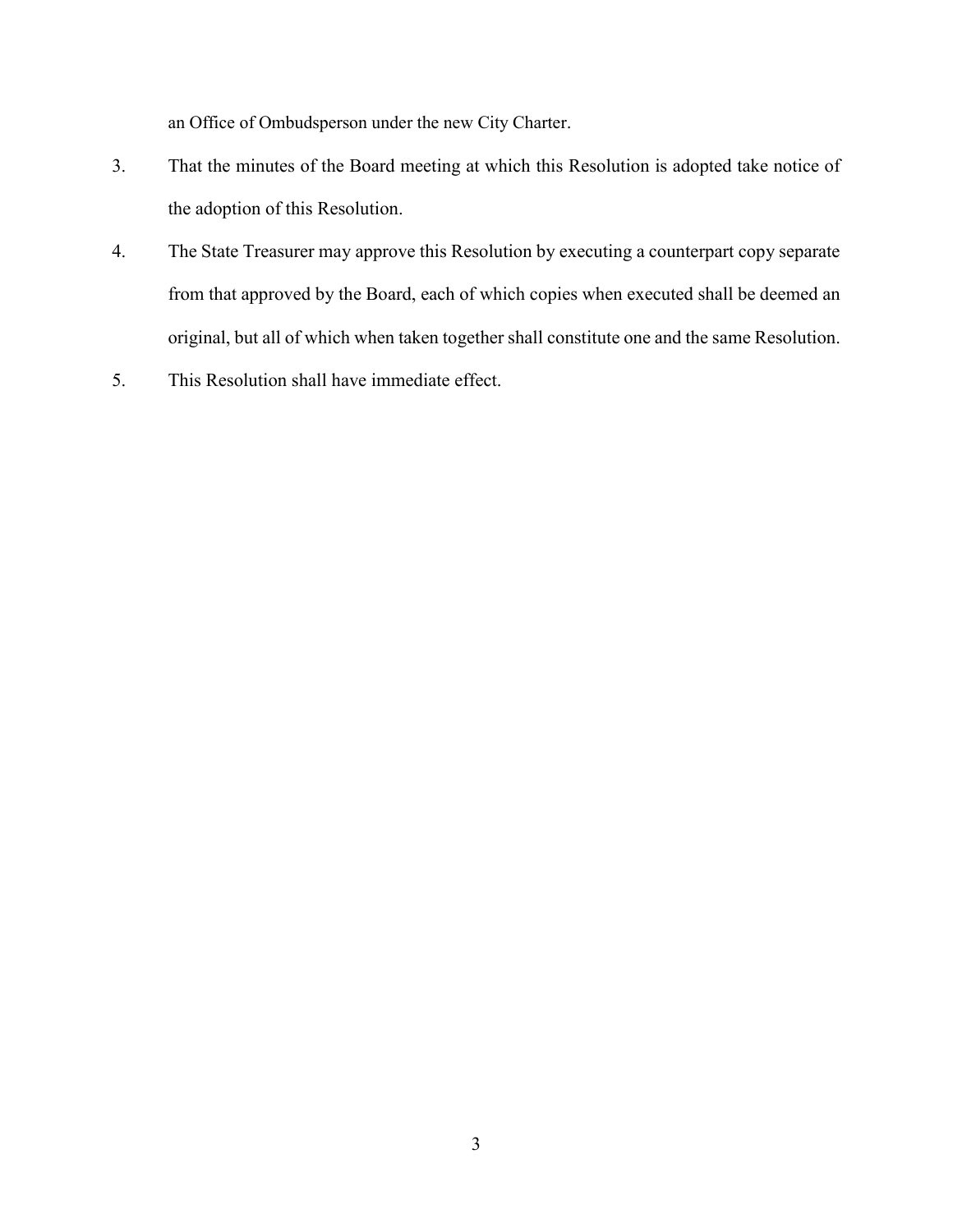an Office of Ombudsperson under the new City Charter.

- 3. That the minutes of the Board meeting at which this Resolution is adopted take notice of the adoption of this Resolution.
- 4. The State Treasurer may approve this Resolution by executing a counterpart copy separate from that approved by the Board, each of which copies when executed shall be deemed an original, but all of which when taken together shall constitute one and the same Resolution.
- 5. This Resolution shall have immediate effect.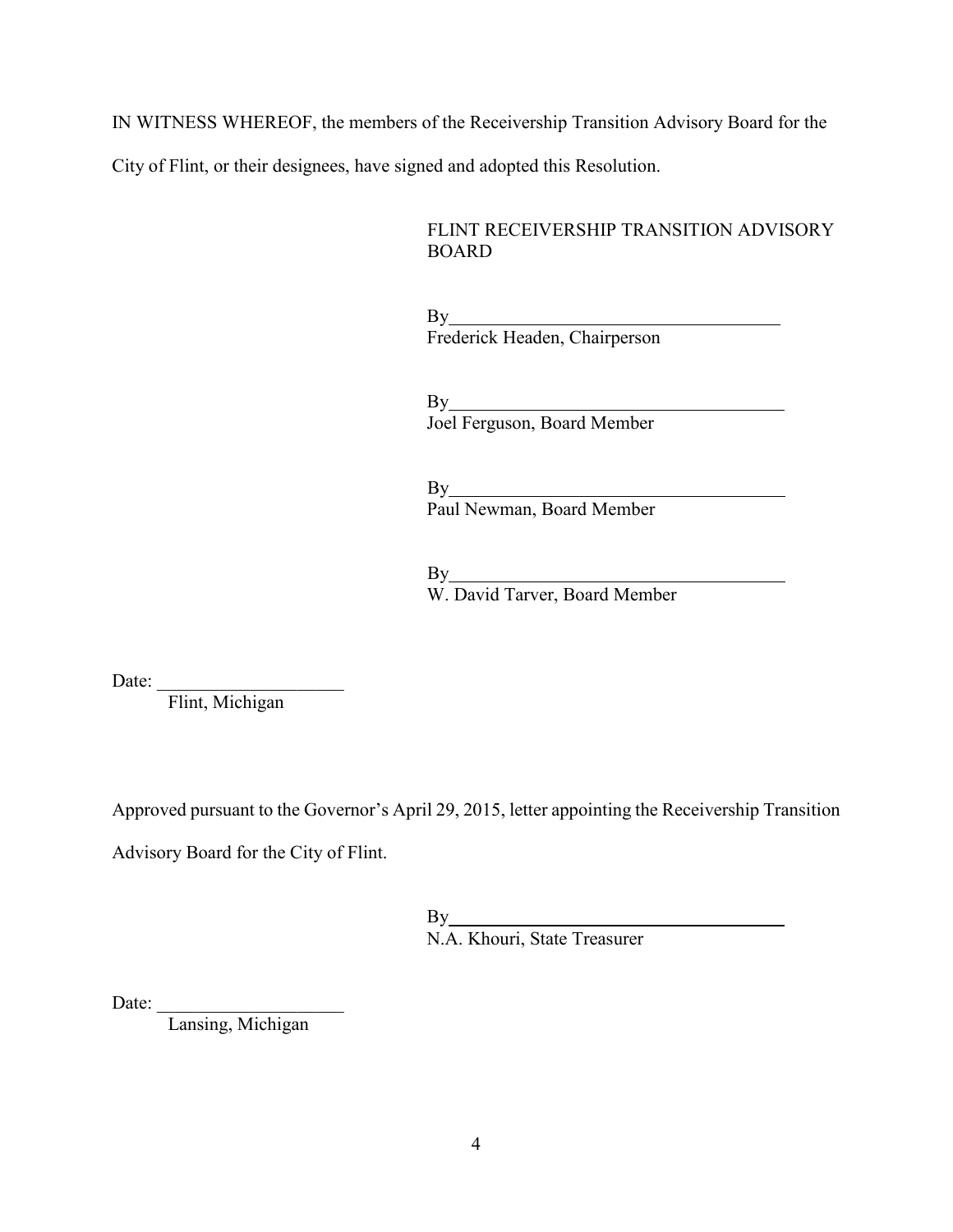IN WITNESS WHEREOF, the members of the Receivership Transition Advisory Board for the

City of Flint, or their designees, have signed and adopted this Resolution.

FLINT RECEIVERSHIP TRANSITION ADVISORY BOARD

By Frederick Headen, Chairperson

By Joel Ferguson, Board Member

By Paul Newman, Board Member

By W. David Tarver, Board Member

Date:  $\frac{1}{\sqrt{1-\frac{1}{2}}\cdot\frac{1}{\sqrt{1-\frac{1}{2}}}}$ 

Flint, Michigan

Approved pursuant to the Governor's April 29, 2015, letter appointing the Receivership Transition

Advisory Board for the City of Flint.

By N.A. Khouri, State Treasurer

Date: \_\_\_\_\_\_\_\_\_\_\_\_\_\_\_\_\_\_\_\_

Lansing, Michigan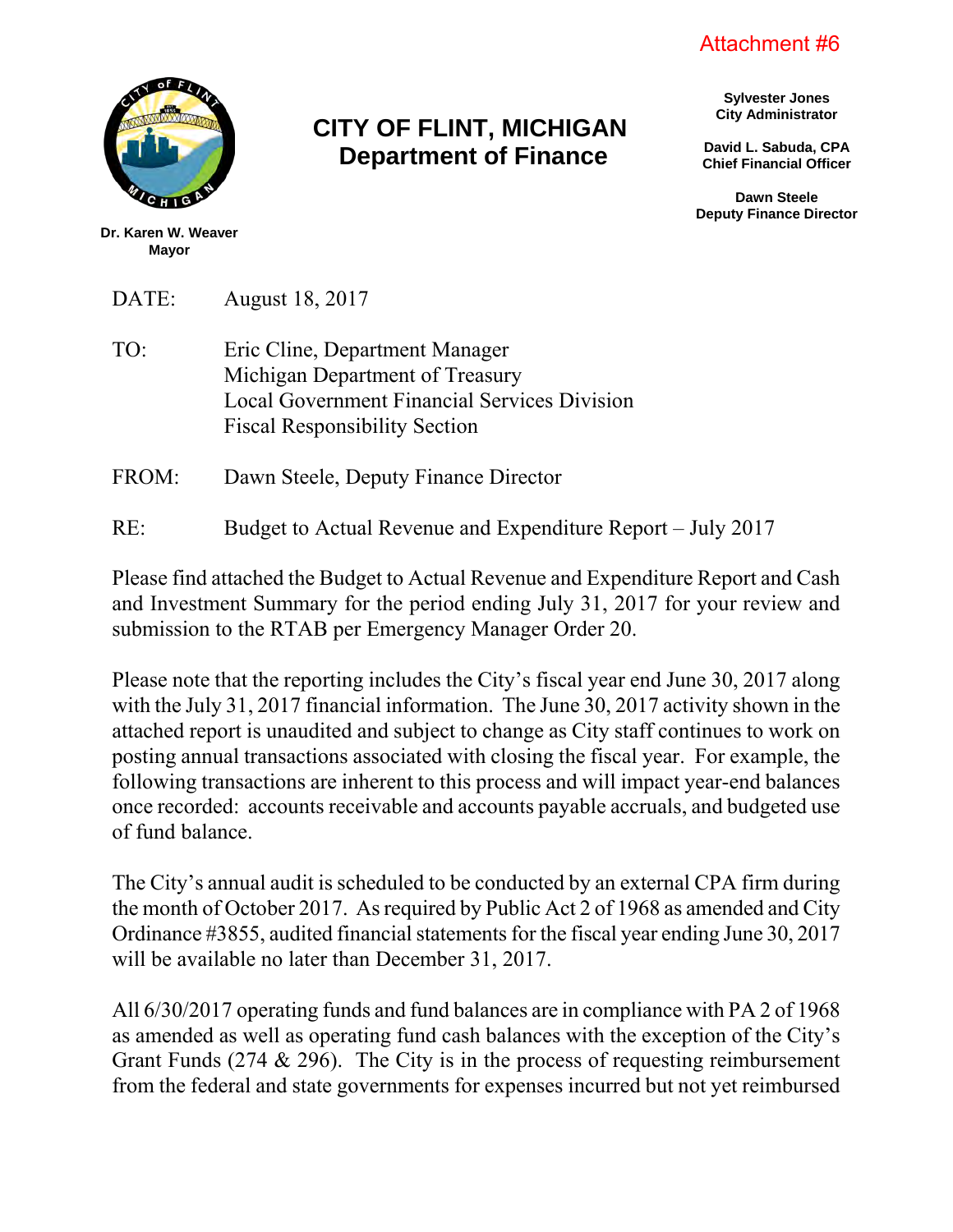Attachment #6



# **CITY OF FLINT, MICHIGAN Department of Finance**

**Sylvester Jones City Administrator**

**David L. Sabuda, CPA Chief Financial Officer**

**Dawn Steele Deputy Finance Director**

**Dr. Karen W. Weaver Mayor**

DATE: August 18, 2017

TO: Eric Cline, Department Manager Michigan Department of Treasury Local Government Financial Services Division Fiscal Responsibility Section

FROM: Dawn Steele, Deputy Finance Director

RE: Budget to Actual Revenue and Expenditure Report – July 2017

Please find attached the Budget to Actual Revenue and Expenditure Report and Cash and Investment Summary for the period ending July 31, 2017 for your review and submission to the RTAB per Emergency Manager Order 20.

Please note that the reporting includes the City's fiscal year end June 30, 2017 along with the July 31, 2017 financial information. The June 30, 2017 activity shown in the attached report is unaudited and subject to change as City staff continues to work on posting annual transactions associated with closing the fiscal year. For example, the following transactions are inherent to this process and will impact year-end balances once recorded: accounts receivable and accounts payable accruals, and budgeted use of fund balance.

The City's annual audit is scheduled to be conducted by an external CPA firm during the month of October 2017. As required by Public Act 2 of 1968 as amended and City Ordinance #3855, audited financial statements for the fiscal year ending June 30, 2017 will be available no later than December 31, 2017.

All 6/30/2017 operating funds and fund balances are in compliance with PA 2 of 1968 as amended as well as operating fund cash balances with the exception of the City's Grant Funds (274 & 296). The City is in the process of requesting reimbursement from the federal and state governments for expenses incurred but not yet reimbursed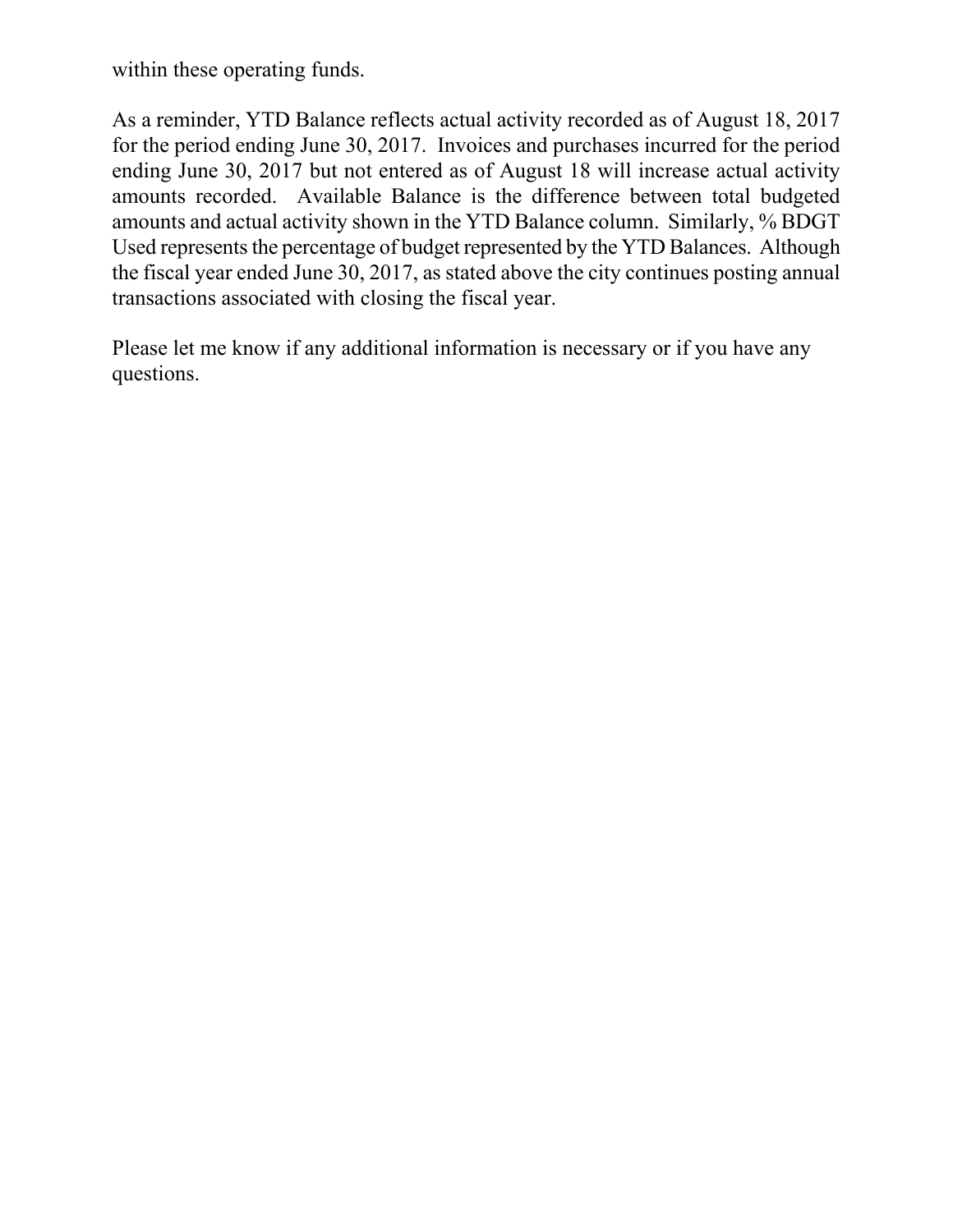within these operating funds.

As a reminder, YTD Balance reflects actual activity recorded as of August 18, 2017 for the period ending June 30, 2017. Invoices and purchases incurred for the period ending June 30, 2017 but not entered as of August 18 will increase actual activity amounts recorded. Available Balance is the difference between total budgeted amounts and actual activity shown in the YTD Balance column. Similarly, % BDGT Used represents the percentage of budget represented by the YTD Balances. Although the fiscal year ended June 30, 2017, as stated above the city continues posting annual transactions associated with closing the fiscal year.

Please let me know if any additional information is necessary or if you have any questions.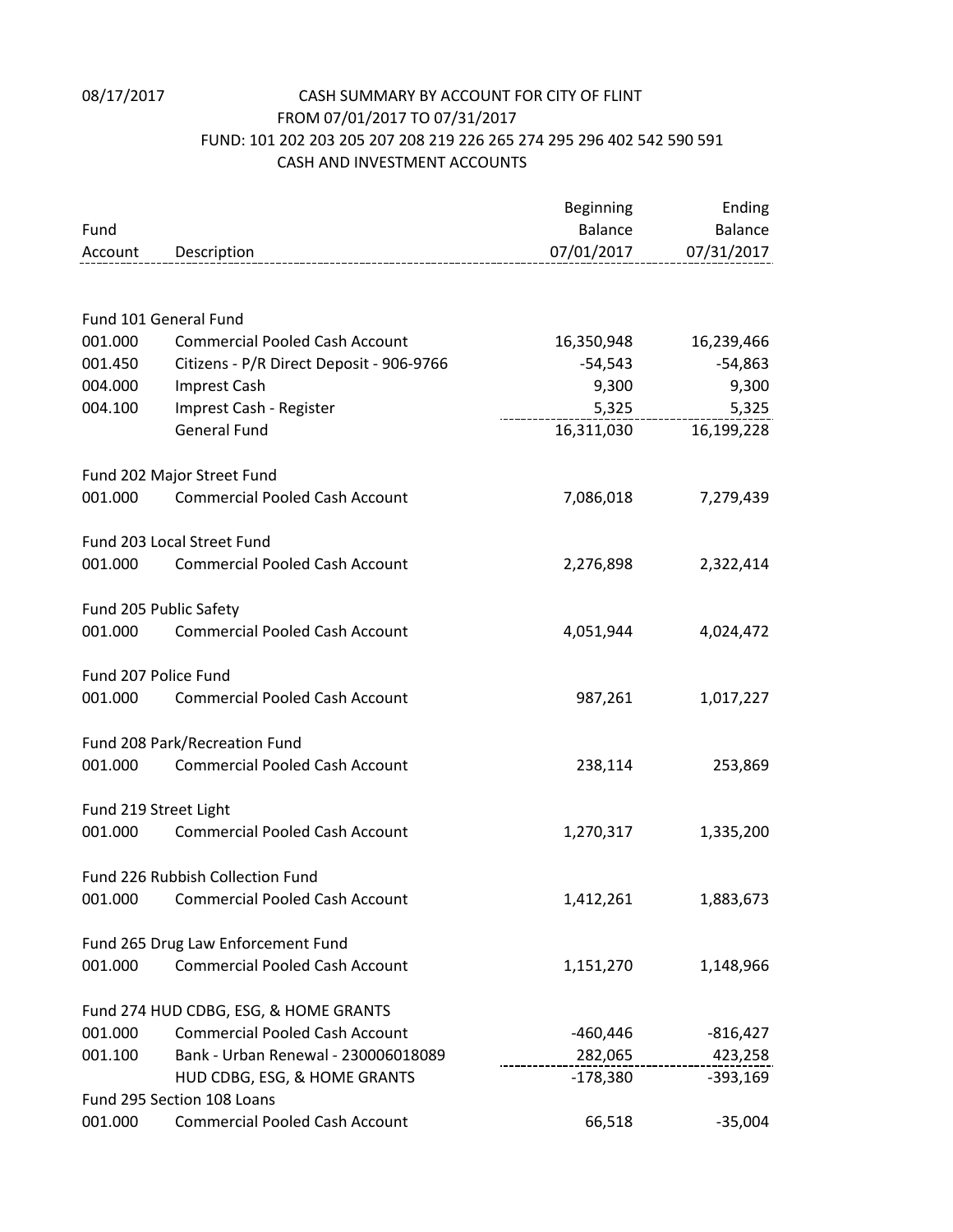## 08/17/2017 CASH SUMMARY BY ACCOUNT FOR CITY OF FLINT FROM 07/01/2017 TO 07/31/2017 FUND: 101 202 203 205 207 208 219 226 265 274 295 296 402 542 590 591 CASH AND INVESTMENT ACCOUNTS

|                       |                                                          | Beginning  | Ending                 |
|-----------------------|----------------------------------------------------------|------------|------------------------|
| Fund                  |                                                          | Balance    | Balance                |
|                       | Account Description<br>--------------------------------- | 07/01/2017 | 07/31/2017             |
|                       |                                                          |            |                        |
|                       | Fund 101 General Fund                                    |            |                        |
| 001.000               | <b>Commercial Pooled Cash Account</b>                    | 16,350,948 | 16,239,466             |
| 001.450               | Citizens - P/R Direct Deposit - 906-9766                 | -54,543    | -54,863                |
| 004.000               | Imprest Cash                                             | 9,300      | 9,300                  |
| 004.100               | Imprest Cash - Register                                  |            | 5,325<br>5,325         |
|                       | <b>General Fund</b>                                      |            | 16,311,030  16,199,228 |
|                       | Fund 202 Major Street Fund                               |            |                        |
| 001.000               | <b>Commercial Pooled Cash Account</b>                    | 7,086,018  | 7,279,439              |
|                       | Fund 203 Local Street Fund                               |            |                        |
| 001.000               | <b>Commercial Pooled Cash Account</b>                    | 2,276,898  | 2,322,414              |
|                       | Fund 205 Public Safety                                   |            |                        |
| 001.000               | <b>Commercial Pooled Cash Account</b>                    | 4,051,944  | 4,024,472              |
| Fund 207 Police Fund  |                                                          |            |                        |
| 001.000               | <b>Commercial Pooled Cash Account</b>                    | 987,261    | 1,017,227              |
|                       | Fund 208 Park/Recreation Fund                            |            |                        |
| 001.000               | <b>Commercial Pooled Cash Account</b>                    | 238,114    | 253,869                |
| Fund 219 Street Light |                                                          |            |                        |
| 001.000               | <b>Commercial Pooled Cash Account</b>                    | 1,270,317  | 1,335,200              |
|                       | Fund 226 Rubbish Collection Fund                         |            |                        |
|                       | 001.000 Commercial Pooled Cash Account                   | 1,412,261  | 1,883,673              |
|                       | Fund 265 Drug Law Enforcement Fund                       |            |                        |
| 001.000               | <b>Commercial Pooled Cash Account</b>                    | 1,151,270  | 1,148,966              |
|                       | Fund 274 HUD CDBG, ESG, & HOME GRANTS                    |            |                        |
| 001.000               | <b>Commercial Pooled Cash Account</b>                    | -460,446   | $-816,427$             |
| 001.100               | Bank - Urban Renewal - 230006018089                      | 282,065    | 423,258                |
|                       | HUD CDBG, ESG, & HOME GRANTS                             | -178,380   | -393,169               |
|                       | Fund 295 Section 108 Loans                               |            |                        |
| 001.000               | <b>Commercial Pooled Cash Account</b>                    | 66,518     | $-35,004$              |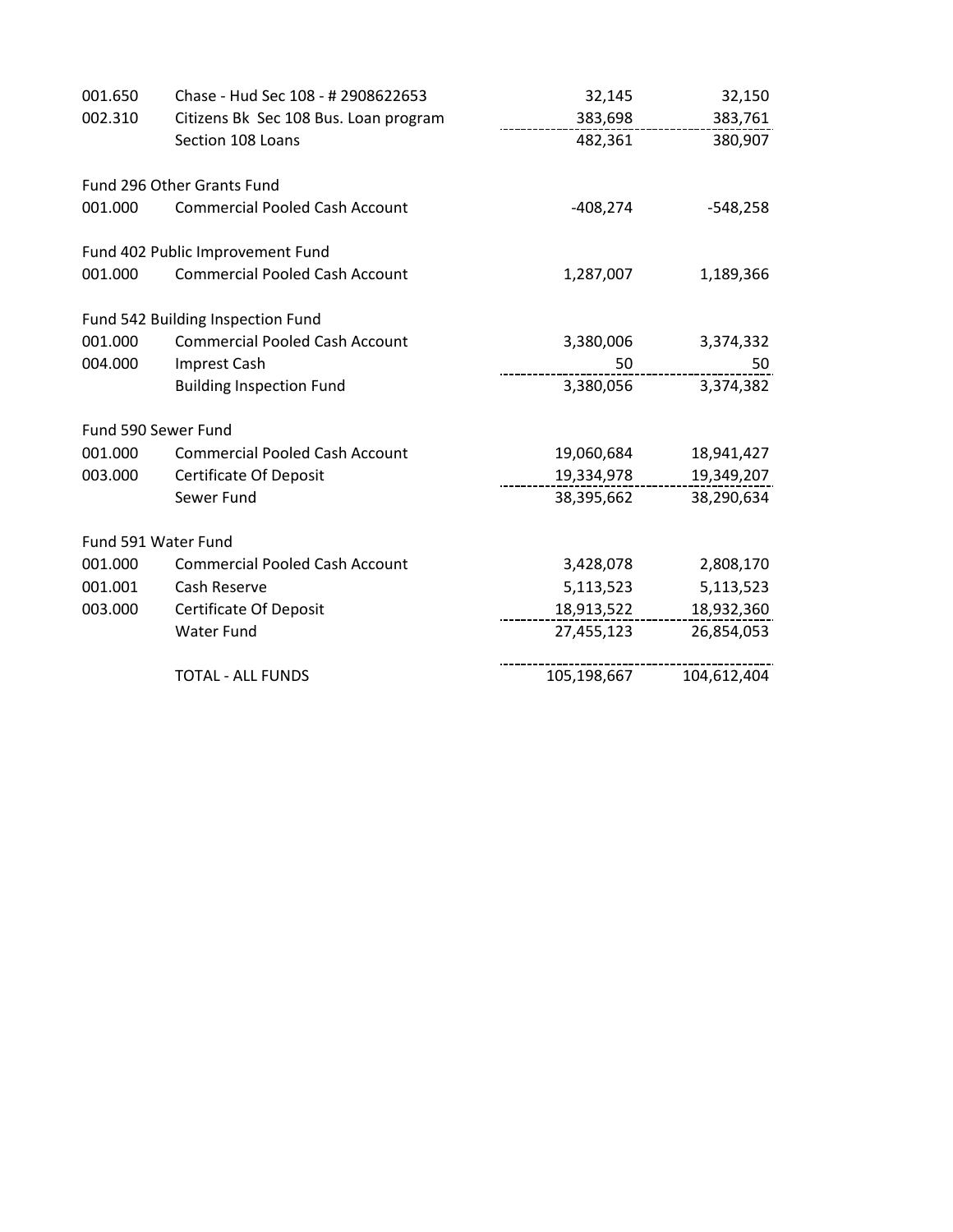| 001.650 | Chase - Hud Sec 108 - # 2908622653    | 32,145      | 32,150      |
|---------|---------------------------------------|-------------|-------------|
| 002.310 | Citizens Bk Sec 108 Bus. Loan program | 383,698     | 383,761     |
|         | Section 108 Loans                     | 482,361     | 380,907     |
|         | Fund 296 Other Grants Fund            |             |             |
| 001.000 | <b>Commercial Pooled Cash Account</b> | $-408,274$  | $-548,258$  |
|         | Fund 402 Public Improvement Fund      |             |             |
| 001.000 | <b>Commercial Pooled Cash Account</b> | 1,287,007   | 1,189,366   |
|         | Fund 542 Building Inspection Fund     |             |             |
| 001.000 | <b>Commercial Pooled Cash Account</b> | 3,380,006   | 3,374,332   |
| 004.000 | Imprest Cash                          | 50          | 50          |
|         | <b>Building Inspection Fund</b>       | 3,380,056   | 3,374,382   |
|         | Fund 590 Sewer Fund                   |             |             |
| 001.000 | <b>Commercial Pooled Cash Account</b> | 19,060,684  | 18,941,427  |
| 003.000 | <b>Certificate Of Deposit</b>         | 19,334,978  | 19,349,207  |
|         | Sewer Fund                            | 38,395,662  | 38,290,634  |
|         | Fund 591 Water Fund                   |             |             |
| 001.000 | <b>Commercial Pooled Cash Account</b> | 3,428,078   | 2,808,170   |
| 001.001 | Cash Reserve                          | 5,113,523   | 5,113,523   |
| 003.000 | <b>Certificate Of Deposit</b>         | 18,913,522  | 18,932,360  |
|         | <b>Water Fund</b>                     | 27,455,123  | 26,854,053  |
|         | <b>TOTAL - ALL FUNDS</b>              | 105,198,667 | 104,612,404 |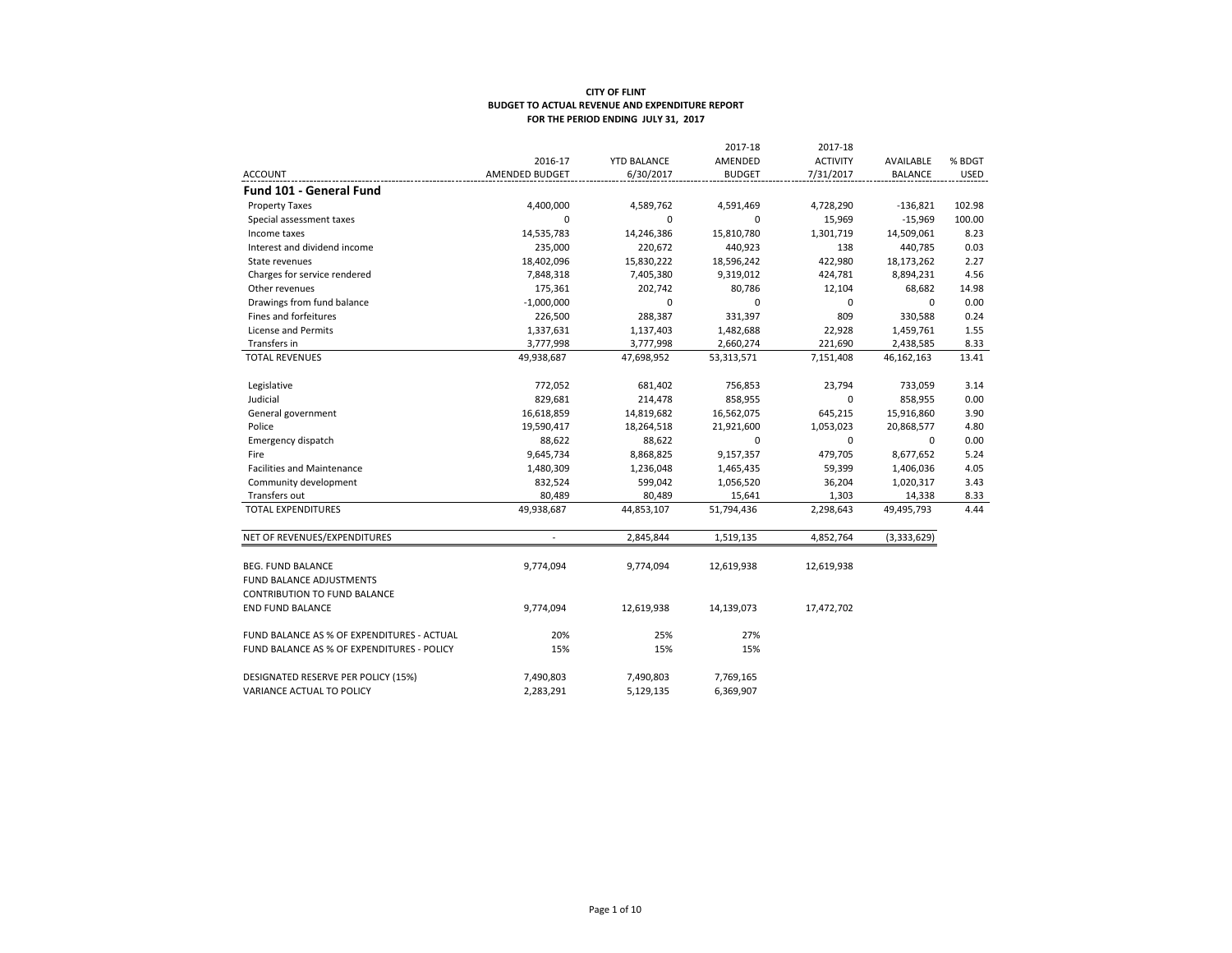|                                            |                |                    | 2017-18       | 2017-18         |                |             |
|--------------------------------------------|----------------|--------------------|---------------|-----------------|----------------|-------------|
|                                            | 2016-17        | <b>YTD BALANCE</b> | AMENDED       | <b>ACTIVITY</b> | AVAILABLE      | % BDGT      |
| <b>ACCOUNT</b>                             | AMENDED BUDGET | 6/30/2017          | <b>BUDGET</b> | 7/31/2017       | <b>BALANCE</b> | <b>USED</b> |
| <b>Fund 101 - General Fund</b>             |                |                    |               |                 |                |             |
| <b>Property Taxes</b>                      | 4,400,000      | 4,589,762          | 4,591,469     | 4,728,290       | $-136,821$     | 102.98      |
| Special assessment taxes                   | 0              | $\mathbf 0$        | $\mathbf 0$   | 15,969          | $-15,969$      | 100.00      |
| Income taxes                               | 14,535,783     | 14,246,386         | 15,810,780    | 1,301,719       | 14,509,061     | 8.23        |
| Interest and dividend income               | 235,000        | 220,672            | 440,923       | 138             | 440,785        | 0.03        |
| State revenues                             | 18,402,096     | 15,830,222         | 18,596,242    | 422,980         | 18,173,262     | 2.27        |
| Charges for service rendered               | 7,848,318      | 7,405,380          | 9,319,012     | 424,781         | 8,894,231      | 4.56        |
| Other revenues                             | 175,361        | 202,742            | 80,786        | 12,104          | 68,682         | 14.98       |
| Drawings from fund balance                 | $-1,000,000$   | $\mathbf 0$        | 0             | $\mathbf 0$     | $\mathbf 0$    | 0.00        |
| Fines and forfeitures                      | 226,500        | 288,387            | 331,397       | 809             | 330,588        | 0.24        |
| License and Permits                        | 1,337,631      | 1,137,403          | 1,482,688     | 22,928          | 1,459,761      | 1.55        |
| Transfers in                               | 3,777,998      | 3,777,998          | 2,660,274     | 221,690         | 2,438,585      | 8.33        |
| <b>TOTAL REVENUES</b>                      | 49,938,687     | 47,698,952         | 53,313,571    | 7,151,408       | 46,162,163     | 13.41       |
|                                            |                |                    |               |                 |                |             |
| Legislative                                | 772,052        | 681,402            | 756,853       | 23,794          | 733,059        | 3.14        |
| Judicial                                   | 829,681        | 214,478            | 858,955       | 0               | 858,955        | 0.00        |
| General government                         | 16,618,859     | 14,819,682         | 16,562,075    | 645,215         | 15,916,860     | 3.90        |
| Police                                     | 19,590,417     | 18,264,518         | 21,921,600    | 1,053,023       | 20,868,577     | 4.80        |
| Emergency dispatch                         | 88,622         | 88,622             | 0             | $\mathbf 0$     | $\mathbf 0$    | 0.00        |
| Fire                                       | 9,645,734      | 8,868,825          | 9,157,357     | 479,705         | 8,677,652      | 5.24        |
| <b>Facilities and Maintenance</b>          | 1,480,309      | 1,236,048          | 1,465,435     | 59,399          | 1,406,036      | 4.05        |
| Community development                      | 832,524        | 599,042            | 1,056,520     | 36,204          | 1,020,317      | 3.43        |
| Transfers out                              | 80,489         | 80,489             | 15,641        | 1,303           | 14,338         | 8.33        |
| <b>TOTAL EXPENDITURES</b>                  | 49,938,687     | 44,853,107         | 51,794,436    | 2,298,643       | 49,495,793     | 4.44        |
| NET OF REVENUES/EXPENDITURES               | $\sim$         | 2,845,844          | 1,519,135     | 4,852,764       | (3,333,629)    |             |
|                                            |                |                    |               |                 |                |             |
| BEG. FUND BALANCE                          | 9,774,094      | 9,774,094          | 12,619,938    | 12,619,938      |                |             |
| FUND BALANCE ADJUSTMENTS                   |                |                    |               |                 |                |             |
| <b>CONTRIBUTION TO FUND BALANCE</b>        |                |                    |               |                 |                |             |
| <b>END FUND BALANCE</b>                    | 9,774,094      | 12,619,938         | 14,139,073    | 17,472,702      |                |             |
| FUND BALANCE AS % OF EXPENDITURES - ACTUAL | 20%            | 25%                | 27%           |                 |                |             |
| FUND BALANCE AS % OF EXPENDITURES - POLICY | 15%            | 15%                | 15%           |                 |                |             |
| DESIGNATED RESERVE PER POLICY (15%)        | 7,490,803      | 7,490,803          | 7,769,165     |                 |                |             |
| VARIANCE ACTUAL TO POLICY                  | 2,283,291      | 5,129,135          | 6,369,907     |                 |                |             |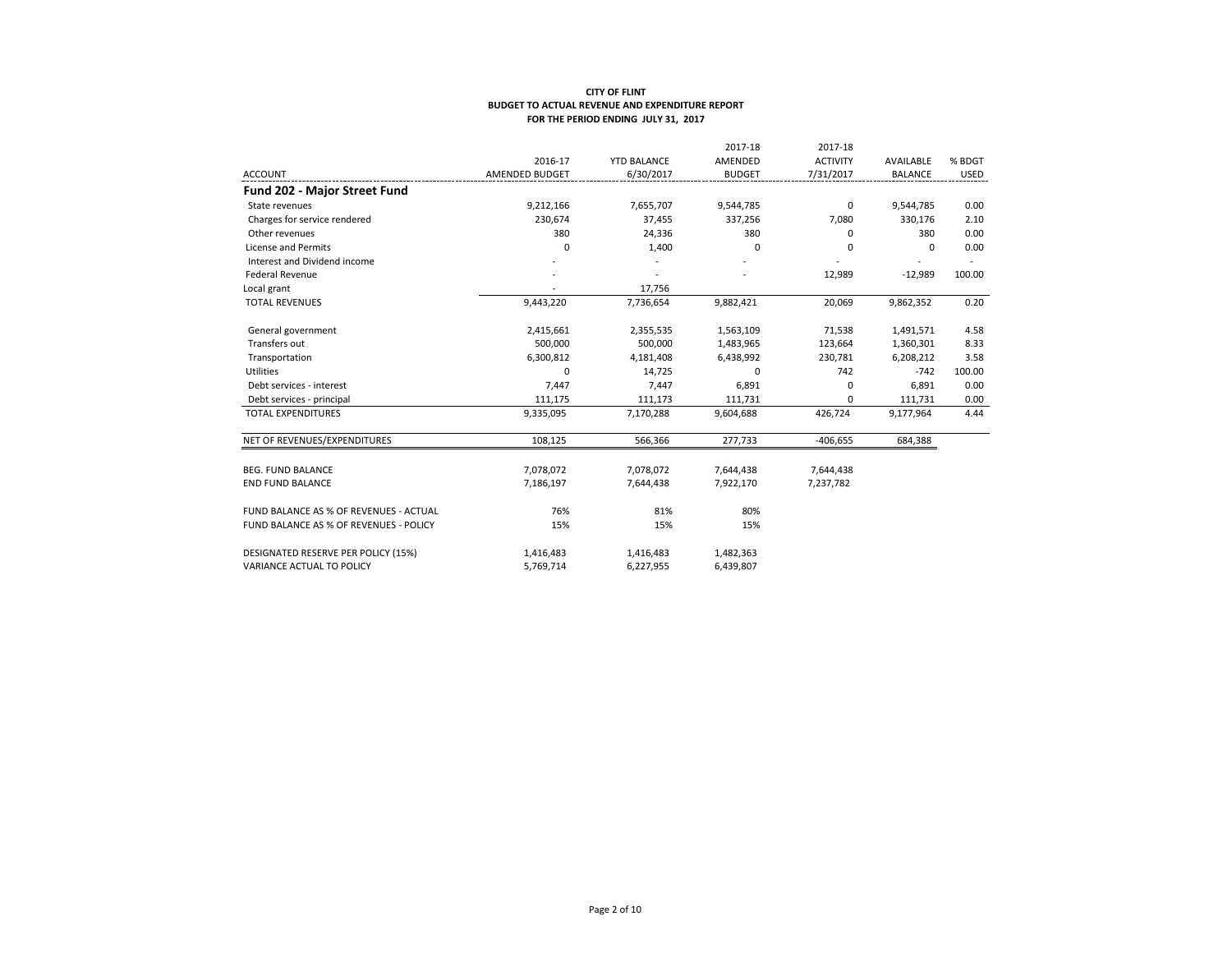|                                        |                |                    | 2017-18       | 2017-18         |                |             |
|----------------------------------------|----------------|--------------------|---------------|-----------------|----------------|-------------|
|                                        | 2016-17        | <b>YTD BALANCE</b> | AMENDED       | <b>ACTIVITY</b> | AVAILABLE      | % BDGT      |
| <b>ACCOUNT</b>                         | AMENDED BUDGET | 6/30/2017          | <b>BUDGET</b> | 7/31/2017       | <b>BALANCE</b> | <b>USED</b> |
| <b>Fund 202 - Major Street Fund</b>    |                |                    |               |                 |                |             |
| State revenues                         | 9,212,166      | 7,655,707          | 9,544,785     | $\mathbf 0$     | 9,544,785      | 0.00        |
| Charges for service rendered           | 230,674        | 37,455             | 337,256       | 7,080           | 330,176        | 2.10        |
| Other revenues                         | 380            | 24,336             | 380           | 0               | 380            | 0.00        |
| <b>License and Permits</b>             | $\Omega$       | 1,400              | $\Omega$      | 0               | $\Omega$       | 0.00        |
| Interest and Dividend income           |                |                    |               |                 |                |             |
| <b>Federal Revenue</b>                 |                |                    |               | 12,989          | $-12,989$      | 100.00      |
| Local grant                            |                | 17,756             |               |                 |                |             |
| <b>TOTAL REVENUES</b>                  | 9,443,220      | 7,736,654          | 9,882,421     | 20,069          | 9,862,352      | 0.20        |
| General government                     | 2,415,661      | 2,355,535          | 1,563,109     | 71,538          | 1,491,571      | 4.58        |
| Transfers out                          | 500,000        | 500,000            | 1,483,965     | 123,664         | 1,360,301      | 8.33        |
| Transportation                         | 6,300,812      | 4,181,408          | 6,438,992     | 230,781         | 6,208,212      | 3.58        |
| Utilities                              | 0              | 14,725             | 0             | 742             | $-742$         | 100.00      |
| Debt services - interest               | 7,447          | 7,447              | 6,891         | 0               | 6,891          | 0.00        |
| Debt services - principal              | 111,175        | 111,173            | 111,731       | 0               | 111,731        | 0.00        |
| <b>TOTAL EXPENDITURES</b>              | 9,335,095      | 7,170,288          | 9,604,688     | 426,724         | 9,177,964      | 4.44        |
| NET OF REVENUES/EXPENDITURES           | 108,125        | 566,366            | 277,733       | $-406,655$      | 684,388        |             |
|                                        |                |                    |               |                 |                |             |
| <b>BEG. FUND BALANCE</b>               | 7,078,072      | 7,078,072          | 7,644,438     | 7,644,438       |                |             |
| <b>END FUND BALANCE</b>                | 7,186,197      | 7,644,438          | 7,922,170     | 7,237,782       |                |             |
| FUND BALANCE AS % OF REVENUES - ACTUAL | 76%            | 81%                | 80%           |                 |                |             |
| FUND BALANCE AS % OF REVENUES - POLICY | 15%            | 15%                | 15%           |                 |                |             |
| DESIGNATED RESERVE PER POLICY (15%)    | 1,416,483      | 1,416,483          | 1,482,363     |                 |                |             |
| VARIANCE ACTUAL TO POLICY              | 5,769,714      | 6,227,955          | 6,439,807     |                 |                |             |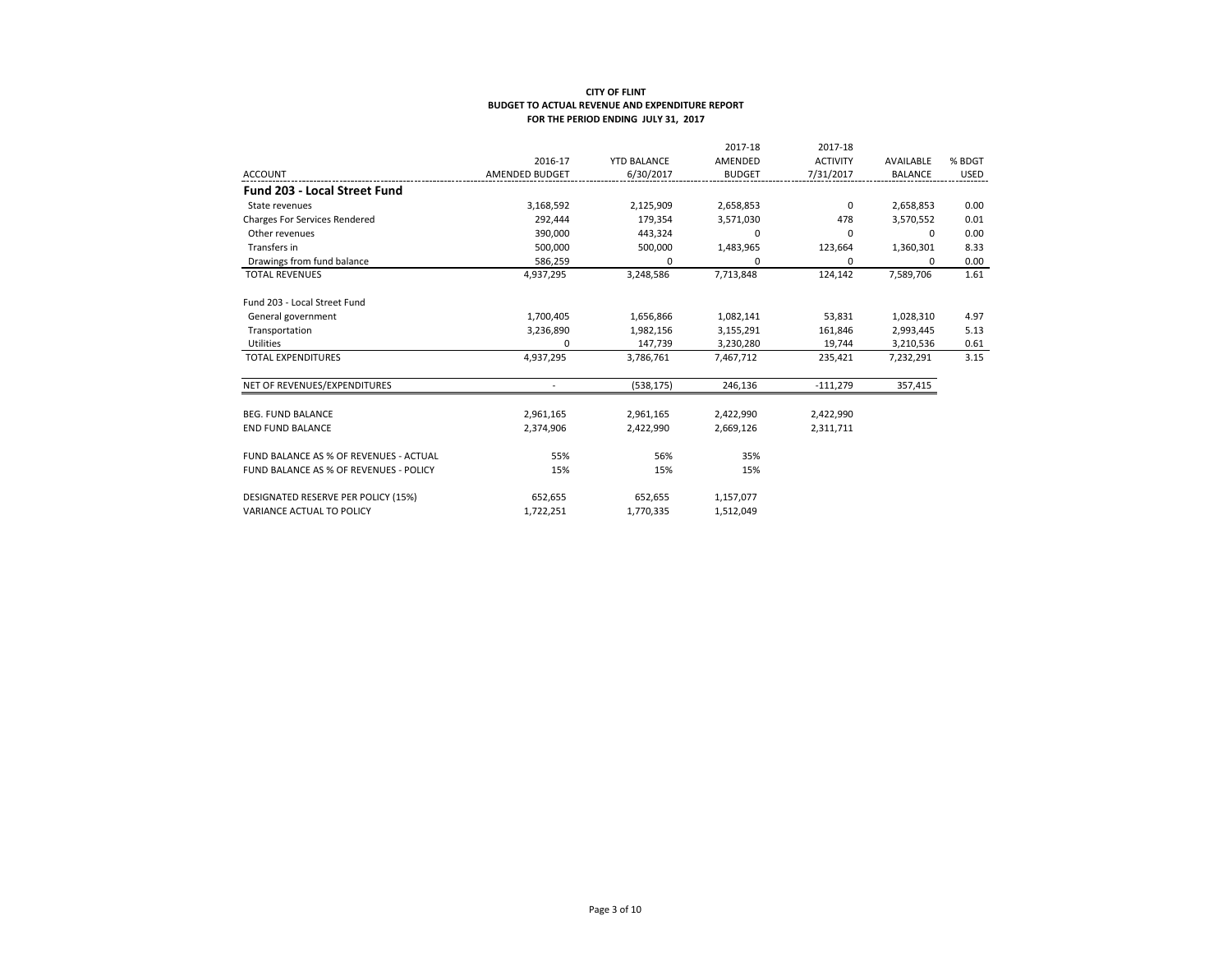|                                        |                |                    | 2017-18       | 2017-18         |                |             |
|----------------------------------------|----------------|--------------------|---------------|-----------------|----------------|-------------|
|                                        | 2016-17        | <b>YTD BALANCE</b> | AMENDED       | <b>ACTIVITY</b> | AVAILABLE      | % BDGT      |
| <b>ACCOUNT</b>                         | AMENDED BUDGET | 6/30/2017          | <b>BUDGET</b> | 7/31/2017       | <b>BALANCE</b> | <b>USED</b> |
| <b>Fund 203 - Local Street Fund</b>    |                |                    |               |                 |                |             |
| State revenues                         | 3,168,592      | 2,125,909          | 2,658,853     | $\mathbf 0$     | 2,658,853      | 0.00        |
| <b>Charges For Services Rendered</b>   | 292,444        | 179,354            | 3,571,030     | 478             | 3,570,552      | 0.01        |
| Other revenues                         | 390,000        | 443,324            | 0             | 0               | 0              | 0.00        |
| Transfers in                           | 500,000        | 500,000            | 1,483,965     | 123,664         | 1,360,301      | 8.33        |
| Drawings from fund balance             | 586,259        | 0                  | 0             | 0               | 0              | 0.00        |
| <b>TOTAL REVENUES</b>                  | 4,937,295      | 3,248,586          | 7,713,848     | 124,142         | 7,589,706      | 1.61        |
| Fund 203 - Local Street Fund           |                |                    |               |                 |                |             |
| General government                     | 1,700,405      | 1,656,866          | 1,082,141     | 53,831          | 1,028,310      | 4.97        |
| Transportation                         | 3,236,890      | 1,982,156          | 3,155,291     | 161,846         | 2,993,445      | 5.13        |
| Utilities                              | $\Omega$       | 147,739            | 3,230,280     | 19,744          | 3,210,536      | 0.61        |
| <b>TOTAL EXPENDITURES</b>              | 4,937,295      | 3,786,761          | 7,467,712     | 235,421         | 7,232,291      | 3.15        |
| NET OF REVENUES/EXPENDITURES           |                | (538, 175)         | 246,136       | $-111,279$      | 357,415        |             |
| <b>BEG. FUND BALANCE</b>               | 2,961,165      | 2,961,165          | 2,422,990     | 2,422,990       |                |             |
| <b>END FUND BALANCE</b>                | 2,374,906      | 2,422,990          | 2,669,126     | 2,311,711       |                |             |
| FUND BALANCE AS % OF REVENUES - ACTUAL | 55%            | 56%                | 35%           |                 |                |             |
| FUND BALANCE AS % OF REVENUES - POLICY | 15%            | 15%                | 15%           |                 |                |             |
| DESIGNATED RESERVE PER POLICY (15%)    | 652,655        | 652,655            | 1,157,077     |                 |                |             |
| VARIANCE ACTUAL TO POLICY              | 1,722,251      | 1,770,335          | 1,512,049     |                 |                |             |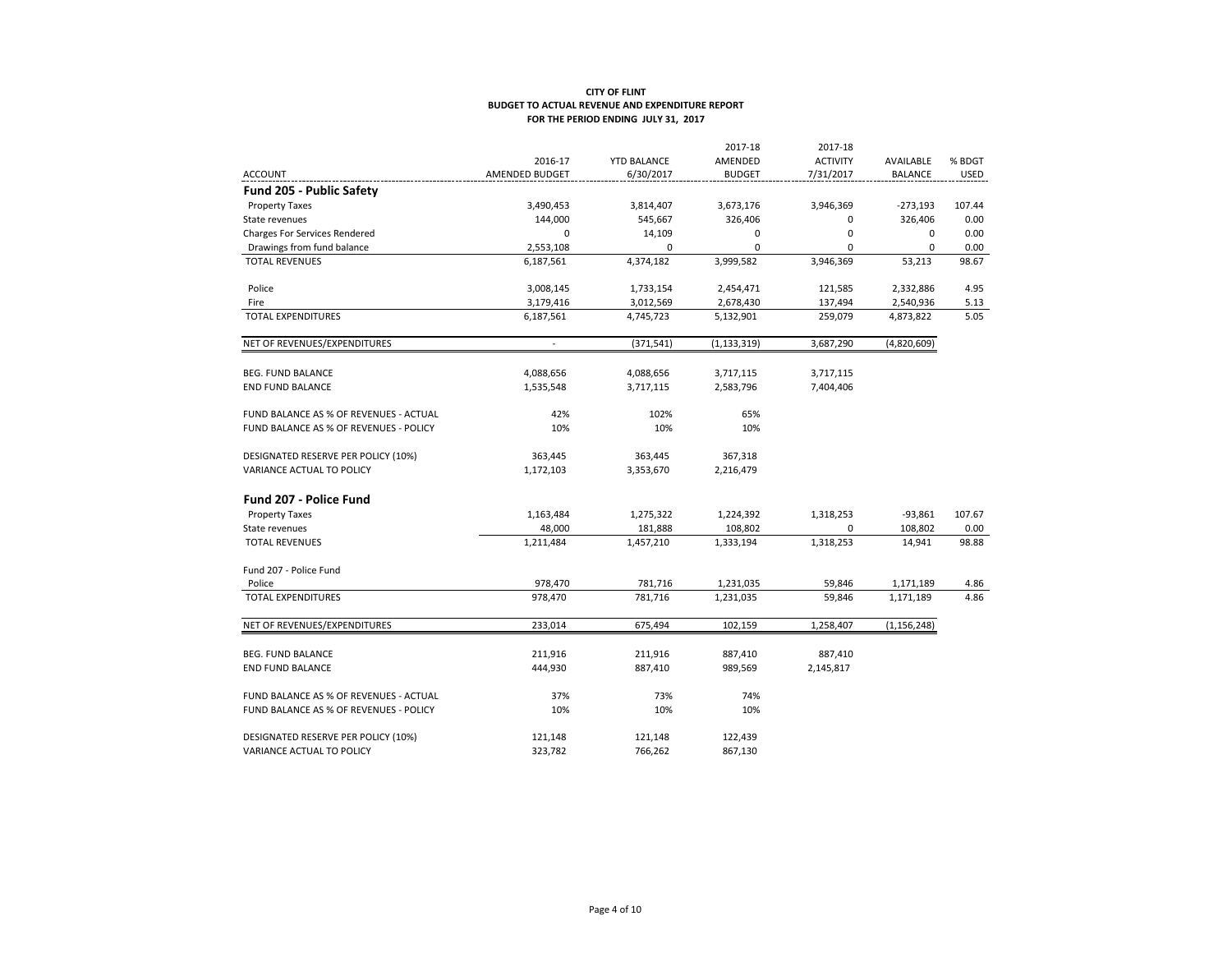|                                        |                |                    | 2017-18       | 2017-18         |                |             |
|----------------------------------------|----------------|--------------------|---------------|-----------------|----------------|-------------|
|                                        | 2016-17        | <b>YTD BALANCE</b> | AMENDED       | <b>ACTIVITY</b> | AVAILABLE      | % BDGT      |
| <b>ACCOUNT</b>                         | AMENDED BUDGET | 6/30/2017          | <b>BUDGET</b> | 7/31/2017       | <b>BALANCE</b> | <b>USED</b> |
| Fund 205 - Public Safety               |                |                    |               |                 |                |             |
| <b>Property Taxes</b>                  | 3,490,453      | 3,814,407          | 3,673,176     | 3,946,369       | $-273,193$     | 107.44      |
| State revenues                         | 144,000        | 545,667            | 326,406       | $\Omega$        | 326,406        | 0.00        |
| <b>Charges For Services Rendered</b>   | $\Omega$       | 14,109             | 0             | $\mathbf 0$     | $\mathbf 0$    | 0.00        |
| Drawings from fund balance             | 2,553,108      | 0                  | $\mathbf 0$   | 0               | $\mathbf 0$    | 0.00        |
| <b>TOTAL REVENUES</b>                  | 6,187,561      | 4,374,182          | 3,999,582     | 3,946,369       | 53,213         | 98.67       |
| Police                                 | 3,008,145      | 1,733,154          | 2,454,471     | 121,585         | 2,332,886      | 4.95        |
| Fire                                   | 3,179,416      | 3,012,569          | 2,678,430     | 137,494         | 2,540,936      | 5.13        |
| <b>TOTAL EXPENDITURES</b>              | 6,187,561      | 4,745,723          | 5,132,901     | 259,079         | 4,873,822      | 5.05        |
| NET OF REVENUES/EXPENDITURES           | $\sim$         | (371, 541)         | (1, 133, 319) | 3,687,290       | (4,820,609)    |             |
| <b>BEG. FUND BALANCE</b>               | 4,088,656      | 4,088,656          | 3,717,115     | 3,717,115       |                |             |
| <b>END FUND BALANCE</b>                | 1,535,548      | 3,717,115          | 2,583,796     | 7,404,406       |                |             |
| FUND BALANCE AS % OF REVENUES - ACTUAL | 42%            | 102%               | 65%           |                 |                |             |
| FUND BALANCE AS % OF REVENUES - POLICY | 10%            | 10%                | 10%           |                 |                |             |
| DESIGNATED RESERVE PER POLICY (10%)    | 363,445        | 363,445            | 367,318       |                 |                |             |
| <b>VARIANCE ACTUAL TO POLICY</b>       | 1,172,103      | 3,353,670          | 2,216,479     |                 |                |             |
| <b>Fund 207 - Police Fund</b>          |                |                    |               |                 |                |             |
| <b>Property Taxes</b>                  | 1,163,484      | 1,275,322          | 1,224,392     | 1,318,253       | $-93,861$      | 107.67      |
| State revenues                         | 48,000         | 181,888            | 108,802       | 0               | 108,802        | 0.00        |
| <b>TOTAL REVENUES</b>                  | 1,211,484      | 1,457,210          | 1,333,194     | 1,318,253       | 14,941         | 98.88       |
| Fund 207 - Police Fund                 |                |                    |               |                 |                |             |
| Police                                 | 978,470        | 781,716            | 1,231,035     | 59,846          | 1,171,189      | 4.86        |
| <b>TOTAL EXPENDITURES</b>              | 978,470        | 781,716            | 1,231,035     | 59,846          | 1,171,189      | 4.86        |
| NET OF REVENUES/EXPENDITURES           | 233,014        | 675,494            | 102,159       | 1,258,407       | (1, 156, 248)  |             |
| <b>BEG. FUND BALANCE</b>               | 211,916        | 211,916            | 887,410       | 887,410         |                |             |
| <b>END FUND BALANCE</b>                | 444,930        | 887,410            | 989,569       | 2,145,817       |                |             |
| FUND BALANCE AS % OF REVENUES - ACTUAL | 37%            | 73%                | 74%           |                 |                |             |
| FUND BALANCE AS % OF REVENUES - POLICY | 10%            | 10%                | 10%           |                 |                |             |
| DESIGNATED RESERVE PER POLICY (10%)    | 121,148        | 121,148            | 122,439       |                 |                |             |
| <b>VARIANCE ACTUAL TO POLICY</b>       | 323,782        | 766,262            | 867,130       |                 |                |             |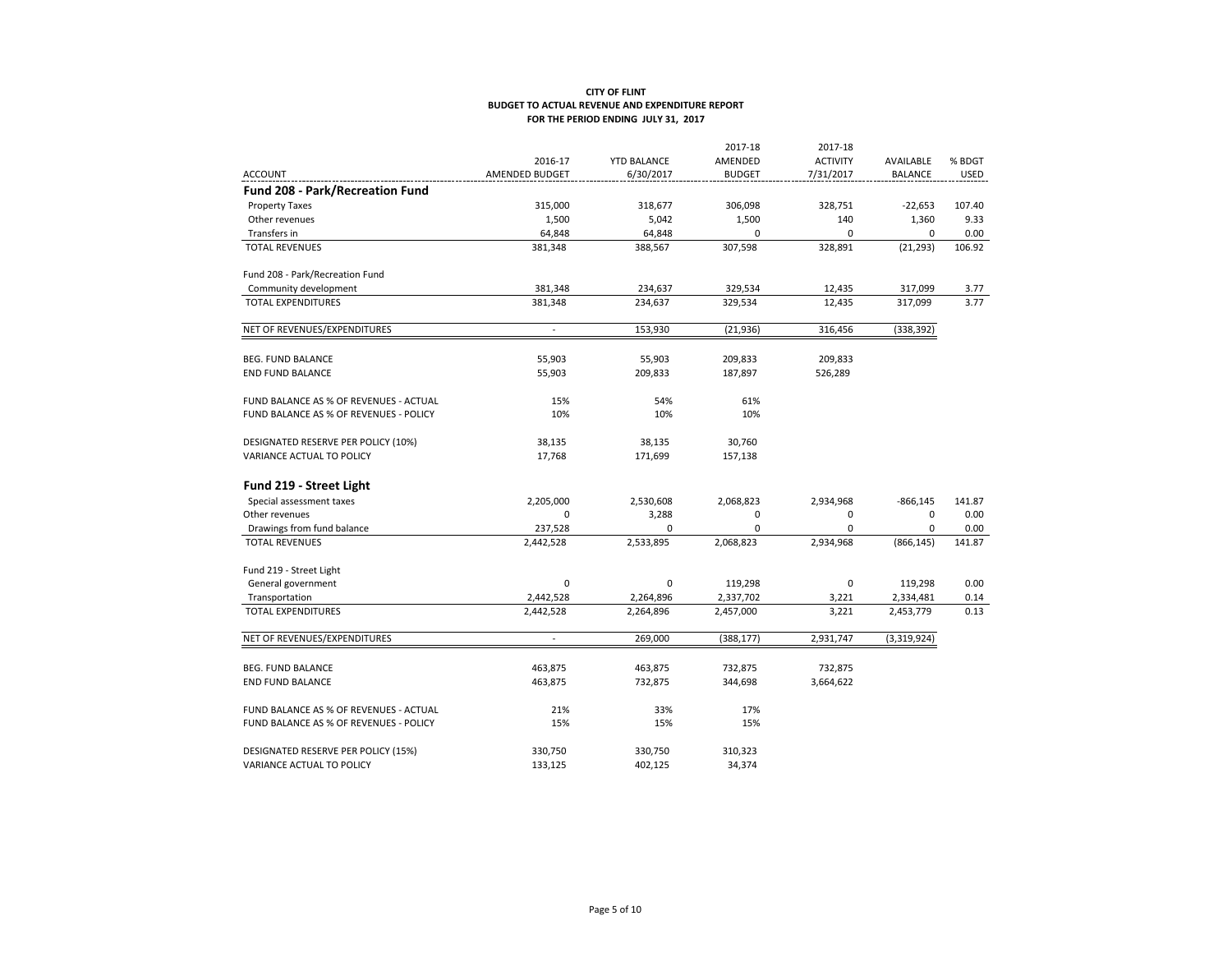|                                        |                          |                    | 2017-18       | 2017-18         |                |             |
|----------------------------------------|--------------------------|--------------------|---------------|-----------------|----------------|-------------|
|                                        | 2016-17                  | <b>YTD BALANCE</b> | AMENDED       | <b>ACTIVITY</b> | AVAILABLE      | % BDGT      |
| <b>ACCOUNT</b>                         | AMENDED BUDGET           | 6/30/2017          | <b>BUDGET</b> | 7/31/2017       | <b>BALANCE</b> | <b>USED</b> |
| Fund 208 - Park/Recreation Fund        |                          |                    |               |                 |                |             |
| <b>Property Taxes</b>                  | 315,000                  | 318,677            | 306,098       | 328,751         | $-22,653$      | 107.40      |
| Other revenues                         | 1,500                    | 5,042              | 1,500         | 140             | 1,360          | 9.33        |
| Transfers in                           | 64,848                   | 64,848             | $\mathbf 0$   | $\mathbf 0$     | $\mathbf 0$    | 0.00        |
| <b>TOTAL REVENUES</b>                  | 381,348                  | 388,567            | 307,598       | 328,891         | (21, 293)      | 106.92      |
| Fund 208 - Park/Recreation Fund        |                          |                    |               |                 |                |             |
| Community development                  | 381,348                  | 234,637            | 329,534       | 12,435          | 317,099        | 3.77        |
| <b>TOTAL EXPENDITURES</b>              | 381,348                  | 234,637            | 329,534       | 12,435          | 317,099        | 3.77        |
| NET OF REVENUES/EXPENDITURES           | $\overline{a}$           | 153,930            | (21, 936)     | 316,456         | (338, 392)     |             |
| <b>BEG. FUND BALANCE</b>               | 55,903                   | 55,903             | 209,833       | 209,833         |                |             |
| <b>END FUND BALANCE</b>                | 55,903                   | 209,833            | 187,897       | 526,289         |                |             |
| FUND BALANCE AS % OF REVENUES - ACTUAL | 15%                      | 54%                | 61%           |                 |                |             |
| FUND BALANCE AS % OF REVENUES - POLICY | 10%                      | 10%                | 10%           |                 |                |             |
| DESIGNATED RESERVE PER POLICY (10%)    | 38,135                   | 38,135             | 30,760        |                 |                |             |
| VARIANCE ACTUAL TO POLICY              | 17,768                   | 171,699            | 157,138       |                 |                |             |
| Fund 219 - Street Light                |                          |                    |               |                 |                |             |
| Special assessment taxes               | 2,205,000                | 2,530,608          | 2,068,823     | 2,934,968       | $-866, 145$    | 141.87      |
| Other revenues                         | $\mathbf 0$              | 3,288              | 0             | 0               | $\mathbf 0$    | 0.00        |
| Drawings from fund balance             | 237,528                  | 0                  | 0             | $\mathbf 0$     | 0              | 0.00        |
| <b>TOTAL REVENUES</b>                  | 2,442,528                | 2,533,895          | 2,068,823     | 2,934,968       | (866, 145)     | 141.87      |
| Fund 219 - Street Light                |                          |                    |               |                 |                |             |
| General government                     | $\mathbf 0$              | $\mathbf 0$        | 119,298       | $\mathbf 0$     | 119,298        | 0.00        |
| Transportation                         | 2,442,528                | 2,264,896          | 2,337,702     | 3,221           | 2,334,481      | 0.14        |
| <b>TOTAL EXPENDITURES</b>              | 2,442,528                | 2,264,896          | 2,457,000     | 3,221           | 2,453,779      | 0.13        |
| NET OF REVENUES/EXPENDITURES           | $\overline{\phantom{a}}$ | 269,000            | (388, 177)    | 2,931,747       | (3,319,924)    |             |
| <b>BEG. FUND BALANCE</b>               | 463,875                  | 463,875            | 732,875       | 732,875         |                |             |
| <b>END FUND BALANCE</b>                | 463,875                  | 732,875            | 344,698       | 3,664,622       |                |             |
| FUND BALANCE AS % OF REVENUES - ACTUAL | 21%                      | 33%                | 17%           |                 |                |             |
| FUND BALANCE AS % OF REVENUES - POLICY | 15%                      | 15%                | 15%           |                 |                |             |
|                                        |                          |                    |               |                 |                |             |
| DESIGNATED RESERVE PER POLICY (15%)    | 330,750                  | 330,750            | 310,323       |                 |                |             |
| VARIANCE ACTUAL TO POLICY              | 133,125                  | 402,125            | 34,374        |                 |                |             |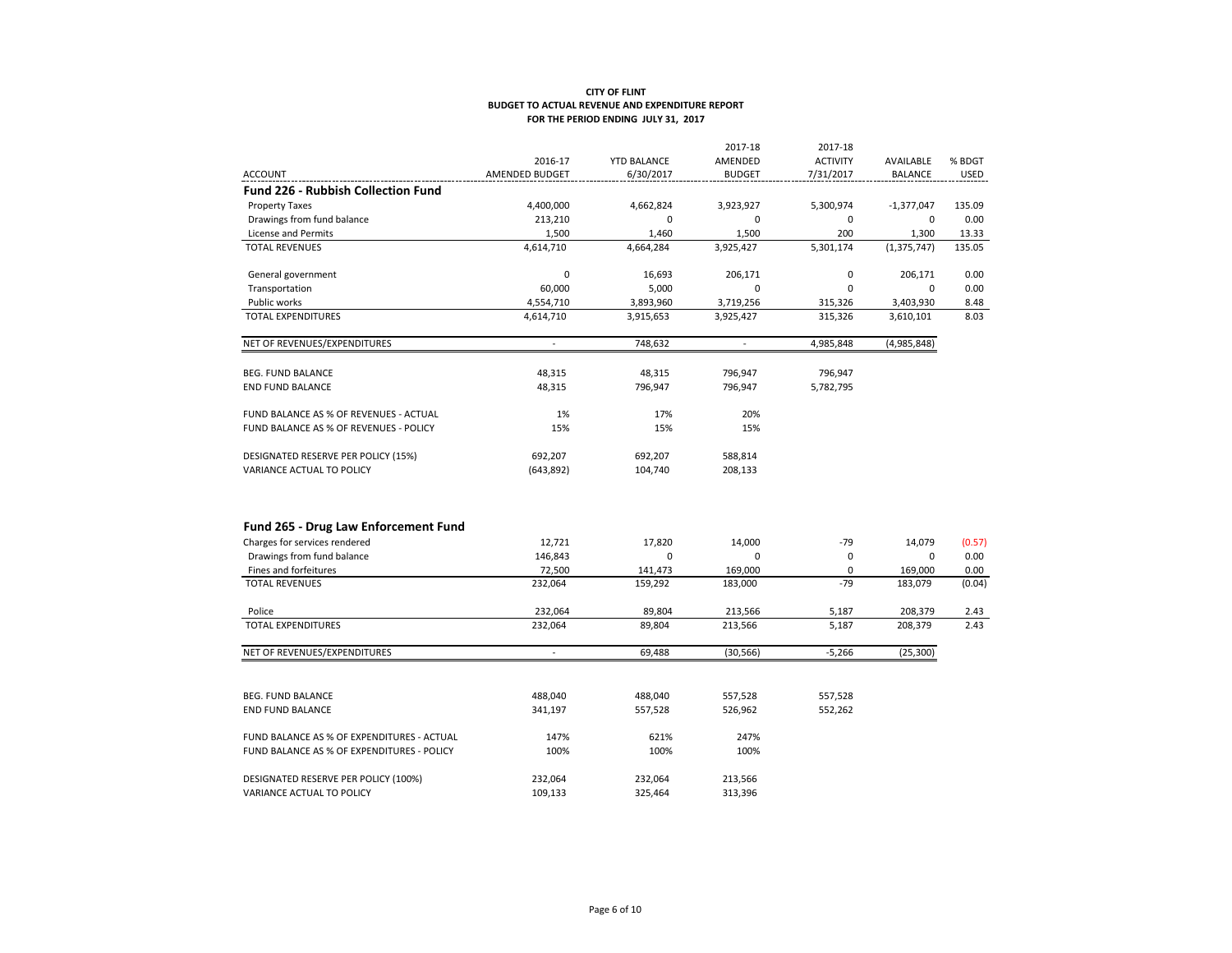|                                            |                |                    | 2017-18        | 2017-18         |                |             |
|--------------------------------------------|----------------|--------------------|----------------|-----------------|----------------|-------------|
|                                            | 2016-17        | <b>YTD BALANCE</b> | AMENDED        | <b>ACTIVITY</b> | AVAILABLE      | % BDGT      |
| <b>ACCOUNT</b>                             | AMENDED BUDGET | 6/30/2017          | <b>BUDGET</b>  | 7/31/2017       | <b>BALANCE</b> | <b>USED</b> |
| <b>Fund 226 - Rubbish Collection Fund</b>  |                |                    |                |                 |                |             |
| <b>Property Taxes</b>                      | 4,400,000      | 4,662,824          | 3,923,927      | 5,300,974       | $-1,377,047$   | 135.09      |
| Drawings from fund balance                 | 213,210        | 0                  | $\mathbf 0$    | 0               | $\mathbf 0$    | 0.00        |
| License and Permits                        | 1,500          | 1,460              | 1,500          | 200             | 1,300          | 13.33       |
| <b>TOTAL REVENUES</b>                      | 4,614,710      | 4,664,284          | 3,925,427      | 5,301,174       | (1, 375, 747)  | 135.05      |
| General government                         | $\mathbf 0$    | 16.693             | 206,171        | 0               | 206,171        | 0.00        |
| Transportation                             | 60,000         | 5,000              | $\mathbf 0$    | 0               | $\mathbf 0$    | 0.00        |
| Public works                               | 4,554,710      | 3,893,960          | 3,719,256      | 315,326         | 3,403,930      | 8.48        |
| <b>TOTAL EXPENDITURES</b>                  | 4,614,710      | 3,915,653          | 3,925,427      | 315,326         | 3,610,101      | 8.03        |
| NET OF REVENUES/EXPENDITURES               | ÷,             | 748,632            | $\overline{a}$ | 4,985,848       | (4,985,848)    |             |
| <b>BEG. FUND BALANCE</b>                   | 48,315         | 48,315             | 796,947        | 796,947         |                |             |
| <b>END FUND BALANCE</b>                    | 48,315         | 796,947            | 796,947        | 5,782,795       |                |             |
| FUND BALANCE AS % OF REVENUES - ACTUAL     | 1%             | 17%                | 20%            |                 |                |             |
| FUND BALANCE AS % OF REVENUES - POLICY     | 15%            | 15%                | 15%            |                 |                |             |
| DESIGNATED RESERVE PER POLICY (15%)        | 692,207        | 692,207            | 588,814        |                 |                |             |
| VARIANCE ACTUAL TO POLICY                  | (643,892)      | 104,740            | 208,133        |                 |                |             |
| Fund 265 - Drug Law Enforcement Fund       |                |                    |                |                 |                |             |
| Charges for services rendered              | 12,721         | 17,820             | 14,000         | $-79$           | 14,079         | (0.57)      |
| Drawings from fund balance                 | 146,843        | 0                  | $\mathbf 0$    | 0               | $\mathbf 0$    | 0.00        |
| Fines and forfeitures                      | 72,500         | 141,473            | 169,000        | $\mathbf 0$     | 169,000        | 0.00        |
| <b>TOTAL REVENUES</b>                      | 232,064        | 159,292            | 183,000        | $-79$           | 183,079        | (0.04)      |
| Police                                     | 232,064        | 89,804             | 213,566        | 5,187           | 208,379        | 2.43        |
| <b>TOTAL EXPENDITURES</b>                  | 232,064        | 89,804             | 213,566        | 5,187           | 208,379        | 2.43        |
| NET OF REVENUES/EXPENDITURES               | $\sim$         | 69,488             | (30, 566)      | $-5,266$        | (25, 300)      |             |
|                                            |                |                    |                |                 |                |             |
| <b>BEG. FUND BALANCE</b>                   | 488,040        | 488,040            | 557,528        | 557,528         |                |             |
| <b>END FUND BALANCE</b>                    | 341,197        | 557,528            | 526,962        | 552,262         |                |             |
| FUND BALANCE AS % OF EXPENDITURES - ACTUAL | 147%           | 621%               | 247%           |                 |                |             |
| FUND BALANCE AS % OF EXPENDITURES - POLICY | 100%           | 100%               | 100%           |                 |                |             |
| DESIGNATED RESERVE PER POLICY (100%)       | 232,064        | 232,064            | 213,566        |                 |                |             |
| VARIANCE ACTUAL TO POLICY                  | 109,133        | 325,464            | 313,396        |                 |                |             |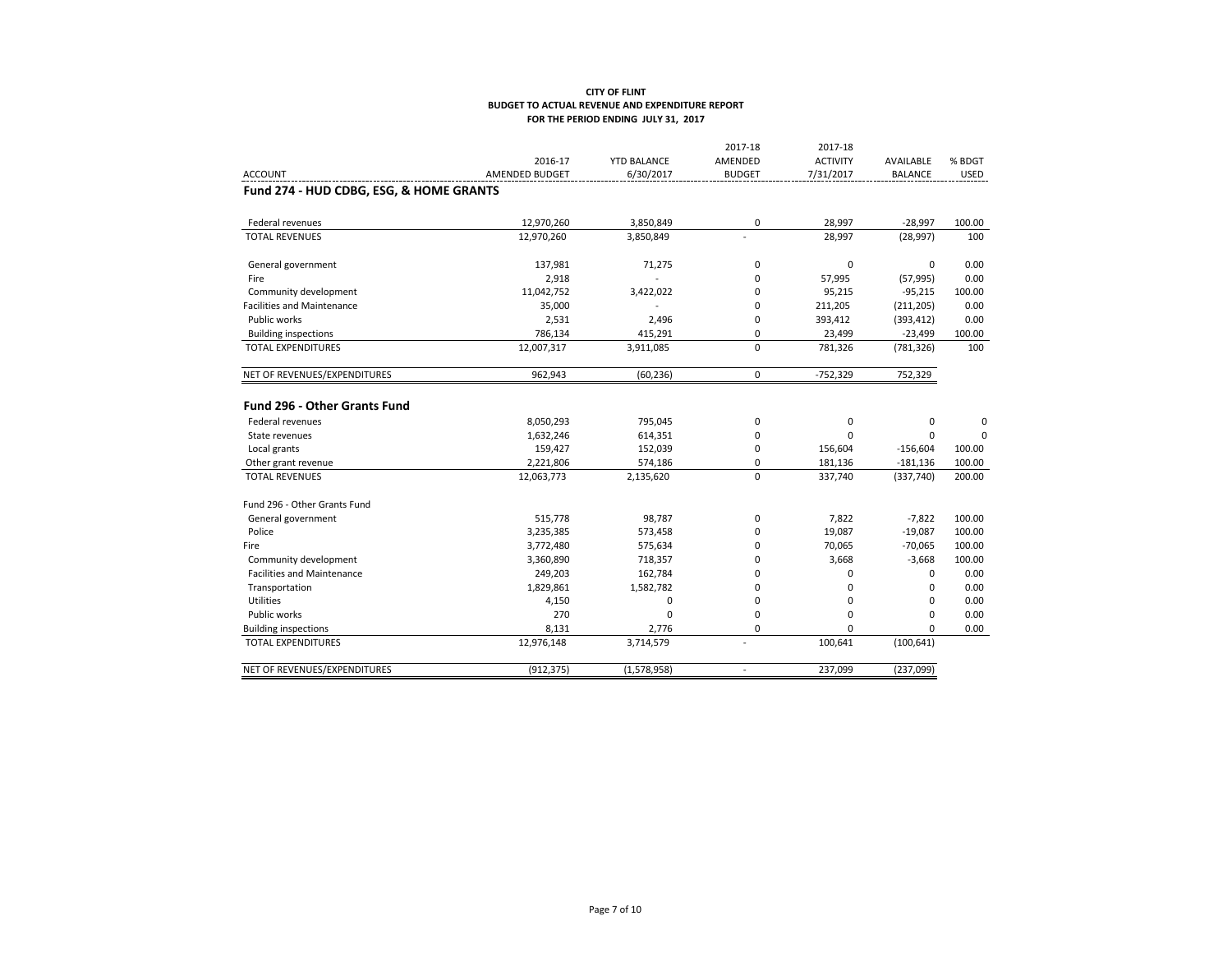| AMENDED<br><b>ACTIVITY</b><br>2016-17<br><b>YTD BALANCE</b><br>AVAILABLE<br>6/30/2017<br><b>ACCOUNT</b><br><b>AMENDED BUDGET</b><br><b>BUDGET</b><br>7/31/2017<br><b>BALANCE</b><br>Fund 274 - HUD CDBG, ESG, & HOME GRANTS<br>12,970,260<br>3,850,849<br>0<br>28,997<br>$-28,997$<br>Federal revenues<br><b>TOTAL REVENUES</b><br>28,997<br>12,970,260<br>3,850,849<br>(28, 997)<br>$\mathbf 0$<br>$\mathbf 0$<br>137,981<br>$\mathbf 0$<br>General government<br>71,275<br>2,918<br>$\Omega$<br>57,995<br>(57, 995)<br>Fire<br>$\sim$<br>Community development<br>11,042,752<br>3,422,022<br>$\mathbf 0$<br>95,215<br>$-95,215$<br>35,000<br><b>Facilities and Maintenance</b><br>$\mathbf 0$<br>211,205<br>(211, 205)<br>Public works<br>2,531<br>2,496<br>$\mathbf 0$<br>393,412<br>(393, 412)<br>786,134<br>415,291<br>0<br>23,499<br>$-23,499$<br><b>Building inspections</b> | % BDGT<br><b>USED</b><br>100.00<br>100<br>0.00<br>0.00<br>100.00<br>0.00<br>0.00<br>100.00 |
|-------------------------------------------------------------------------------------------------------------------------------------------------------------------------------------------------------------------------------------------------------------------------------------------------------------------------------------------------------------------------------------------------------------------------------------------------------------------------------------------------------------------------------------------------------------------------------------------------------------------------------------------------------------------------------------------------------------------------------------------------------------------------------------------------------------------------------------------------------------------------------------|--------------------------------------------------------------------------------------------|
|                                                                                                                                                                                                                                                                                                                                                                                                                                                                                                                                                                                                                                                                                                                                                                                                                                                                                     |                                                                                            |
|                                                                                                                                                                                                                                                                                                                                                                                                                                                                                                                                                                                                                                                                                                                                                                                                                                                                                     |                                                                                            |
|                                                                                                                                                                                                                                                                                                                                                                                                                                                                                                                                                                                                                                                                                                                                                                                                                                                                                     |                                                                                            |
|                                                                                                                                                                                                                                                                                                                                                                                                                                                                                                                                                                                                                                                                                                                                                                                                                                                                                     |                                                                                            |
|                                                                                                                                                                                                                                                                                                                                                                                                                                                                                                                                                                                                                                                                                                                                                                                                                                                                                     |                                                                                            |
|                                                                                                                                                                                                                                                                                                                                                                                                                                                                                                                                                                                                                                                                                                                                                                                                                                                                                     |                                                                                            |
|                                                                                                                                                                                                                                                                                                                                                                                                                                                                                                                                                                                                                                                                                                                                                                                                                                                                                     |                                                                                            |
|                                                                                                                                                                                                                                                                                                                                                                                                                                                                                                                                                                                                                                                                                                                                                                                                                                                                                     |                                                                                            |
|                                                                                                                                                                                                                                                                                                                                                                                                                                                                                                                                                                                                                                                                                                                                                                                                                                                                                     |                                                                                            |
|                                                                                                                                                                                                                                                                                                                                                                                                                                                                                                                                                                                                                                                                                                                                                                                                                                                                                     |                                                                                            |
|                                                                                                                                                                                                                                                                                                                                                                                                                                                                                                                                                                                                                                                                                                                                                                                                                                                                                     |                                                                                            |
| $\mathbf 0$<br><b>TOTAL EXPENDITURES</b><br>12,007,317<br>3,911,085<br>781,326<br>(781, 326)                                                                                                                                                                                                                                                                                                                                                                                                                                                                                                                                                                                                                                                                                                                                                                                        | 100                                                                                        |
| $\mathbf 0$<br>NET OF REVENUES/EXPENDITURES<br>962,943<br>(60, 236)<br>$-752,329$<br>752,329                                                                                                                                                                                                                                                                                                                                                                                                                                                                                                                                                                                                                                                                                                                                                                                        |                                                                                            |
| <b>Fund 296 - Other Grants Fund</b>                                                                                                                                                                                                                                                                                                                                                                                                                                                                                                                                                                                                                                                                                                                                                                                                                                                 |                                                                                            |
| Federal revenues<br>8,050,293<br>$\mathbf 0$<br>$\mathbf 0$<br>795,045<br>0                                                                                                                                                                                                                                                                                                                                                                                                                                                                                                                                                                                                                                                                                                                                                                                                         | 0                                                                                          |
| $\Omega$<br>1,632,246<br>614,351<br>$\mathbf 0$<br>$\Omega$<br>State revenues                                                                                                                                                                                                                                                                                                                                                                                                                                                                                                                                                                                                                                                                                                                                                                                                       | $\Omega$                                                                                   |
| Local grants<br>159,427<br>152,039<br>$\mathbf 0$<br>156,604<br>$-156,604$                                                                                                                                                                                                                                                                                                                                                                                                                                                                                                                                                                                                                                                                                                                                                                                                          | 100.00                                                                                     |
| $\mathbf 0$<br>2,221,806<br>574,186<br>181,136<br>$-181,136$<br>Other grant revenue                                                                                                                                                                                                                                                                                                                                                                                                                                                                                                                                                                                                                                                                                                                                                                                                 | 100.00                                                                                     |
| $\Omega$<br><b>TOTAL REVENUES</b><br>12,063,773<br>2,135,620<br>337,740<br>(337,740)                                                                                                                                                                                                                                                                                                                                                                                                                                                                                                                                                                                                                                                                                                                                                                                                | 200.00                                                                                     |
| Fund 296 - Other Grants Fund                                                                                                                                                                                                                                                                                                                                                                                                                                                                                                                                                                                                                                                                                                                                                                                                                                                        |                                                                                            |
| 515,778<br>98,787<br>$\mathbf 0$<br>7,822<br>$-7,822$<br>General government                                                                                                                                                                                                                                                                                                                                                                                                                                                                                                                                                                                                                                                                                                                                                                                                         | 100.00                                                                                     |
| Police<br>3,235,385<br>$\mathbf 0$<br>19,087<br>$-19,087$<br>573,458                                                                                                                                                                                                                                                                                                                                                                                                                                                                                                                                                                                                                                                                                                                                                                                                                | 100.00                                                                                     |
| $\mathbf 0$<br>70,065<br>$-70,065$<br>3,772,480<br>575,634<br>Fire                                                                                                                                                                                                                                                                                                                                                                                                                                                                                                                                                                                                                                                                                                                                                                                                                  | 100.00                                                                                     |
| 3,668<br>$-3,668$<br>Community development<br>3,360,890<br>$\mathbf 0$<br>718,357                                                                                                                                                                                                                                                                                                                                                                                                                                                                                                                                                                                                                                                                                                                                                                                                   | 100.00                                                                                     |
| <b>Facilities and Maintenance</b><br>249,203<br>$\mathbf 0$<br>0<br>0<br>162,784                                                                                                                                                                                                                                                                                                                                                                                                                                                                                                                                                                                                                                                                                                                                                                                                    | 0.00                                                                                       |
| Transportation<br>1,829,861<br>1,582,782<br>$\mathbf 0$<br>0<br>$\Omega$                                                                                                                                                                                                                                                                                                                                                                                                                                                                                                                                                                                                                                                                                                                                                                                                            | 0.00                                                                                       |
| Utilities<br>0<br>$\mathbf 0$<br>0<br>4,150<br>$\Omega$                                                                                                                                                                                                                                                                                                                                                                                                                                                                                                                                                                                                                                                                                                                                                                                                                             | 0.00                                                                                       |
| Public works<br>270<br>$\mathbf 0$<br>0<br>$\Omega$<br>0                                                                                                                                                                                                                                                                                                                                                                                                                                                                                                                                                                                                                                                                                                                                                                                                                            | 0.00                                                                                       |
| <b>Building inspections</b><br>8.131<br>2,776<br>$\mathbf 0$<br>$\Omega$<br>$\Omega$                                                                                                                                                                                                                                                                                                                                                                                                                                                                                                                                                                                                                                                                                                                                                                                                | 0.00                                                                                       |
| 100,641<br><b>TOTAL EXPENDITURES</b><br>12,976,148<br>(100, 641)<br>3,714,579<br>$\overline{a}$                                                                                                                                                                                                                                                                                                                                                                                                                                                                                                                                                                                                                                                                                                                                                                                     |                                                                                            |
| NET OF REVENUES/EXPENDITURES<br>(912, 375)<br>(1,578,958)<br>237,099<br>(237,099)<br>$\overline{\phantom{a}}$                                                                                                                                                                                                                                                                                                                                                                                                                                                                                                                                                                                                                                                                                                                                                                       |                                                                                            |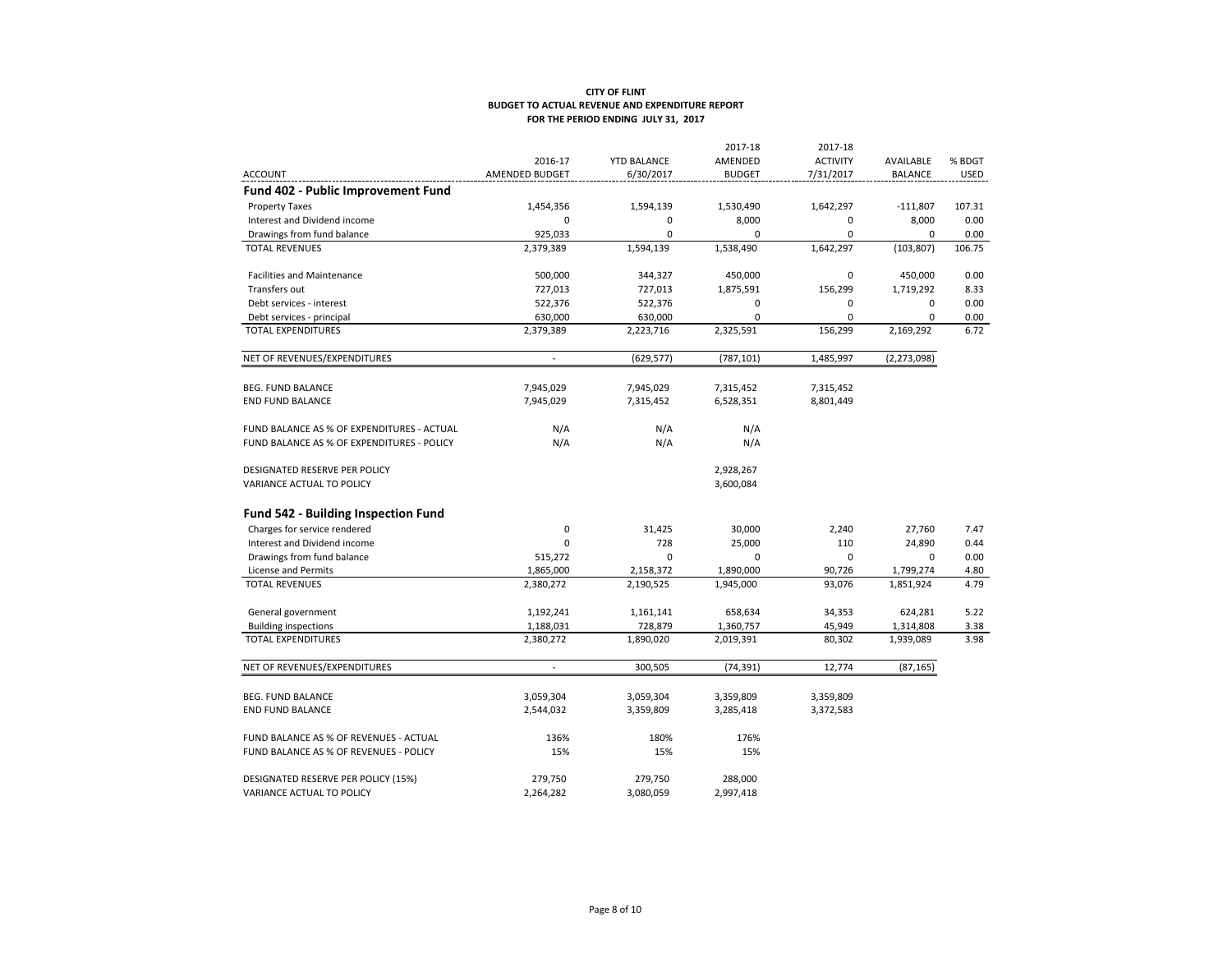|                                            |                          |                    | 2017-18       | 2017-18         |                |             |
|--------------------------------------------|--------------------------|--------------------|---------------|-----------------|----------------|-------------|
|                                            | 2016-17                  | <b>YTD BALANCE</b> | AMENDED       | <b>ACTIVITY</b> | AVAILABLE      | % BDGT      |
| <b>ACCOUNT</b>                             | AMENDED BUDGET           | 6/30/2017          | <b>BUDGET</b> | 7/31/2017       | <b>BALANCE</b> | <b>USED</b> |
| Fund 402 - Public Improvement Fund         |                          |                    |               |                 |                |             |
| <b>Property Taxes</b>                      | 1,454,356                | 1,594,139          | 1,530,490     | 1,642,297       | $-111,807$     | 107.31      |
| Interest and Dividend income               | 0                        | 0                  | 8,000         | 0               | 8,000          | 0.00        |
| Drawings from fund balance                 | 925,033                  | 0                  | 0             | 0               | $\mathbf 0$    | 0.00        |
| <b>TOTAL REVENUES</b>                      | 2,379,389                | 1,594,139          | 1,538,490     | 1,642,297       | (103, 807)     | 106.75      |
| <b>Facilities and Maintenance</b>          | 500,000                  | 344,327            | 450,000       | 0               | 450,000        | 0.00        |
| Transfers out                              | 727,013                  | 727,013            | 1,875,591     | 156,299         | 1,719,292      | 8.33        |
| Debt services - interest                   | 522,376                  | 522,376            | 0             | 0               | 0              | 0.00        |
| Debt services - principal                  | 630,000                  | 630,000            | $\mathbf 0$   | $\mathbf 0$     | 0              | 0.00        |
| <b>TOTAL EXPENDITURES</b>                  | 2,379,389                | 2,223,716          | 2,325,591     | 156,299         | 2,169,292      | 6.72        |
| NET OF REVENUES/EXPENDITURES               | $\overline{\phantom{a}}$ | (629, 577)         | (787, 101)    | 1,485,997       | (2, 273, 098)  |             |
| <b>BEG. FUND BALANCE</b>                   | 7,945,029                | 7,945,029          | 7,315,452     | 7,315,452       |                |             |
| <b>END FUND BALANCE</b>                    | 7,945,029                | 7,315,452          | 6,528,351     | 8,801,449       |                |             |
| FUND BALANCE AS % OF EXPENDITURES - ACTUAL | N/A                      | N/A                | N/A           |                 |                |             |
| FUND BALANCE AS % OF EXPENDITURES - POLICY | N/A                      | N/A                | N/A           |                 |                |             |
| DESIGNATED RESERVE PER POLICY              |                          |                    | 2,928,267     |                 |                |             |
| VARIANCE ACTUAL TO POLICY                  |                          |                    | 3,600,084     |                 |                |             |
| Fund 542 - Building Inspection Fund        |                          |                    |               |                 |                |             |
| Charges for service rendered               | $\mathbf 0$              | 31,425             | 30,000        | 2,240           | 27,760         | 7.47        |
| Interest and Dividend income               | 0                        | 728                | 25,000        | 110             | 24,890         | 0.44        |
| Drawings from fund balance                 | 515,272                  | 0                  | 0             | $\mathbf 0$     | $\mathbf 0$    | 0.00        |
| License and Permits                        | 1,865,000                | 2,158,372          | 1,890,000     | 90,726          | 1,799,274      | 4.80        |
| <b>TOTAL REVENUES</b>                      | 2,380,272                | 2,190,525          | 1,945,000     | 93,076          | 1,851,924      | 4.79        |
| General government                         | 1,192,241                | 1,161,141          | 658,634       | 34,353          | 624,281        | 5.22        |
| <b>Building inspections</b>                | 1,188,031                | 728,879            | 1,360,757     | 45,949          | 1,314,808      | 3.38        |
| <b>TOTAL EXPENDITURES</b>                  | 2,380,272                | 1,890,020          | 2,019,391     | 80,302          | 1,939,089      | 3.98        |
| NET OF REVENUES/EXPENDITURES               | $\overline{a}$           | 300,505            | (74, 391)     | 12,774          | (87, 165)      |             |
| <b>BEG. FUND BALANCE</b>                   | 3,059,304                | 3,059,304          | 3,359,809     | 3,359,809       |                |             |
| <b>END FUND BALANCE</b>                    | 2,544,032                | 3,359,809          | 3,285,418     | 3,372,583       |                |             |
| FUND BALANCE AS % OF REVENUES - ACTUAL     | 136%                     | 180%               | 176%          |                 |                |             |
| FUND BALANCE AS % OF REVENUES - POLICY     | 15%                      | 15%                | 15%           |                 |                |             |
| DESIGNATED RESERVE PER POLICY (15%)        | 279,750                  | 279,750            | 288,000       |                 |                |             |
| VARIANCE ACTUAL TO POLICY                  | 2,264,282                | 3,080,059          | 2,997,418     |                 |                |             |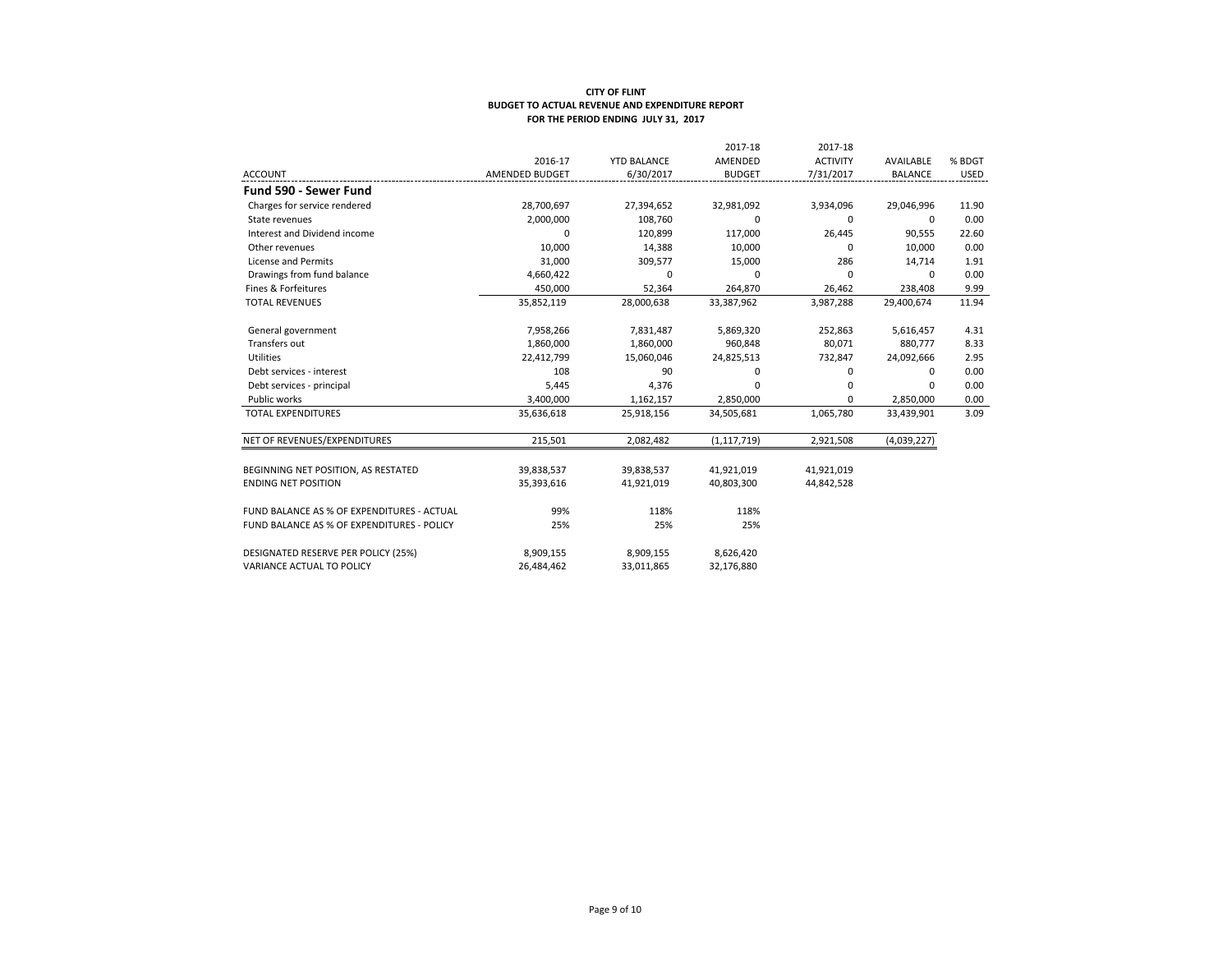|                                            |                |                    | 2017-18       | 2017-18         |                |             |
|--------------------------------------------|----------------|--------------------|---------------|-----------------|----------------|-------------|
|                                            | 2016-17        | <b>YTD BALANCE</b> | AMENDED       | <b>ACTIVITY</b> | AVAILABLE      | % BDGT      |
| <b>ACCOUNT</b>                             | AMENDED BUDGET | 6/30/2017          | <b>BUDGET</b> | 7/31/2017       | <b>BALANCE</b> | <b>USED</b> |
| Fund 590 - Sewer Fund                      |                |                    |               |                 |                |             |
| Charges for service rendered               | 28,700,697     | 27,394,652         | 32,981,092    | 3,934,096       | 29,046,996     | 11.90       |
| State revenues                             | 2,000,000      | 108,760            | 0             | 0               | 0              | 0.00        |
| Interest and Dividend income               | $\Omega$       | 120,899            | 117,000       | 26,445          | 90,555         | 22.60       |
| Other revenues                             | 10,000         | 14,388             | 10,000        | $\Omega$        | 10.000         | 0.00        |
| License and Permits                        | 31,000         | 309,577            | 15,000        | 286             | 14,714         | 1.91        |
| Drawings from fund balance                 | 4,660,422      | $\Omega$           | $\Omega$      | $\Omega$        | $\Omega$       | 0.00        |
| Fines & Forfeitures                        | 450,000        | 52,364             | 264,870       | 26,462          | 238,408        | 9.99        |
| <b>TOTAL REVENUES</b>                      | 35,852,119     | 28,000,638         | 33,387,962    | 3,987,288       | 29,400,674     | 11.94       |
| General government                         | 7,958,266      | 7,831,487          | 5,869,320     | 252,863         | 5,616,457      | 4.31        |
| Transfers out                              | 1,860,000      | 1,860,000          | 960.848       | 80.071          | 880.777        | 8.33        |
| Utilities                                  | 22,412,799     | 15,060,046         | 24,825,513    | 732,847         | 24,092,666     | 2.95        |
| Debt services - interest                   | 108            | 90                 | 0             | 0               | $\Omega$       | 0.00        |
| Debt services - principal                  | 5,445          | 4,376              | 0             | $\Omega$        | $\Omega$       | 0.00        |
| Public works                               | 3,400,000      | 1,162,157          | 2,850,000     | $\Omega$        | 2,850,000      | 0.00        |
| <b>TOTAL EXPENDITURES</b>                  | 35,636,618     | 25,918,156         | 34,505,681    | 1,065,780       | 33,439,901     | 3.09        |
| NET OF REVENUES/EXPENDITURES               | 215,501        | 2,082,482          | (1, 117, 719) | 2,921,508       | (4,039,227)    |             |
| BEGINNING NET POSITION, AS RESTATED        | 39,838,537     | 39,838,537         | 41,921,019    | 41,921,019      |                |             |
| <b>ENDING NET POSITION</b>                 | 35,393,616     | 41,921,019         | 40,803,300    | 44,842,528      |                |             |
| FUND BALANCE AS % OF EXPENDITURES - ACTUAL | 99%            | 118%               | 118%          |                 |                |             |
| FUND BALANCE AS % OF EXPENDITURES - POLICY | 25%            | 25%                | 25%           |                 |                |             |
| DESIGNATED RESERVE PER POLICY (25%)        | 8,909,155      | 8,909,155          | 8,626,420     |                 |                |             |
| VARIANCE ACTUAL TO POLICY                  | 26,484,462     | 33,011,865         | 32,176,880    |                 |                |             |